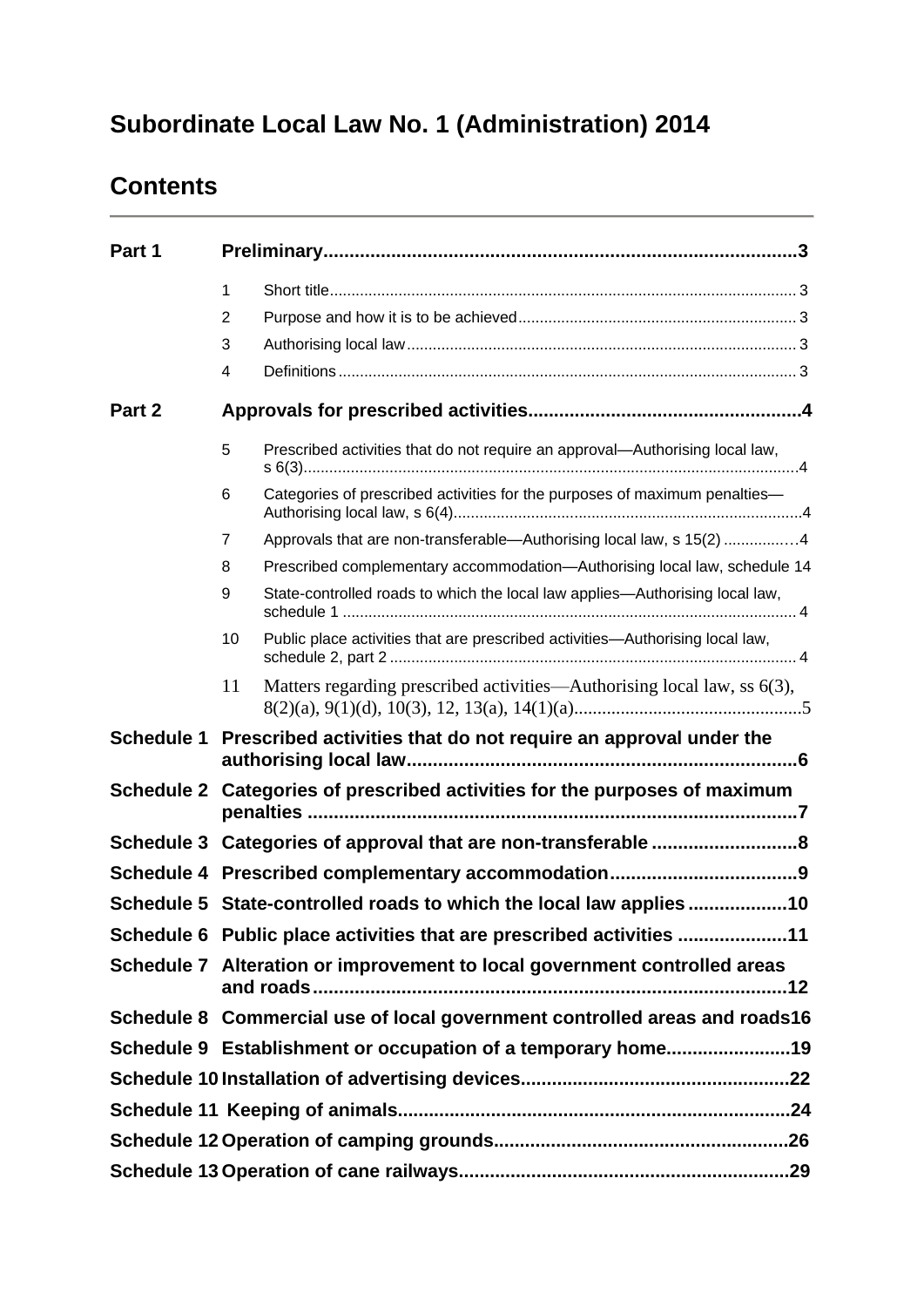# **Subordinate Local Law No. 1 (Administration) 2014**

# **Contents**

| Part 1     |                |                                                                                     |
|------------|----------------|-------------------------------------------------------------------------------------|
|            | 1              |                                                                                     |
|            | 2              |                                                                                     |
|            | 3              |                                                                                     |
|            | $\overline{4}$ |                                                                                     |
| Part 2     |                |                                                                                     |
|            | 5              | Prescribed activities that do not require an approval—Authorising local law,        |
|            | 6              | Categories of prescribed activities for the purposes of maximum penalties-          |
|            | 7              | Approvals that are non-transferable—Authorising local law, s 15(2) 4                |
|            | 8              | Prescribed complementary accommodation-Authorising local law, schedule 14           |
|            | 9              | State-controlled roads to which the local law applies—Authorising local law,        |
|            |                | Public place activities that are prescribed activities-Authorising local law,<br>10 |
|            |                | Matters regarding prescribed activities—Authorising local law, ss 6(3),<br>11       |
| Schedule 1 |                | Prescribed activities that do not require an approval under the                     |
|            |                | Schedule 2 Categories of prescribed activities for the purposes of maximum          |
|            |                | Schedule 3 Categories of approval that are non-transferable 8                       |
|            |                |                                                                                     |
|            |                | Schedule 5 State-controlled roads to which the local law applies10                  |
|            |                | Schedule 6 Public place activities that are prescribed activities 11                |
|            |                | Schedule 7 Alteration or improvement to local government controlled areas           |
|            |                | Schedule 8 Commercial use of local government controlled areas and roads16          |
|            |                | Schedule 9 Establishment or occupation of a temporary home19                        |
|            |                |                                                                                     |
|            |                |                                                                                     |
|            |                |                                                                                     |
|            |                |                                                                                     |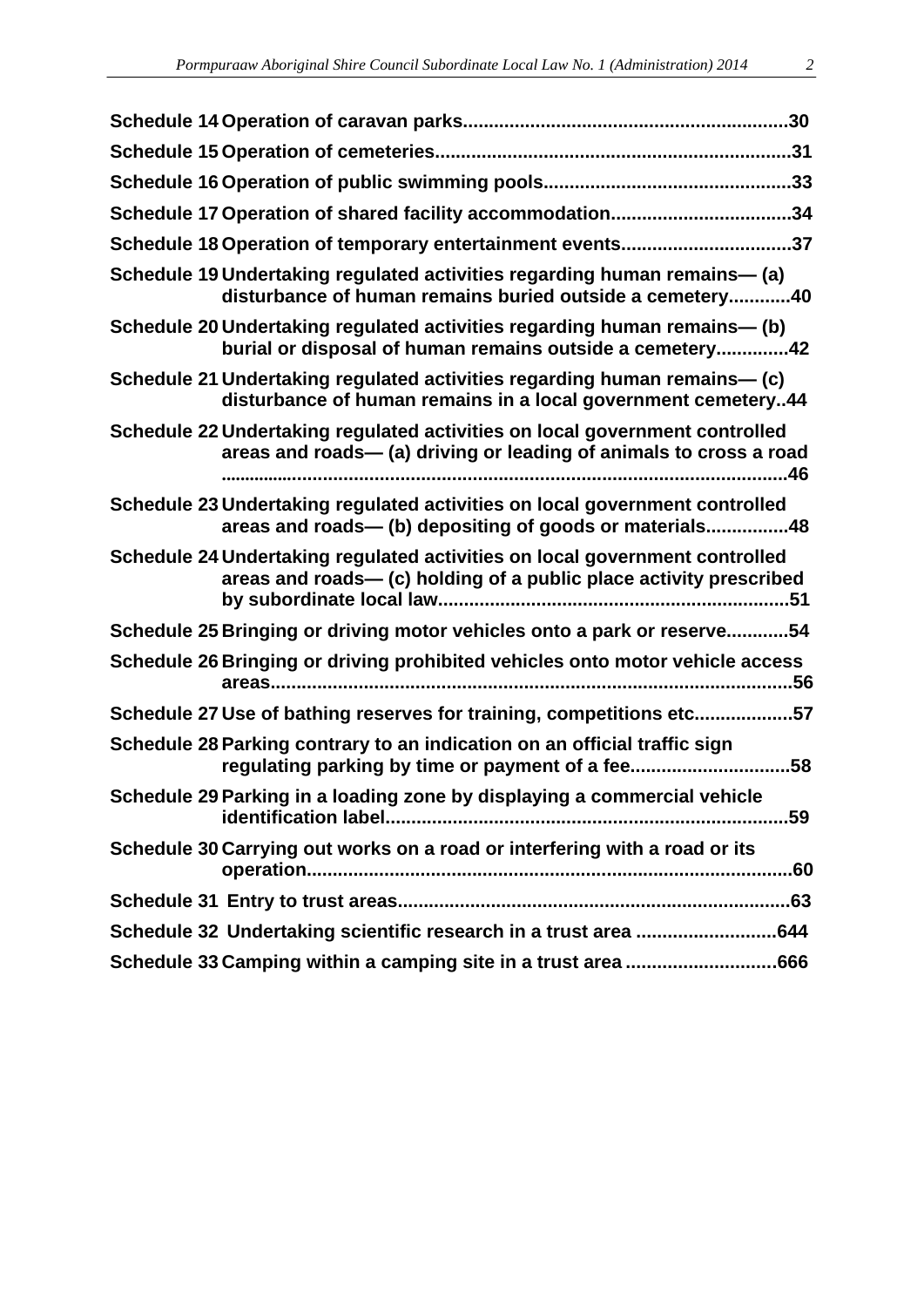| Schedule 17 Operation of shared facility accommodation34                                                                                          |
|---------------------------------------------------------------------------------------------------------------------------------------------------|
| Schedule 18 Operation of temporary entertainment events37                                                                                         |
| Schedule 19 Undertaking regulated activities regarding human remains- (a)<br>disturbance of human remains buried outside a cemetery40             |
| Schedule 20 Undertaking regulated activities regarding human remains- (b)<br>burial or disposal of human remains outside a cemetery42             |
| Schedule 21 Undertaking regulated activities regarding human remains— (c)<br>disturbance of human remains in a local government cemetery44        |
| Schedule 22 Undertaking regulated activities on local government controlled<br>areas and roads- (a) driving or leading of animals to cross a road |
| Schedule 23 Undertaking regulated activities on local government controlled<br>areas and roads- (b) depositing of goods or materials48            |
| Schedule 24 Undertaking regulated activities on local government controlled<br>areas and roads— (c) holding of a public place activity prescribed |
| Schedule 25 Bringing or driving motor vehicles onto a park or reserve54                                                                           |
| Schedule 26 Bringing or driving prohibited vehicles onto motor vehicle access                                                                     |
| Schedule 27 Use of bathing reserves for training, competitions etc57                                                                              |
| Schedule 28 Parking contrary to an indication on an official traffic sign<br>regulating parking by time or payment of a fee58                     |
| Schedule 29 Parking in a loading zone by displaying a commercial vehicle                                                                          |
| Schedule 30 Carrying out works on a road or interfering with a road or its                                                                        |
|                                                                                                                                                   |
| Schedule 32 Undertaking scientific research in a trust area 644                                                                                   |
|                                                                                                                                                   |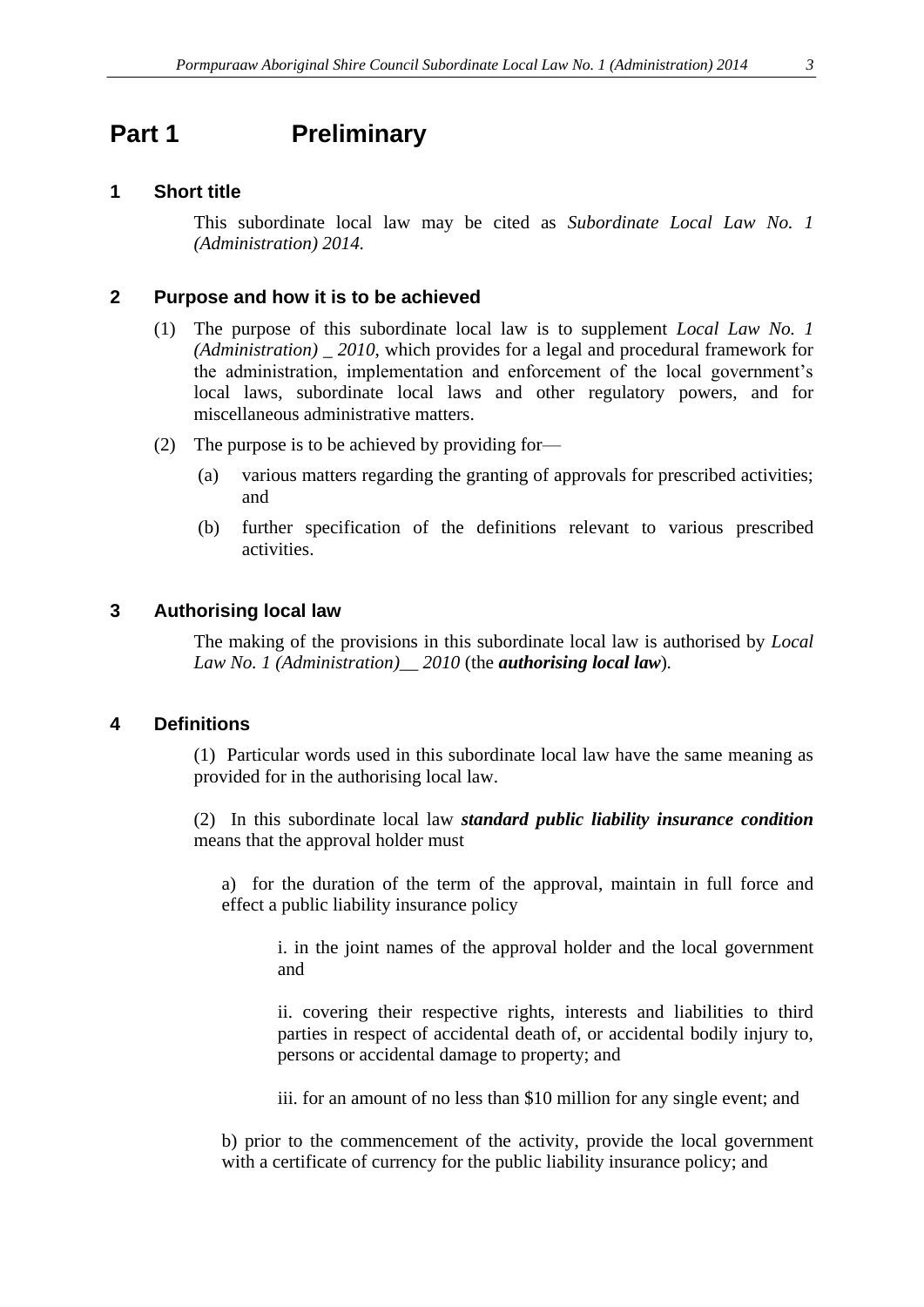# <span id="page-2-0"></span>**Part 1 Preliminary**

#### <span id="page-2-1"></span>**1 Short title**

This subordinate local law may be cited as *Subordinate Local Law No. 1 (Administration) 2014.*

#### <span id="page-2-2"></span>**2 Purpose and how it is to be achieved**

- (1) The purpose of this subordinate local law is to supplement *Local Law No. 1 (Administration) \_ 2010*, which provides for a legal and procedural framework for the administration, implementation and enforcement of the local government's local laws, subordinate local laws and other regulatory powers, and for miscellaneous administrative matters.
- (2) The purpose is to be achieved by providing for—
	- (a) various matters regarding the granting of approvals for prescribed activities; and
	- (b) further specification of the definitions relevant to various prescribed activities.

#### <span id="page-2-3"></span>**3 Authorising local law**

The making of the provisions in this subordinate local law is authorised by *Local Law No. 1 (Administration)\_\_ 2010* (the *authorising local law*)*.*

#### <span id="page-2-4"></span>**4 Definitions**

(1) Particular words used in this subordinate local law have the same meaning as provided for in the authorising local law.

(2) In this subordinate local law *standard public liability insurance condition*  means that the approval holder must

a) for the duration of the term of the approval, maintain in full force and effect a public liability insurance policy

i. in the joint names of the approval holder and the local government and

ii. covering their respective rights, interests and liabilities to third parties in respect of accidental death of, or accidental bodily injury to, persons or accidental damage to property; and

iii. for an amount of no less than \$10 million for any single event; and

b) prior to the commencement of the activity, provide the local government with a certificate of currency for the public liability insurance policy; and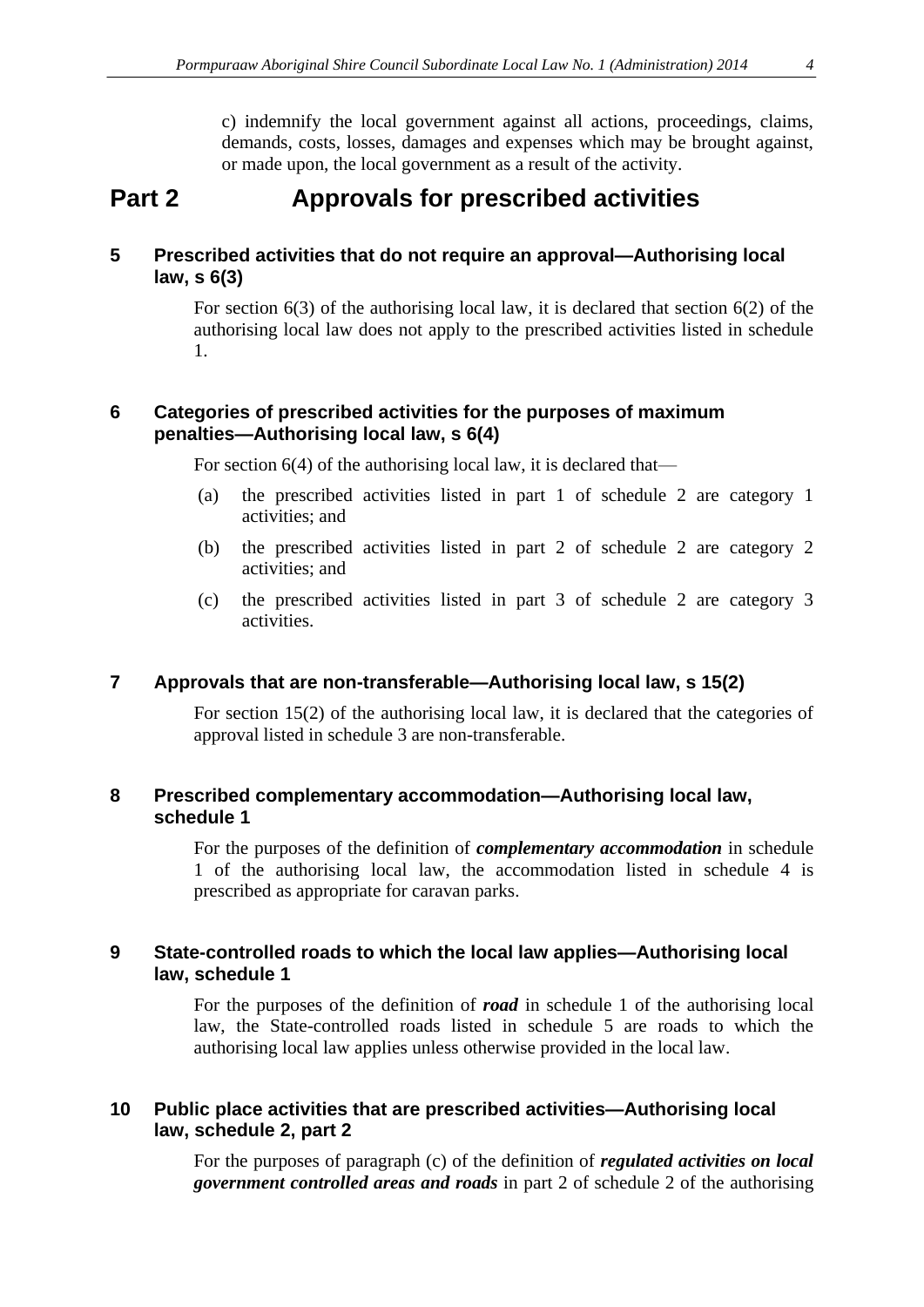c) indemnify the local government against all actions, proceedings, claims, demands, costs, losses, damages and expenses which may be brought against, or made upon, the local government as a result of the activity.

# **Part 2 Approvals for prescribed activities**

#### **5 Prescribed activities that do not require an approval—Authorising local law, s 6(3)**

For section  $6(3)$  of the authorising local law, it is declared that section  $6(2)$  of the authorising local law does not apply to the prescribed activities listed in schedule 1.

#### **6 Categories of prescribed activities for the purposes of maximum penalties—Authorising local law, s 6(4)**

For section 6(4) of the authorising local law, it is declared that—

- (a) the prescribed activities listed in part 1 of schedule 2 are category 1 activities; and
- (b) the prescribed activities listed in part 2 of schedule 2 are category 2 activities; and
- (c) the prescribed activities listed in part 3 of schedule 2 are category 3 activities.

#### <span id="page-3-0"></span>**7 Approvals that are non-transferable—Authorising local law, s 15(2)**

For section 15(2) of the authorising local law, it is declared that the categories of approval listed in schedule 3 are non-transferable.

#### <span id="page-3-1"></span>**8 Prescribed complementary accommodation—Authorising local law, schedule 1**

For the purposes of the definition of *complementary accommodation* in schedule 1 of the authorising local law, the accommodation listed in schedule 4 is prescribed as appropriate for caravan parks.

#### <span id="page-3-2"></span>**9 State-controlled roads to which the local law applies—Authorising local law, schedule 1**

For the purposes of the definition of *road* in schedule 1 of the authorising local law, the State-controlled roads listed in schedule 5 are roads to which the authorising local law applies unless otherwise provided in the local law.

#### <span id="page-3-3"></span>**10 Public place activities that are prescribed activities—Authorising local law, schedule 2, part 2**

For the purposes of paragraph (c) of the definition of *regulated activities on local government controlled areas and roads* in part 2 of schedule 2 of the authorising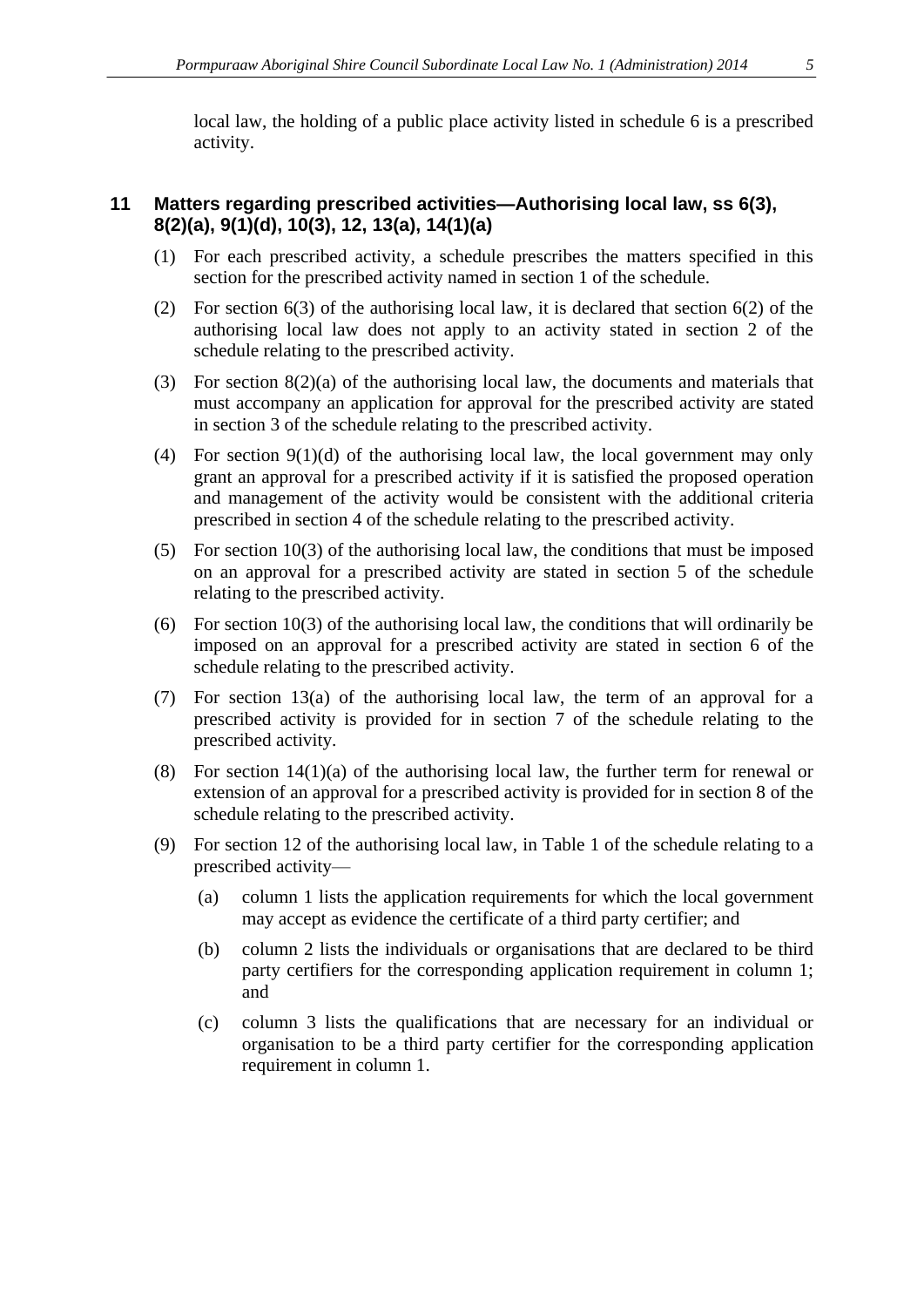local law, the holding of a public place activity listed in schedule 6 is a prescribed activity.

#### **11 Matters regarding prescribed activities—Authorising local law, ss 6(3), 8(2)(a), 9(1)(d), 10(3), 12, 13(a), 14(1)(a)**

- (1) For each prescribed activity, a schedule prescribes the matters specified in this section for the prescribed activity named in section 1 of the schedule.
- (2) For section 6(3) of the authorising local law, it is declared that section 6(2) of the authorising local law does not apply to an activity stated in section 2 of the schedule relating to the prescribed activity.
- (3) For section 8(2)(a) of the authorising local law, the documents and materials that must accompany an application for approval for the prescribed activity are stated in section 3 of the schedule relating to the prescribed activity.
- (4) For section 9(1)(d) of the authorising local law, the local government may only grant an approval for a prescribed activity if it is satisfied the proposed operation and management of the activity would be consistent with the additional criteria prescribed in section 4 of the schedule relating to the prescribed activity.
- (5) For section 10(3) of the authorising local law, the conditions that must be imposed on an approval for a prescribed activity are stated in section 5 of the schedule relating to the prescribed activity.
- (6) For section 10(3) of the authorising local law, the conditions that will ordinarily be imposed on an approval for a prescribed activity are stated in section 6 of the schedule relating to the prescribed activity.
- (7) For section 13(a) of the authorising local law, the term of an approval for a prescribed activity is provided for in section 7 of the schedule relating to the prescribed activity.
- (8) For section 14(1)(a) of the authorising local law, the further term for renewal or extension of an approval for a prescribed activity is provided for in section 8 of the schedule relating to the prescribed activity.
- (9) For section 12 of the authorising local law, in Table 1 of the schedule relating to a prescribed activity—
	- (a) column 1 lists the application requirements for which the local government may accept as evidence the certificate of a third party certifier; and
	- (b) column 2 lists the individuals or organisations that are declared to be third party certifiers for the corresponding application requirement in column 1; and
	- (c) column 3 lists the qualifications that are necessary for an individual or organisation to be a third party certifier for the corresponding application requirement in column 1.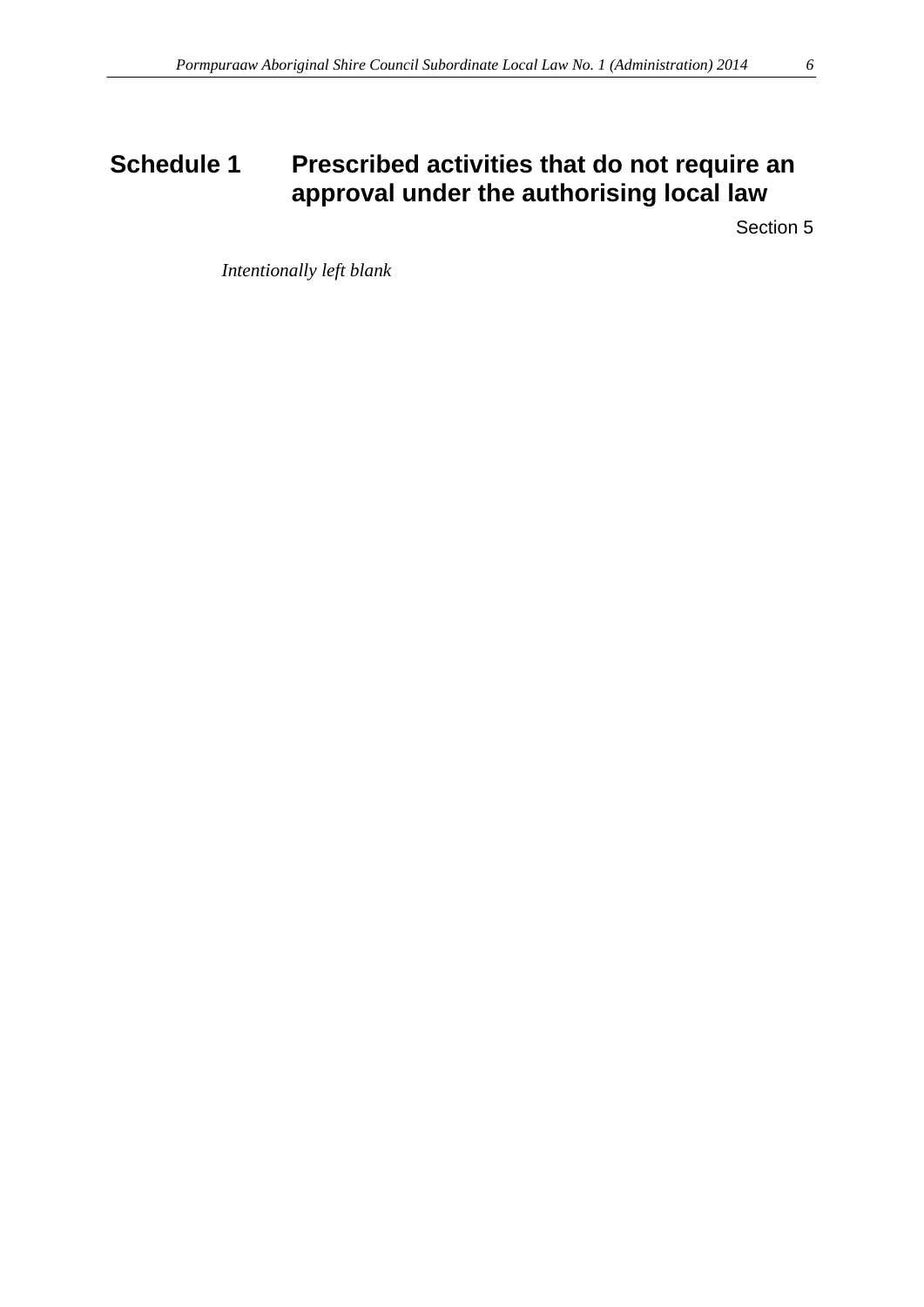# <span id="page-5-0"></span>**Schedule 1 Prescribed activities that do not require an approval under the authorising local law**

Section 5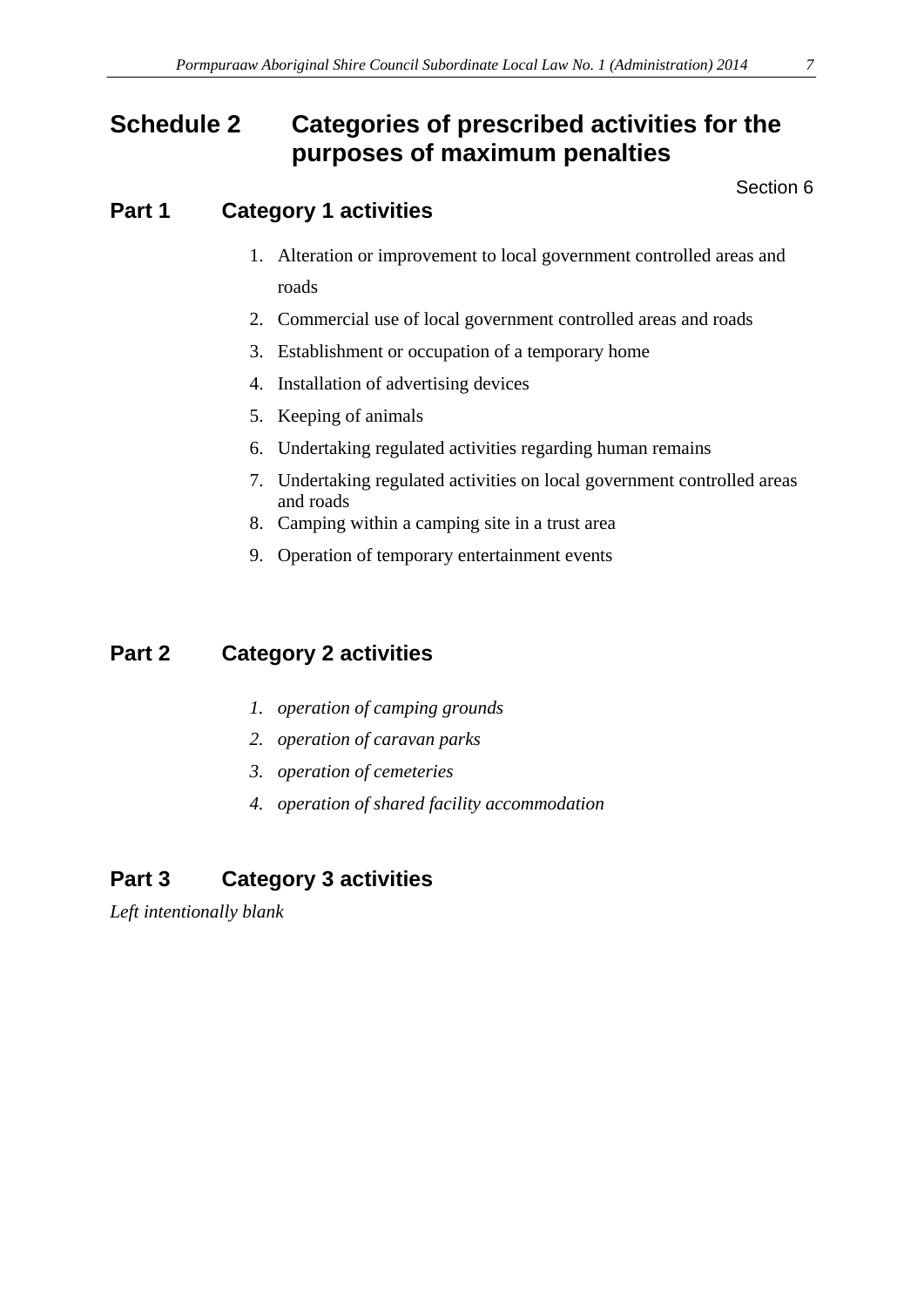# <span id="page-6-0"></span>**Schedule 2 Categories of prescribed activities for the purposes of maximum penalties**

Section 6

# **Part 1 Category 1 activities**

- 1. Alteration or improvement to local government controlled areas and roads
- 2. Commercial use of local government controlled areas and roads
- 3. Establishment or occupation of a temporary home
- 4. Installation of advertising devices
- 5. Keeping of animals
- 6. Undertaking regulated activities regarding human remains
- 7. Undertaking regulated activities on local government controlled areas and roads
- 8. Camping within a camping site in a trust area
- 9. Operation of temporary entertainment events

# **Part 2 Category 2 activities**

- *1. operation of camping grounds*
- *2. operation of caravan parks*
- *3. operation of cemeteries*
- *4. operation of shared facility accommodation*

# **Part 3 Category 3 activities**

*Left intentionally blank*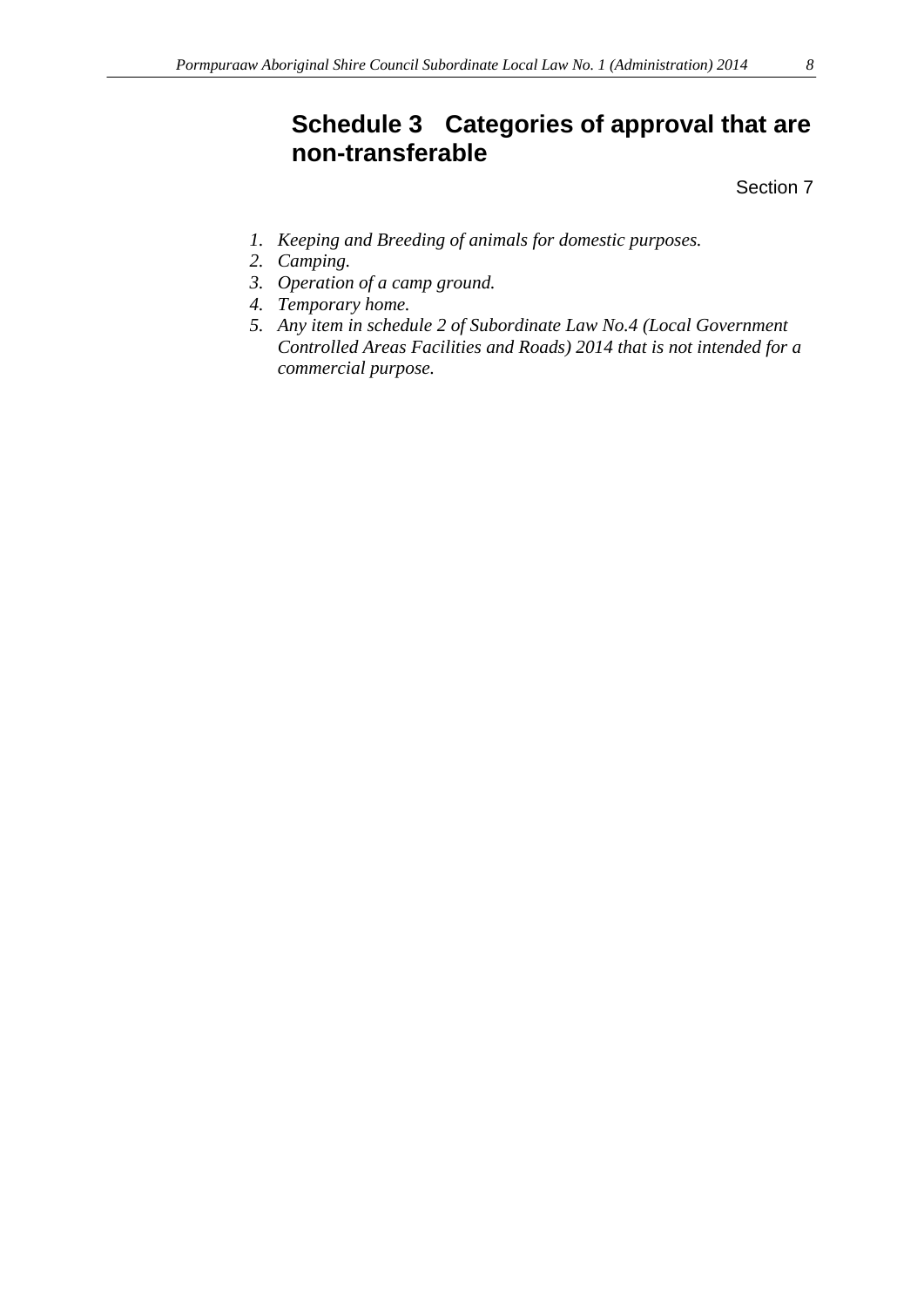# <span id="page-7-0"></span>**Schedule 3 Categories of approval that are non-transferable**

Section 7

- *1. Keeping and Breeding of animals for domestic purposes.*
- *2. Camping.*
- *3. Operation of a camp ground.*
- *4. Temporary home.*
- *5. Any item in schedule 2 of Subordinate Law No.4 (Local Government Controlled Areas Facilities and Roads) 2014 that is not intended for a commercial purpose.*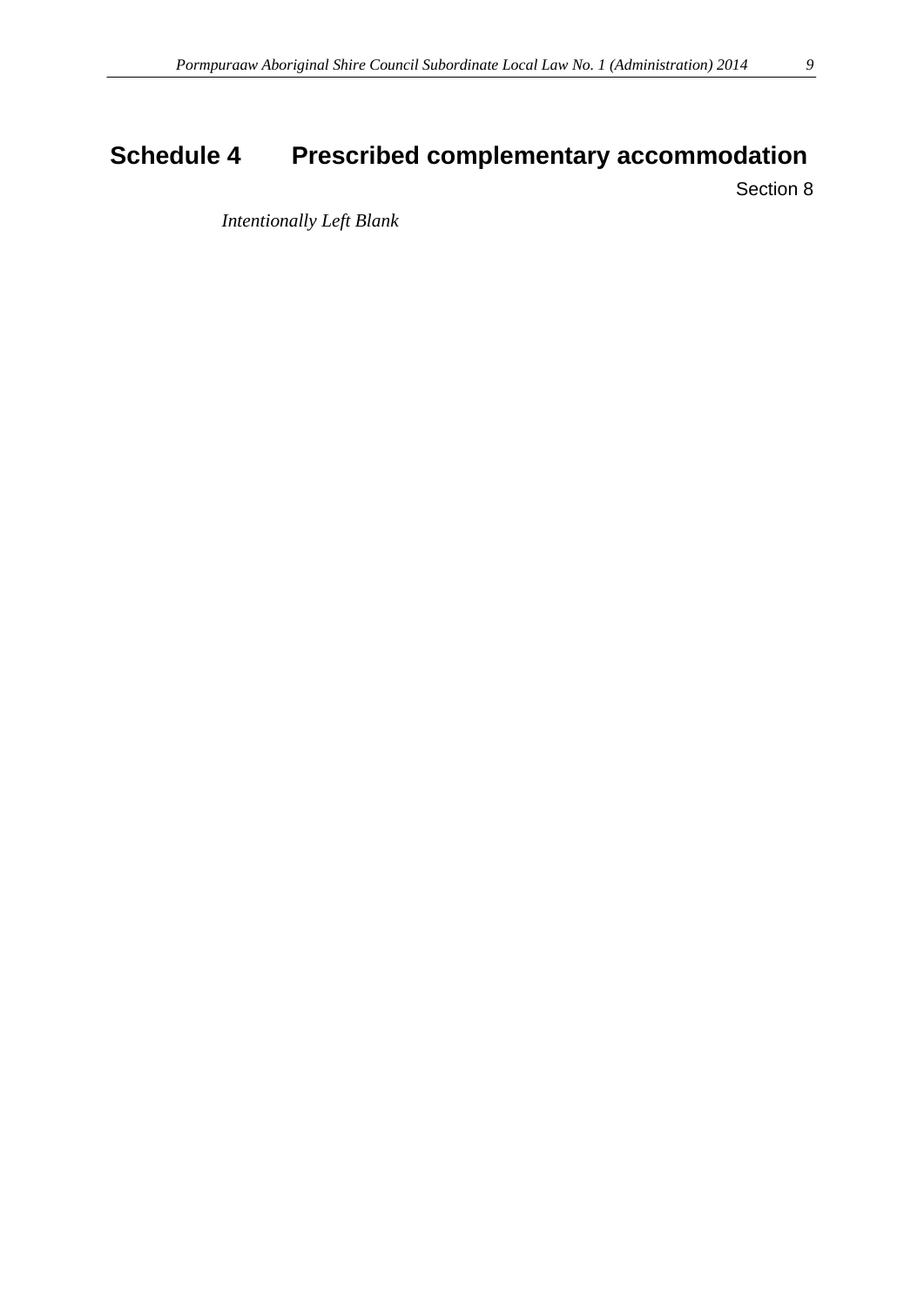# <span id="page-8-0"></span>**Schedule 4 Prescribed complementary accommodation**

Section 8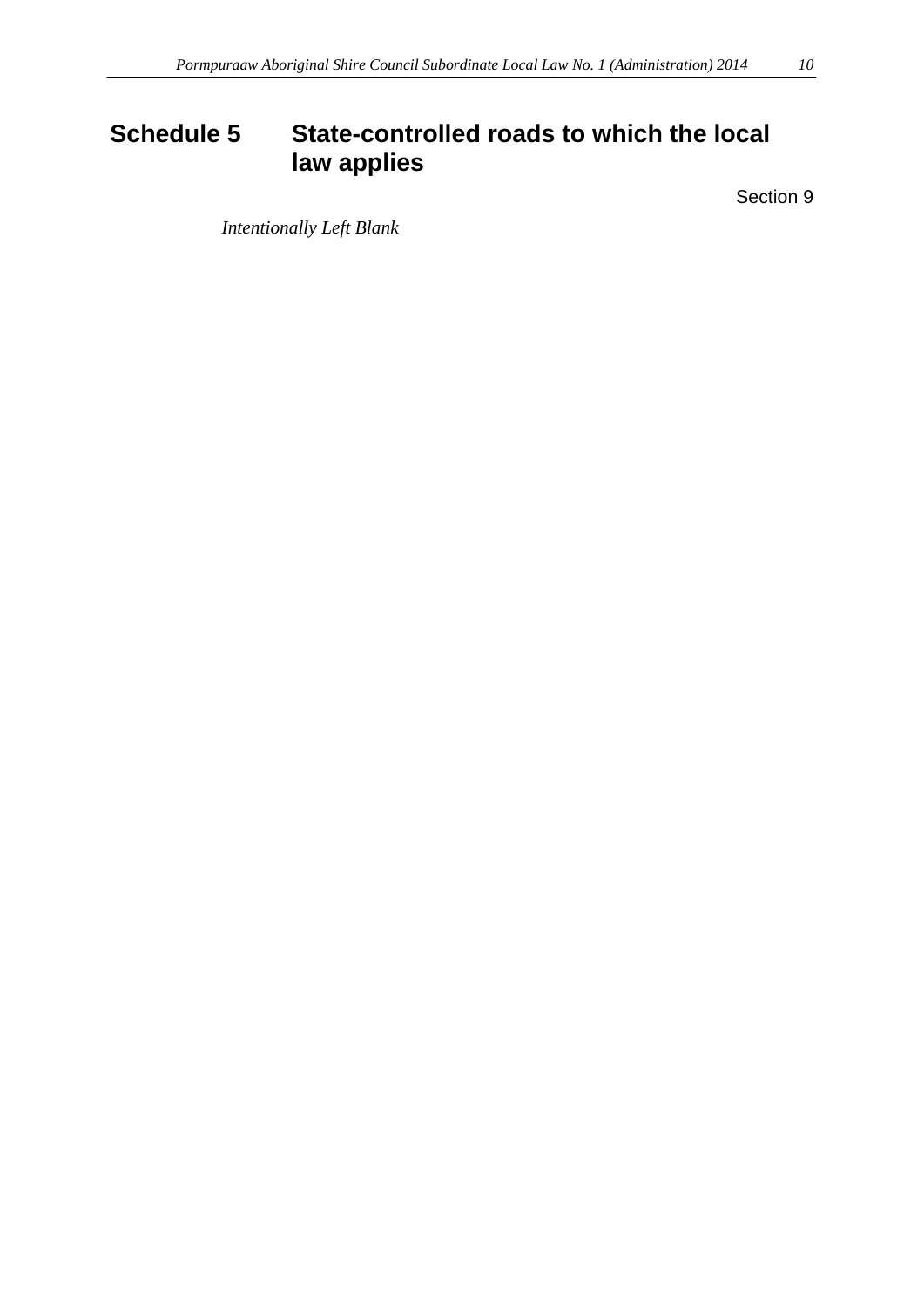# <span id="page-9-0"></span>**Schedule 5 State-controlled roads to which the local law applies**

Section 9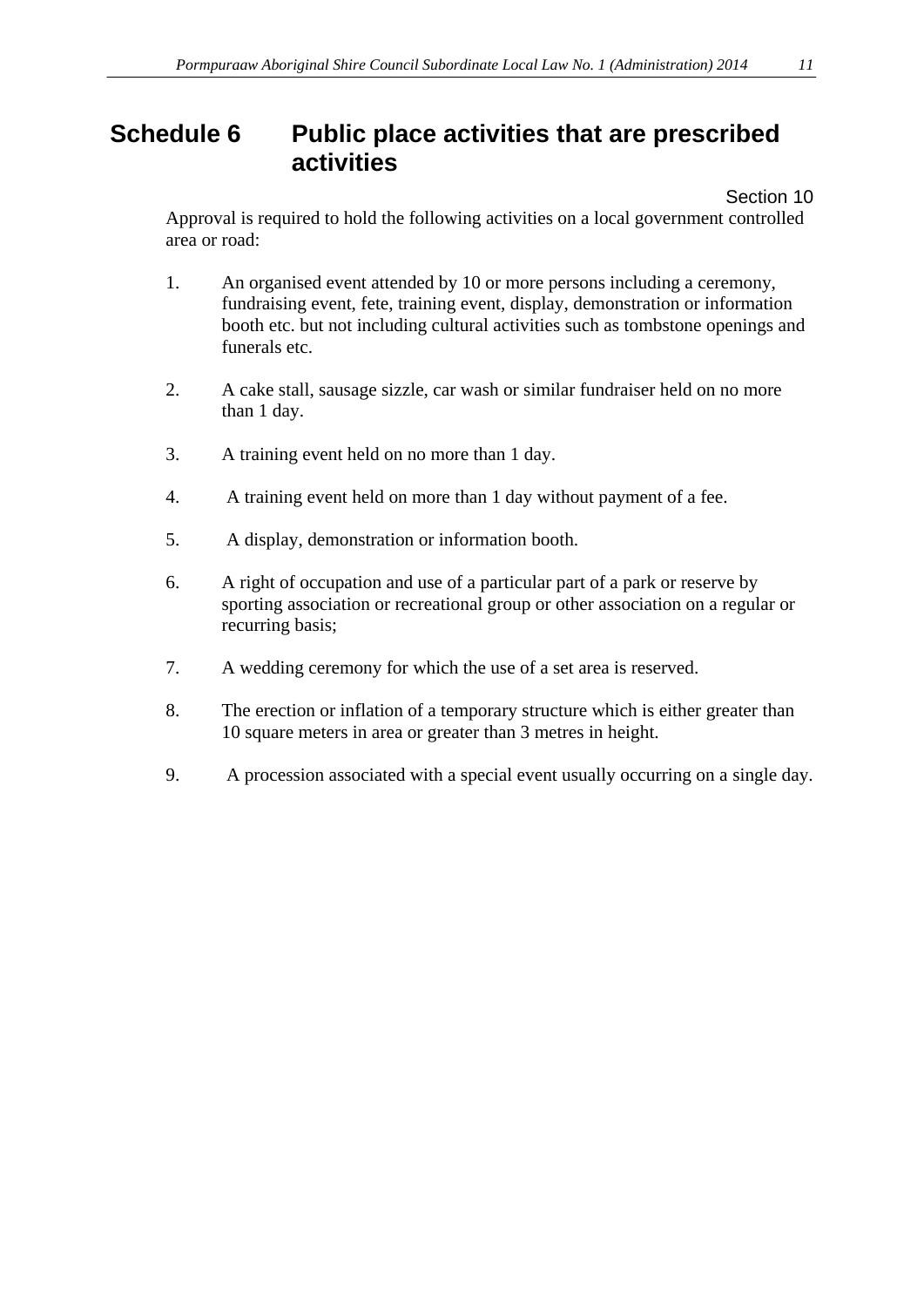# <span id="page-10-0"></span>**Schedule 6 Public place activities that are prescribed activities**

Section 10

Approval is required to hold the following activities on a local government controlled area or road:

- 1. An organised event attended by 10 or more persons including a ceremony, fundraising event, fete, training event, display, demonstration or information booth etc. but not including cultural activities such as tombstone openings and funerals etc.
- 2. A cake stall, sausage sizzle, car wash or similar fundraiser held on no more than 1 day.
- 3. A training event held on no more than 1 day.
- 4. A training event held on more than 1 day without payment of a fee.
- 5. A display, demonstration or information booth.
- 6. A right of occupation and use of a particular part of a park or reserve by sporting association or recreational group or other association on a regular or recurring basis;
- 7. A wedding ceremony for which the use of a set area is reserved.
- 8. The erection or inflation of a temporary structure which is either greater than 10 square meters in area or greater than 3 metres in height.
- 9. A procession associated with a special event usually occurring on a single day.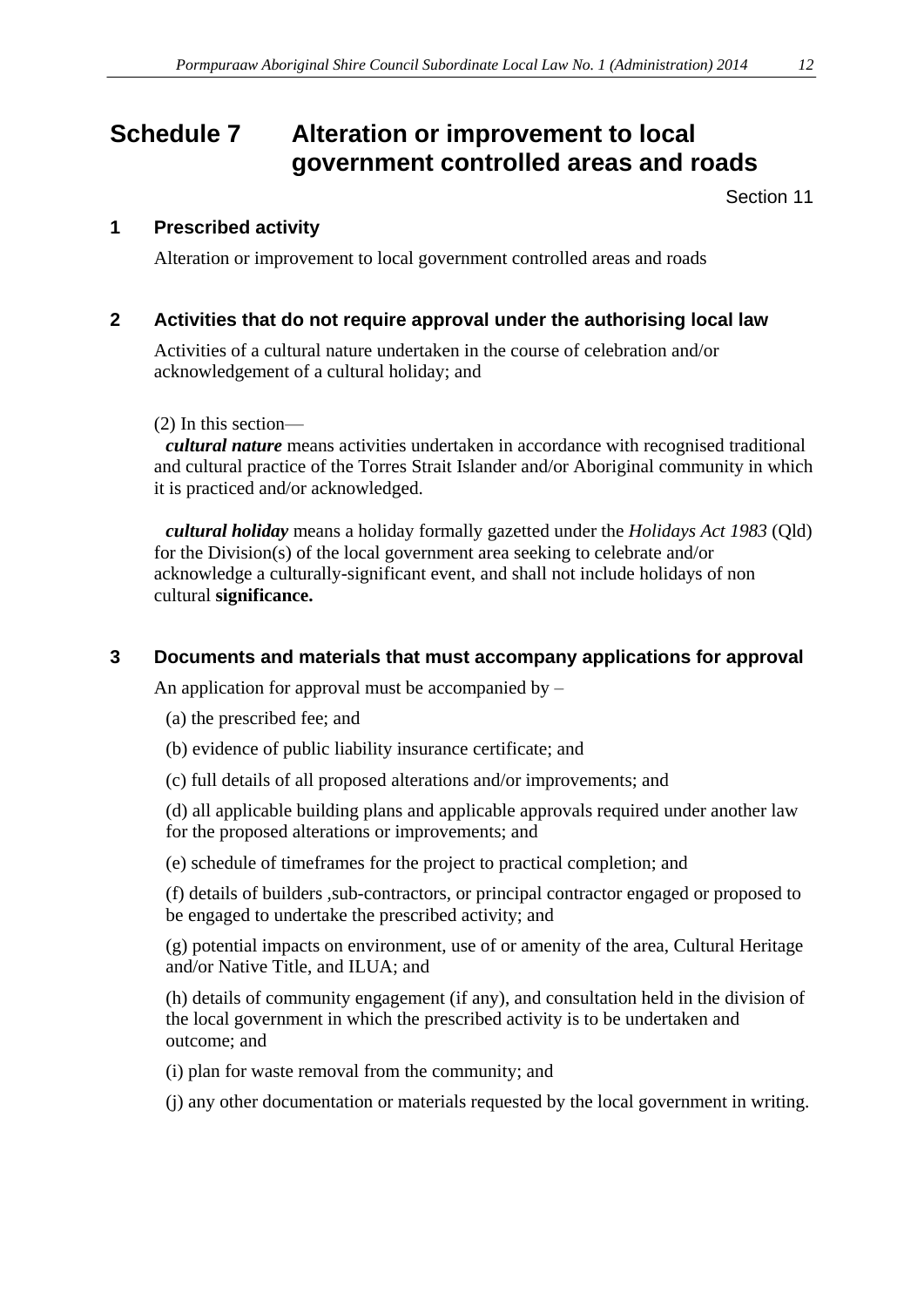# <span id="page-11-0"></span>**Schedule 7 Alteration or improvement to local government controlled areas and roads**

Section 11

#### **1 Prescribed activity**

Alteration or improvement to local government controlled areas and roads

#### **2 Activities that do not require approval under the authorising local law**

Activities of a cultural nature undertaken in the course of celebration and/or acknowledgement of a cultural holiday; and

#### (2) In this section—

*cultural nature* means activities undertaken in accordance with recognised traditional and cultural practice of the Torres Strait Islander and/or Aboriginal community in which it is practiced and/or acknowledged.

*cultural holiday* means a holiday formally gazetted under the *Holidays Act 1983* (Qld) for the Division(s) of the local government area seeking to celebrate and/or acknowledge a culturally-significant event, and shall not include holidays of non cultural **significance.**

#### **3 Documents and materials that must accompany applications for approval**

An application for approval must be accompanied by  $-$ 

- (a) the prescribed fee; and
- (b) evidence of public liability insurance certificate; and
- (c) full details of all proposed alterations and/or improvements; and

(d) all applicable building plans and applicable approvals required under another law for the proposed alterations or improvements; and

(e) schedule of timeframes for the project to practical completion; and

(f) details of builders ,sub-contractors, or principal contractor engaged or proposed to be engaged to undertake the prescribed activity; and

(g) potential impacts on environment, use of or amenity of the area, Cultural Heritage and/or Native Title, and ILUA; and

(h) details of community engagement (if any), and consultation held in the division of the local government in which the prescribed activity is to be undertaken and outcome; and

(i) plan for waste removal from the community; and

(j) any other documentation or materials requested by the local government in writing.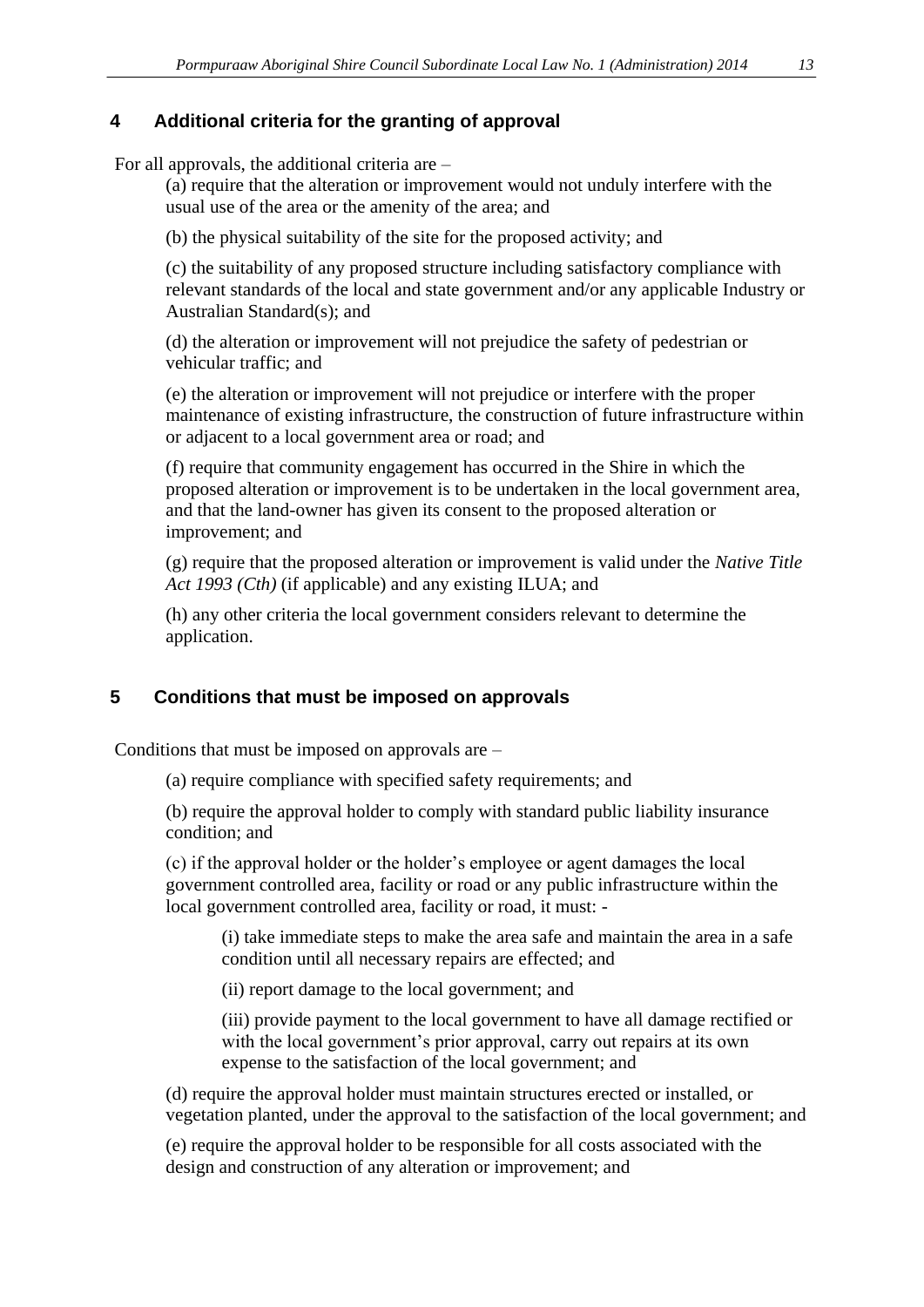### **4 Additional criteria for the granting of approval**

For all approvals, the additional criteria are –

(a) require that the alteration or improvement would not unduly interfere with the usual use of the area or the amenity of the area; and

(b) the physical suitability of the site for the proposed activity; and

(c) the suitability of any proposed structure including satisfactory compliance with relevant standards of the local and state government and/or any applicable Industry or Australian Standard(s); and

(d) the alteration or improvement will not prejudice the safety of pedestrian or vehicular traffic; and

(e) the alteration or improvement will not prejudice or interfere with the proper maintenance of existing infrastructure, the construction of future infrastructure within or adjacent to a local government area or road; and

(f) require that community engagement has occurred in the Shire in which the proposed alteration or improvement is to be undertaken in the local government area, and that the land-owner has given its consent to the proposed alteration or improvement; and

(g) require that the proposed alteration or improvement is valid under the *Native Title Act 1993 (Cth)* (if applicable) and any existing ILUA; and

(h) any other criteria the local government considers relevant to determine the application.

#### **5 Conditions that must be imposed on approvals**

Conditions that must be imposed on approvals are –

(a) require compliance with specified safety requirements; and

(b) require the approval holder to comply with standard public liability insurance condition; and

(c) if the approval holder or the holder's employee or agent damages the local government controlled area, facility or road or any public infrastructure within the local government controlled area, facility or road, it must: -

(i) take immediate steps to make the area safe and maintain the area in a safe condition until all necessary repairs are effected; and

(ii) report damage to the local government; and

(iii) provide payment to the local government to have all damage rectified or with the local government's prior approval, carry out repairs at its own expense to the satisfaction of the local government; and

(d) require the approval holder must maintain structures erected or installed, or vegetation planted, under the approval to the satisfaction of the local government; and

(e) require the approval holder to be responsible for all costs associated with the design and construction of any alteration or improvement; and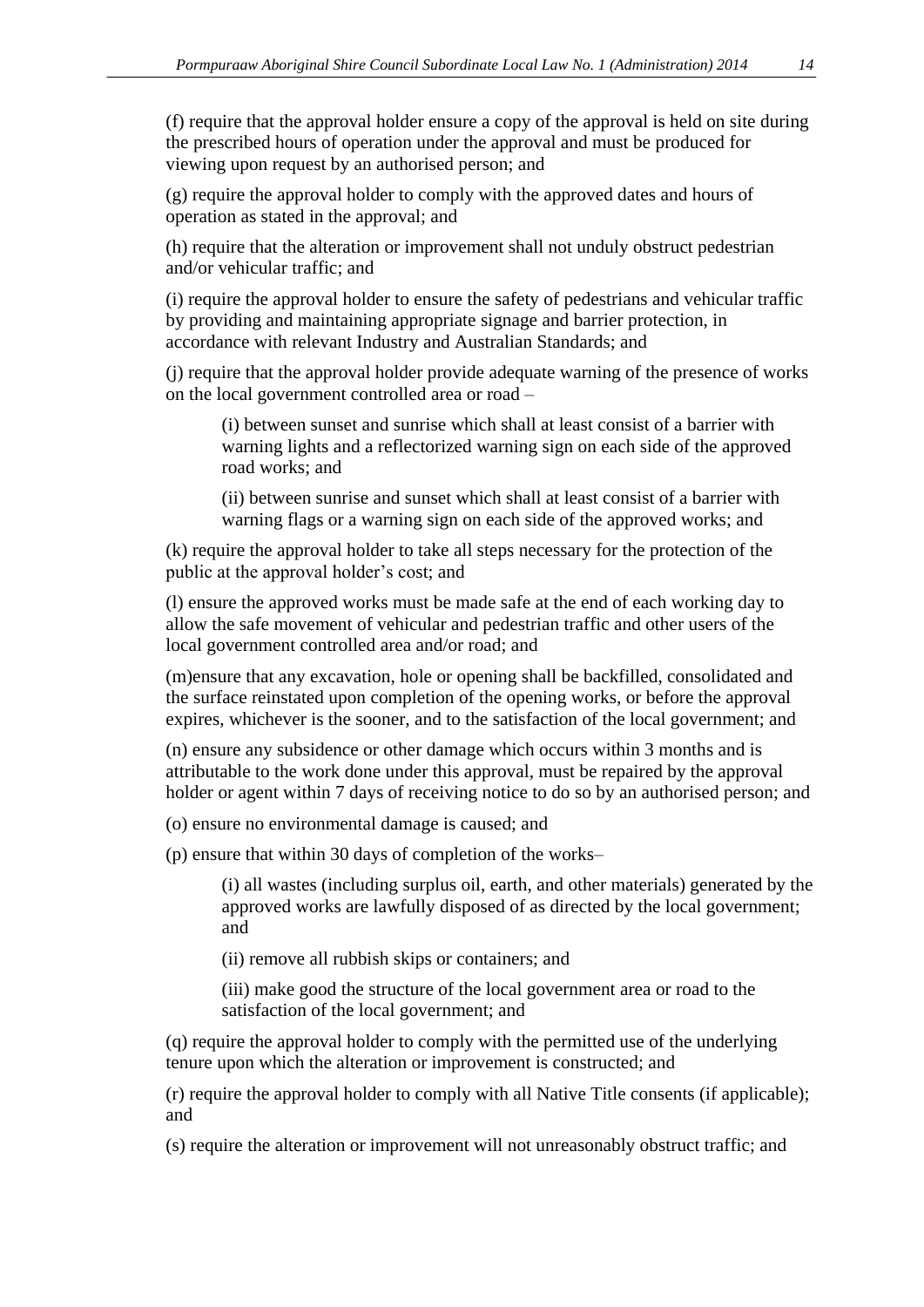(f) require that the approval holder ensure a copy of the approval is held on site during the prescribed hours of operation under the approval and must be produced for viewing upon request by an authorised person; and

(g) require the approval holder to comply with the approved dates and hours of operation as stated in the approval; and

(h) require that the alteration or improvement shall not unduly obstruct pedestrian and/or vehicular traffic; and

(i) require the approval holder to ensure the safety of pedestrians and vehicular traffic by providing and maintaining appropriate signage and barrier protection, in accordance with relevant Industry and Australian Standards; and

(j) require that the approval holder provide adequate warning of the presence of works on the local government controlled area or road –

(i) between sunset and sunrise which shall at least consist of a barrier with warning lights and a reflectorized warning sign on each side of the approved road works; and

(ii) between sunrise and sunset which shall at least consist of a barrier with warning flags or a warning sign on each side of the approved works; and

(k) require the approval holder to take all steps necessary for the protection of the public at the approval holder's cost; and

(l) ensure the approved works must be made safe at the end of each working day to allow the safe movement of vehicular and pedestrian traffic and other users of the local government controlled area and/or road; and

(m)ensure that any excavation, hole or opening shall be backfilled, consolidated and the surface reinstated upon completion of the opening works, or before the approval expires, whichever is the sooner, and to the satisfaction of the local government; and

(n) ensure any subsidence or other damage which occurs within 3 months and is attributable to the work done under this approval, must be repaired by the approval holder or agent within 7 days of receiving notice to do so by an authorised person; and

(o) ensure no environmental damage is caused; and

(p) ensure that within 30 days of completion of the works–

(i) all wastes (including surplus oil, earth, and other materials) generated by the approved works are lawfully disposed of as directed by the local government; and

(ii) remove all rubbish skips or containers; and

(iii) make good the structure of the local government area or road to the satisfaction of the local government; and

(q) require the approval holder to comply with the permitted use of the underlying tenure upon which the alteration or improvement is constructed; and

(r) require the approval holder to comply with all Native Title consents (if applicable); and

(s) require the alteration or improvement will not unreasonably obstruct traffic; and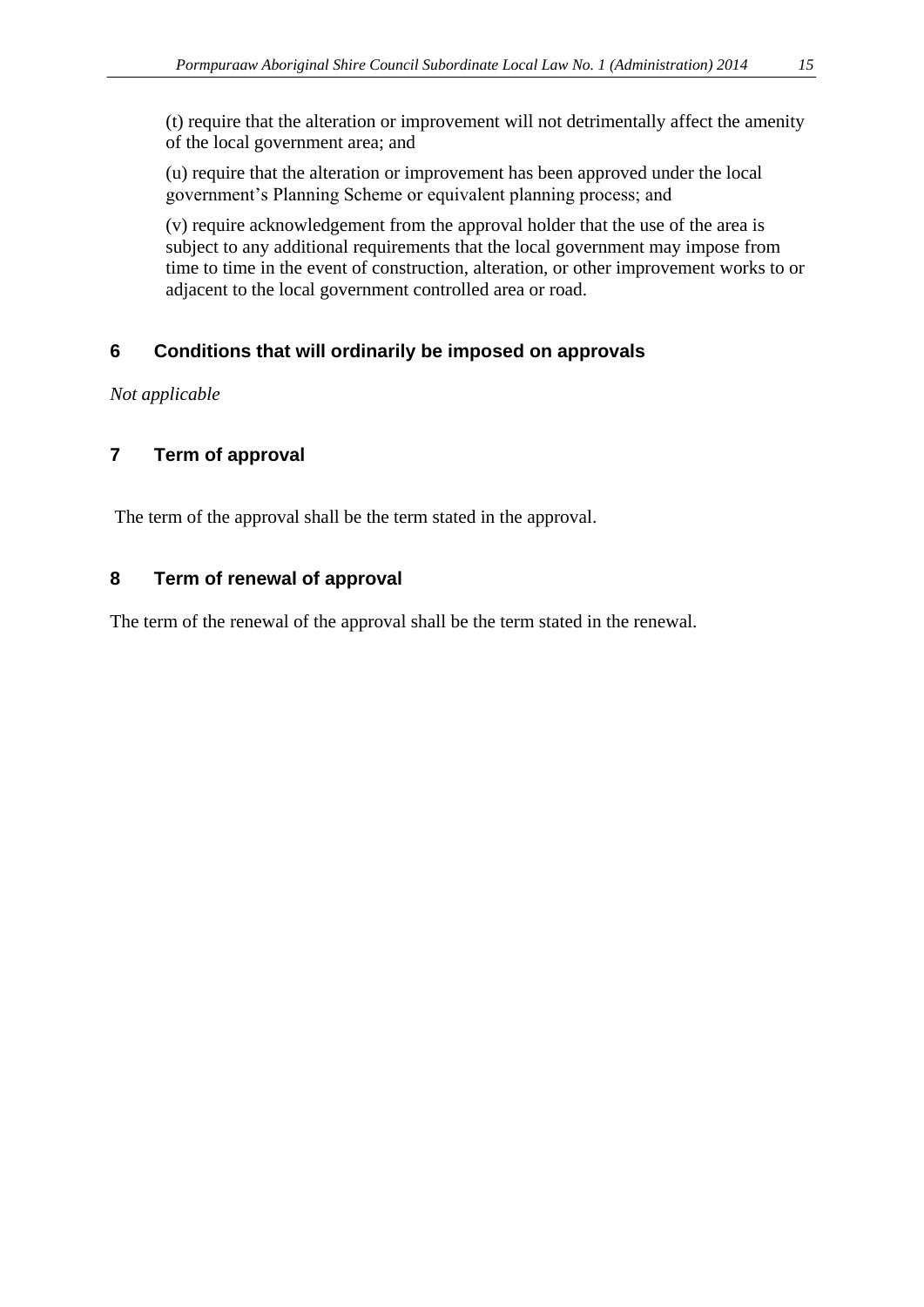(t) require that the alteration or improvement will not detrimentally affect the amenity of the local government area; and

(u) require that the alteration or improvement has been approved under the local government's Planning Scheme or equivalent planning process; and

(v) require acknowledgement from the approval holder that the use of the area is subject to any additional requirements that the local government may impose from time to time in the event of construction, alteration, or other improvement works to or adjacent to the local government controlled area or road.

# **6 Conditions that will ordinarily be imposed on approvals**

*Not applicable*

## **7 Term of approval**

The term of the approval shall be the term stated in the approval.

#### **8 Term of renewal of approval**

The term of the renewal of the approval shall be the term stated in the renewal.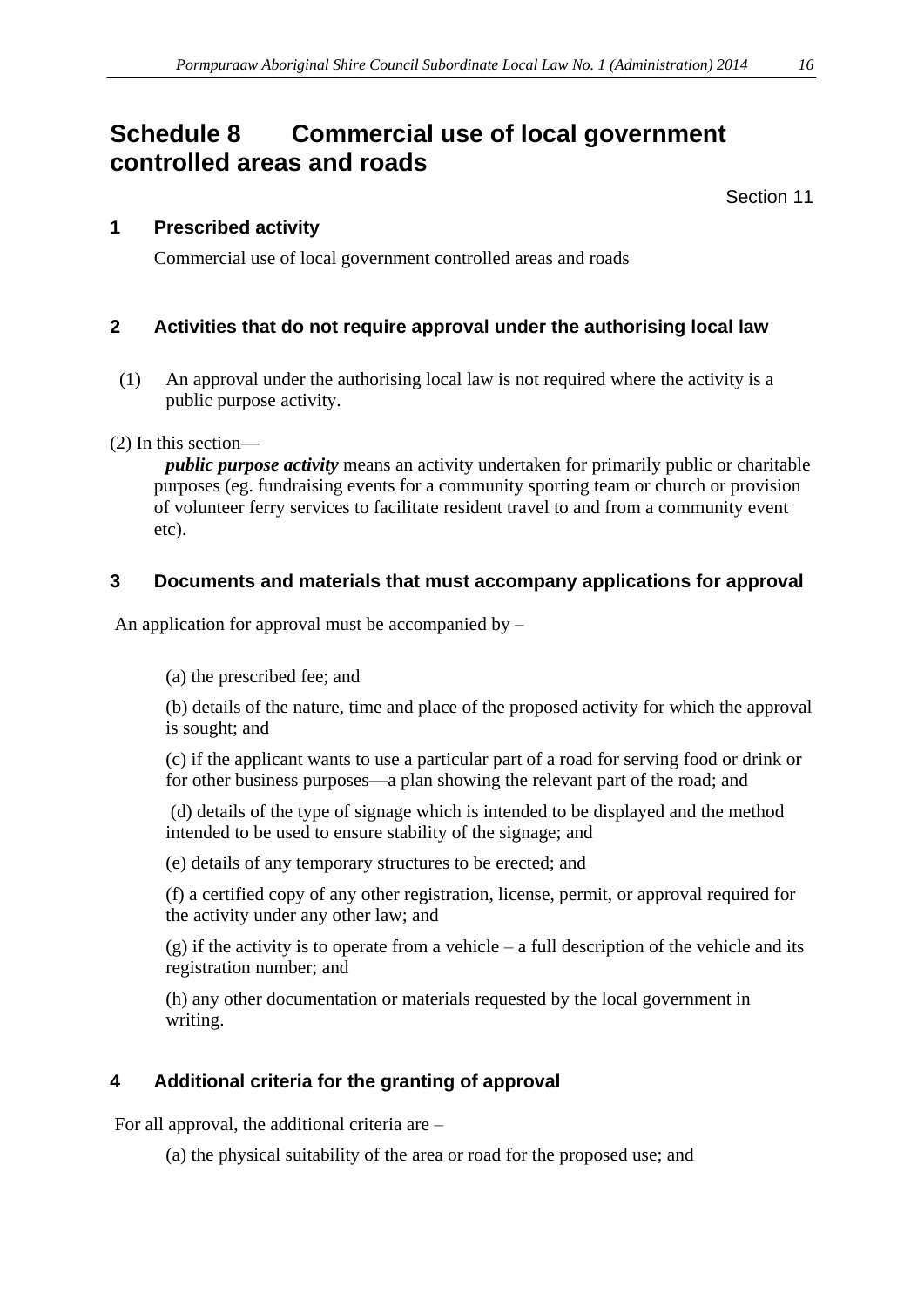# **Schedule 8 Commercial use of local government controlled areas and roads**

Section 11

#### **1 Prescribed activity**

Commercial use of local government controlled areas and roads

#### **2 Activities that do not require approval under the authorising local law**

(1) An approval under the authorising local law is not required where the activity is a public purpose activity.

(2) In this section—

*public purpose activity* means an activity undertaken for primarily public or charitable purposes (eg. fundraising events for a community sporting team or church or provision of volunteer ferry services to facilitate resident travel to and from a community event etc).

## **3 Documents and materials that must accompany applications for approval**

An application for approval must be accompanied by  $-$ 

(a) the prescribed fee; and

(b) details of the nature, time and place of the proposed activity for which the approval is sought; and

(c) if the applicant wants to use a particular part of a road for serving food or drink or for other business purposes—a plan showing the relevant part of the road; and

(d) details of the type of signage which is intended to be displayed and the method intended to be used to ensure stability of the signage; and

(e) details of any temporary structures to be erected; and

(f) a certified copy of any other registration, license, permit, or approval required for the activity under any other law; and

(g) if the activity is to operate from a vehicle – a full description of the vehicle and its registration number; and

(h) any other documentation or materials requested by the local government in writing.

# **4 Additional criteria for the granting of approval**

For all approval, the additional criteria are –

(a) the physical suitability of the area or road for the proposed use; and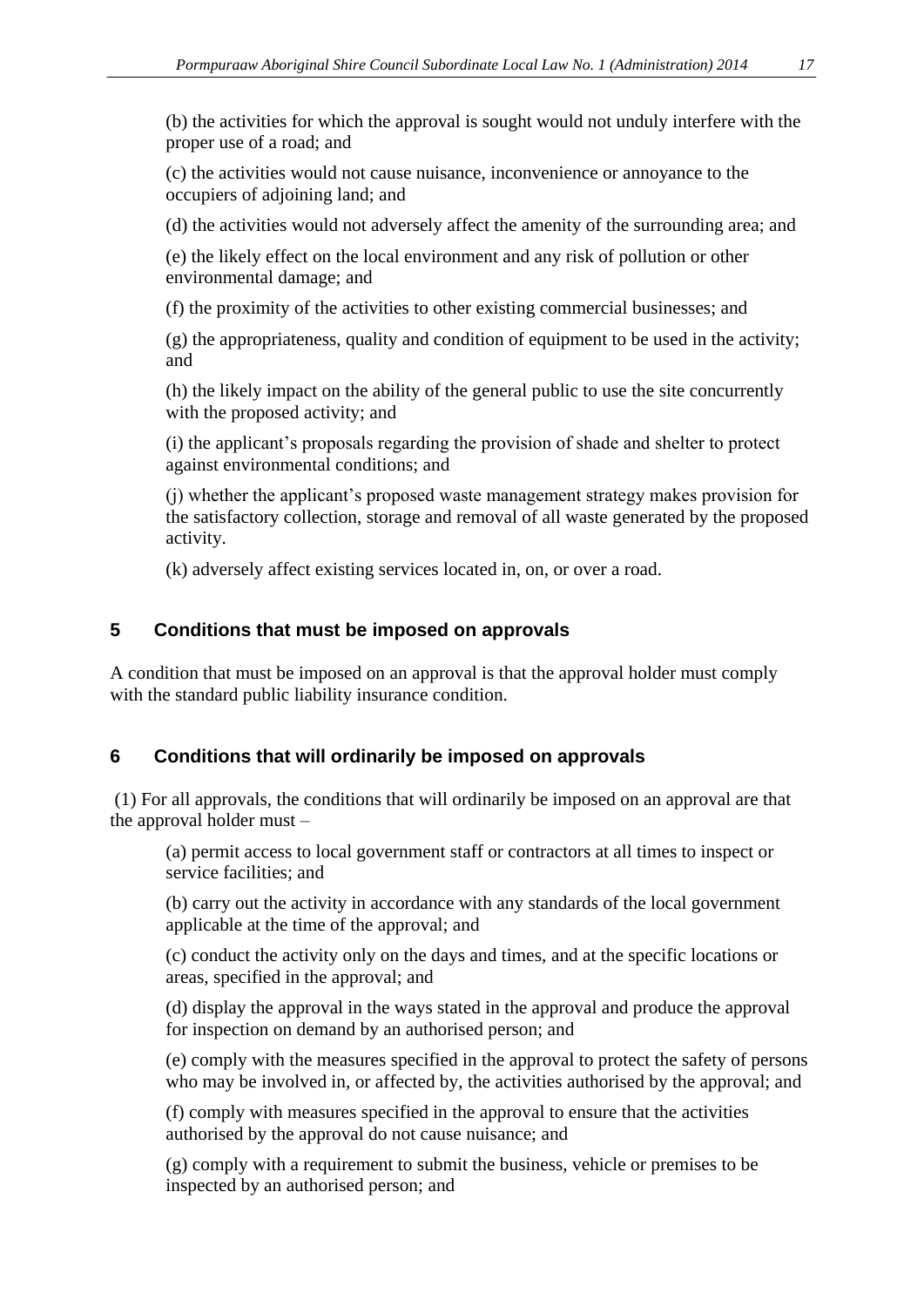(b) the activities for which the approval is sought would not unduly interfere with the proper use of a road; and

(c) the activities would not cause nuisance, inconvenience or annoyance to the occupiers of adjoining land; and

(d) the activities would not adversely affect the amenity of the surrounding area; and

(e) the likely effect on the local environment and any risk of pollution or other environmental damage; and

(f) the proximity of the activities to other existing commercial businesses; and

(g) the appropriateness, quality and condition of equipment to be used in the activity; and

(h) the likely impact on the ability of the general public to use the site concurrently with the proposed activity; and

(i) the applicant's proposals regarding the provision of shade and shelter to protect against environmental conditions; and

(j) whether the applicant's proposed waste management strategy makes provision for the satisfactory collection, storage and removal of all waste generated by the proposed activity.

(k) adversely affect existing services located in, on, or over a road.

#### **5 Conditions that must be imposed on approvals**

A condition that must be imposed on an approval is that the approval holder must comply with the standard public liability insurance condition.

#### **6 Conditions that will ordinarily be imposed on approvals**

(1) For all approvals, the conditions that will ordinarily be imposed on an approval are that the approval holder must –

(a) permit access to local government staff or contractors at all times to inspect or service facilities; and

(b) carry out the activity in accordance with any standards of the local government applicable at the time of the approval; and

(c) conduct the activity only on the days and times, and at the specific locations or areas, specified in the approval; and

(d) display the approval in the ways stated in the approval and produce the approval for inspection on demand by an authorised person; and

(e) comply with the measures specified in the approval to protect the safety of persons who may be involved in, or affected by, the activities authorised by the approval; and

(f) comply with measures specified in the approval to ensure that the activities authorised by the approval do not cause nuisance; and

(g) comply with a requirement to submit the business, vehicle or premises to be inspected by an authorised person; and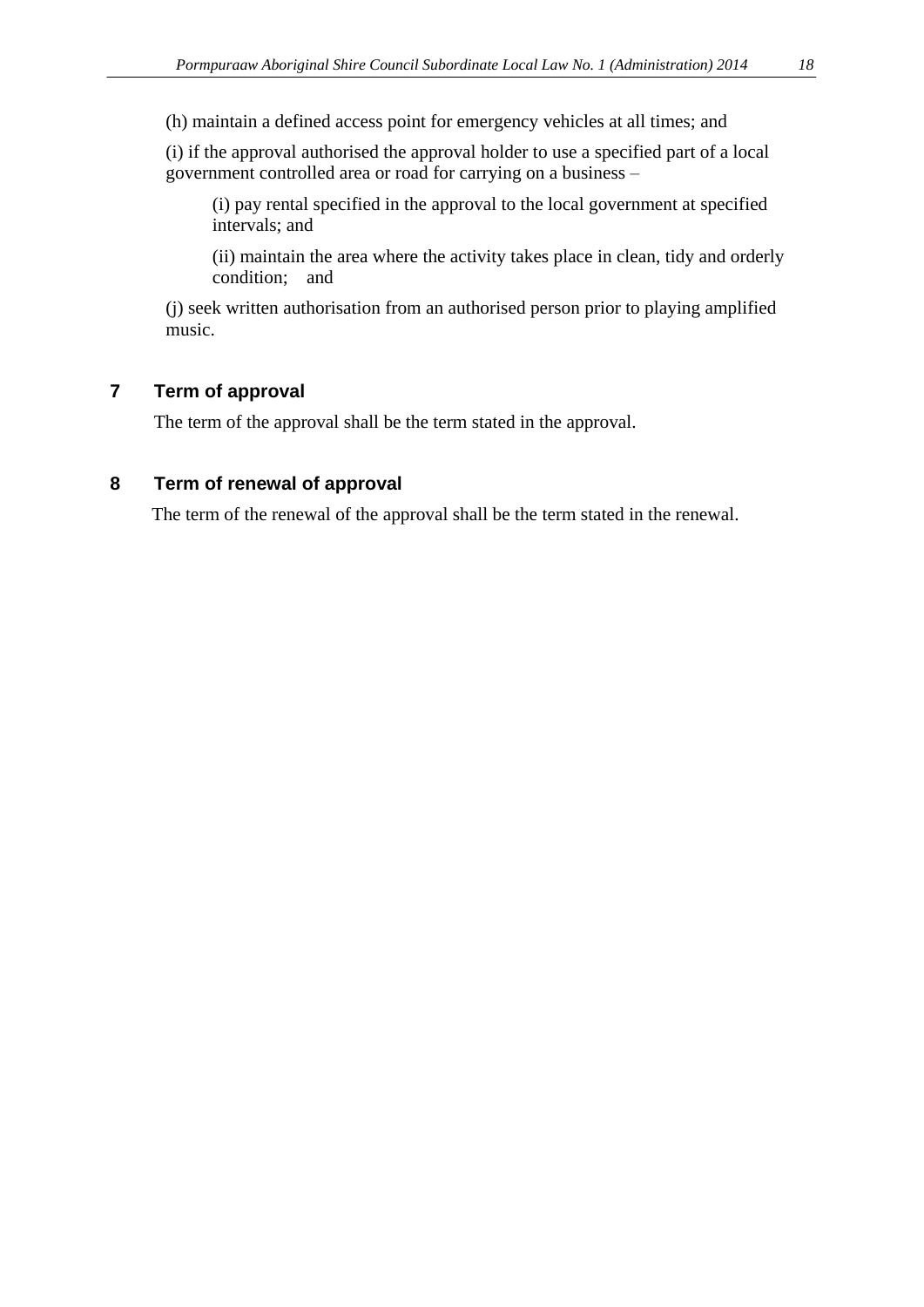(i) if the approval authorised the approval holder to use a specified part of a local government controlled area or road for carrying on a business –

(i) pay rental specified in the approval to the local government at specified intervals; and

(ii) maintain the area where the activity takes place in clean, tidy and orderly condition; and

(j) seek written authorisation from an authorised person prior to playing amplified music.

#### **7 Term of approval**

The term of the approval shall be the term stated in the approval.

#### **8 Term of renewal of approval**

The term of the renewal of the approval shall be the term stated in the renewal.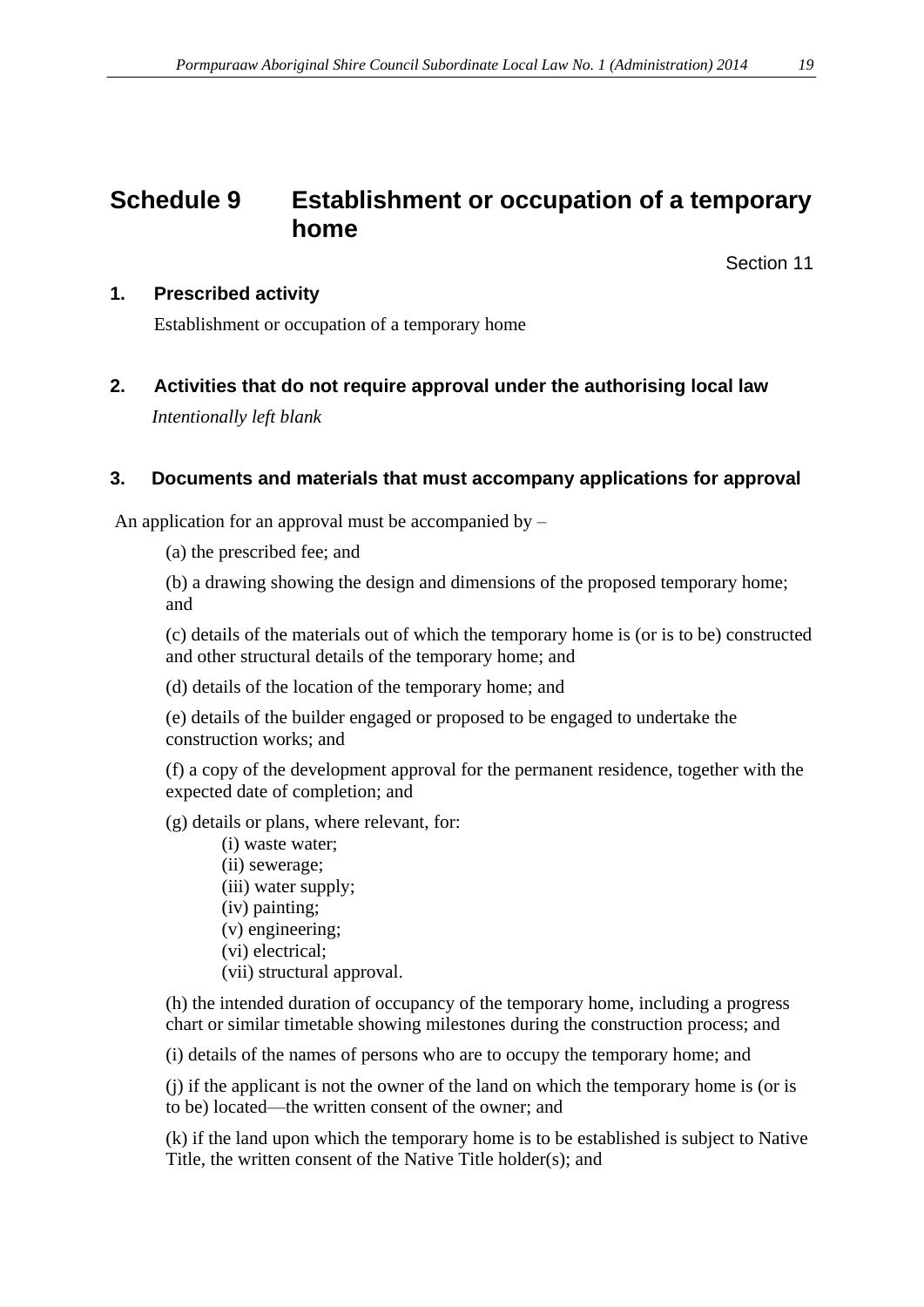# **Schedule 9 Establishment or occupation of a temporary home**

Section 11

#### **1. Prescribed activity**

Establishment or occupation of a temporary home

**2. Activities that do not require approval under the authorising local law** *Intentionally left blank*

#### **3. Documents and materials that must accompany applications for approval**

An application for an approval must be accompanied by  $-$ 

(a) the prescribed fee; and

(b) a drawing showing the design and dimensions of the proposed temporary home; and

(c) details of the materials out of which the temporary home is (or is to be) constructed and other structural details of the temporary home; and

(d) details of the location of the temporary home; and

(e) details of the builder engaged or proposed to be engaged to undertake the construction works; and

(f) a copy of the development approval for the permanent residence, together with the expected date of completion; and

(g) details or plans, where relevant, for:

- (i) waste water; (ii) sewerage; (iii) water supply; (iv) painting; (v) engineering; (vi) electrical;
- (vii) structural approval.

(h) the intended duration of occupancy of the temporary home, including a progress chart or similar timetable showing milestones during the construction process; and

(i) details of the names of persons who are to occupy the temporary home; and

(j) if the applicant is not the owner of the land on which the temporary home is (or is to be) located—the written consent of the owner; and

(k) if the land upon which the temporary home is to be established is subject to Native Title, the written consent of the Native Title holder(s); and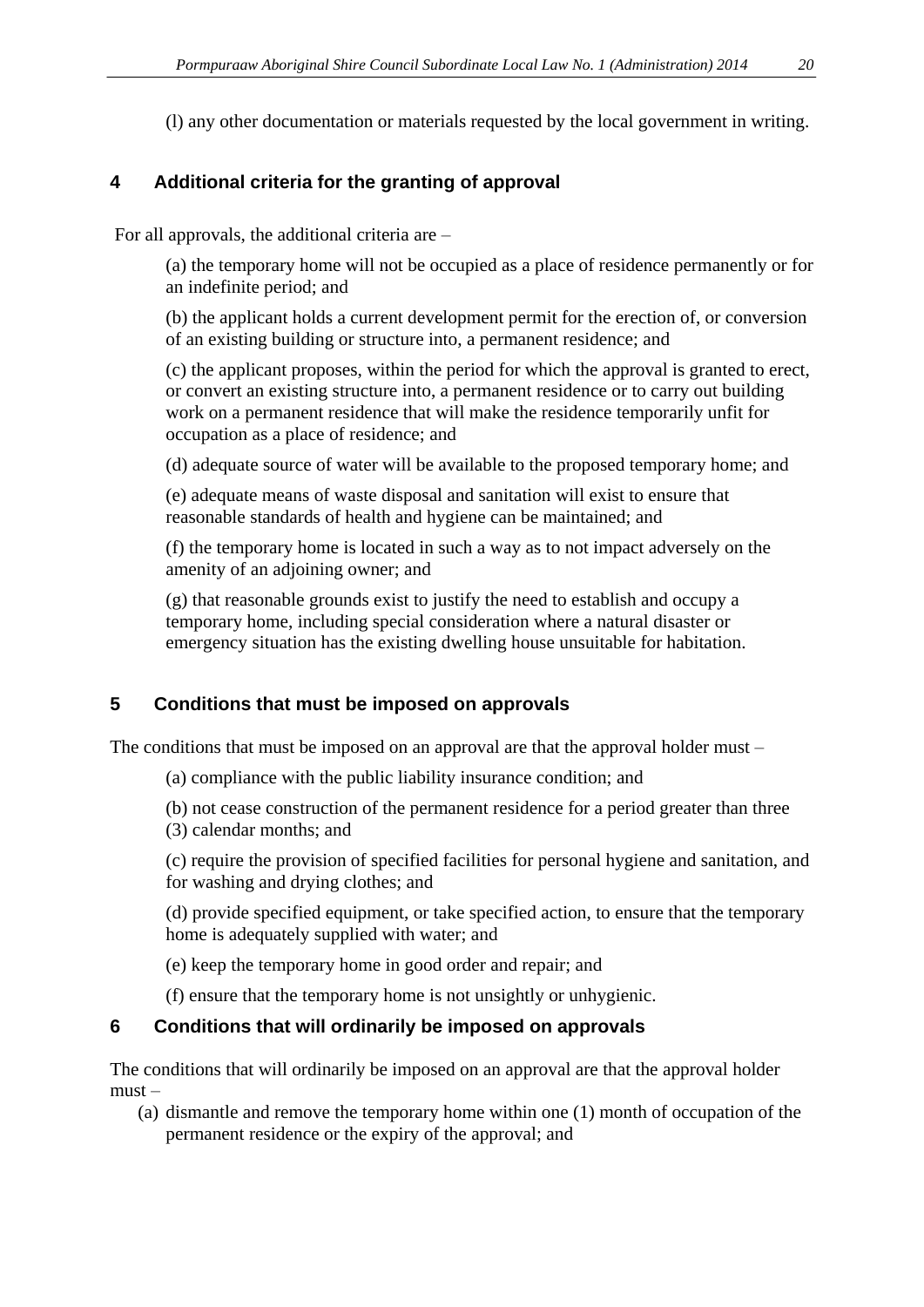(l) any other documentation or materials requested by the local government in writing.

# **4 Additional criteria for the granting of approval**

For all approvals, the additional criteria are –

(a) the temporary home will not be occupied as a place of residence permanently or for an indefinite period; and

(b) the applicant holds a current development permit for the erection of, or conversion of an existing building or structure into, a permanent residence; and

(c) the applicant proposes, within the period for which the approval is granted to erect, or convert an existing structure into, a permanent residence or to carry out building work on a permanent residence that will make the residence temporarily unfit for occupation as a place of residence; and

(d) adequate source of water will be available to the proposed temporary home; and

(e) adequate means of waste disposal and sanitation will exist to ensure that reasonable standards of health and hygiene can be maintained; and

(f) the temporary home is located in such a way as to not impact adversely on the amenity of an adjoining owner; and

(g) that reasonable grounds exist to justify the need to establish and occupy a temporary home, including special consideration where a natural disaster or emergency situation has the existing dwelling house unsuitable for habitation.

# **5 Conditions that must be imposed on approvals**

The conditions that must be imposed on an approval are that the approval holder must –

- (a) compliance with the public liability insurance condition; and
- (b) not cease construction of the permanent residence for a period greater than three (3) calendar months; and
- (c) require the provision of specified facilities for personal hygiene and sanitation, and for washing and drying clothes; and

(d) provide specified equipment, or take specified action, to ensure that the temporary home is adequately supplied with water; and

(e) keep the temporary home in good order and repair; and

(f) ensure that the temporary home is not unsightly or unhygienic.

# **6 Conditions that will ordinarily be imposed on approvals**

The conditions that will ordinarily be imposed on an approval are that the approval holder must –

(a) dismantle and remove the temporary home within one (1) month of occupation of the permanent residence or the expiry of the approval; and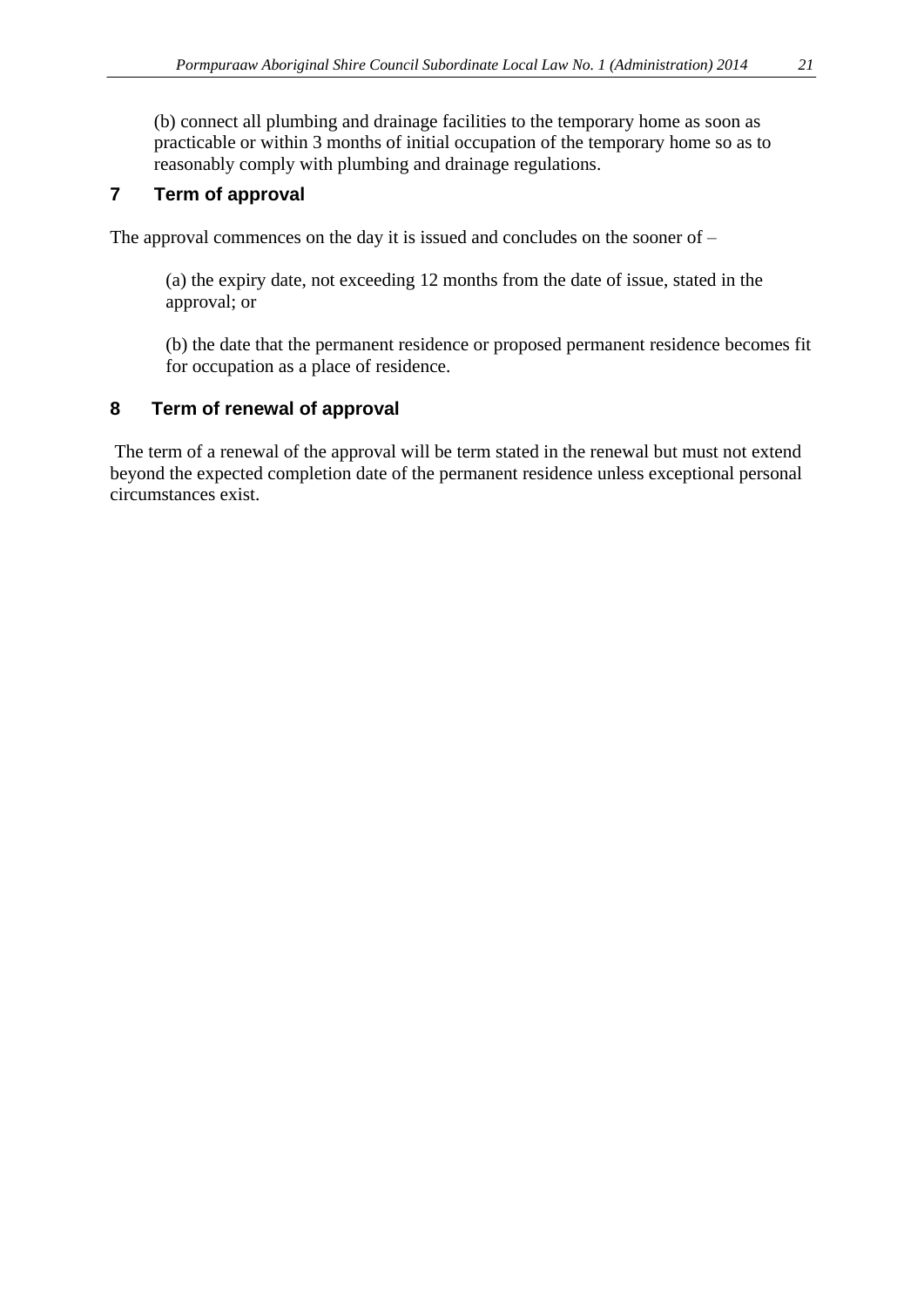(b) connect all plumbing and drainage facilities to the temporary home as soon as practicable or within 3 months of initial occupation of the temporary home so as to reasonably comply with plumbing and drainage regulations.

### **7 Term of approval**

The approval commences on the day it is issued and concludes on the sooner of –

(a) the expiry date, not exceeding 12 months from the date of issue, stated in the approval; or

(b) the date that the permanent residence or proposed permanent residence becomes fit for occupation as a place of residence.

#### **8 Term of renewal of approval**

The term of a renewal of the approval will be term stated in the renewal but must not extend beyond the expected completion date of the permanent residence unless exceptional personal circumstances exist.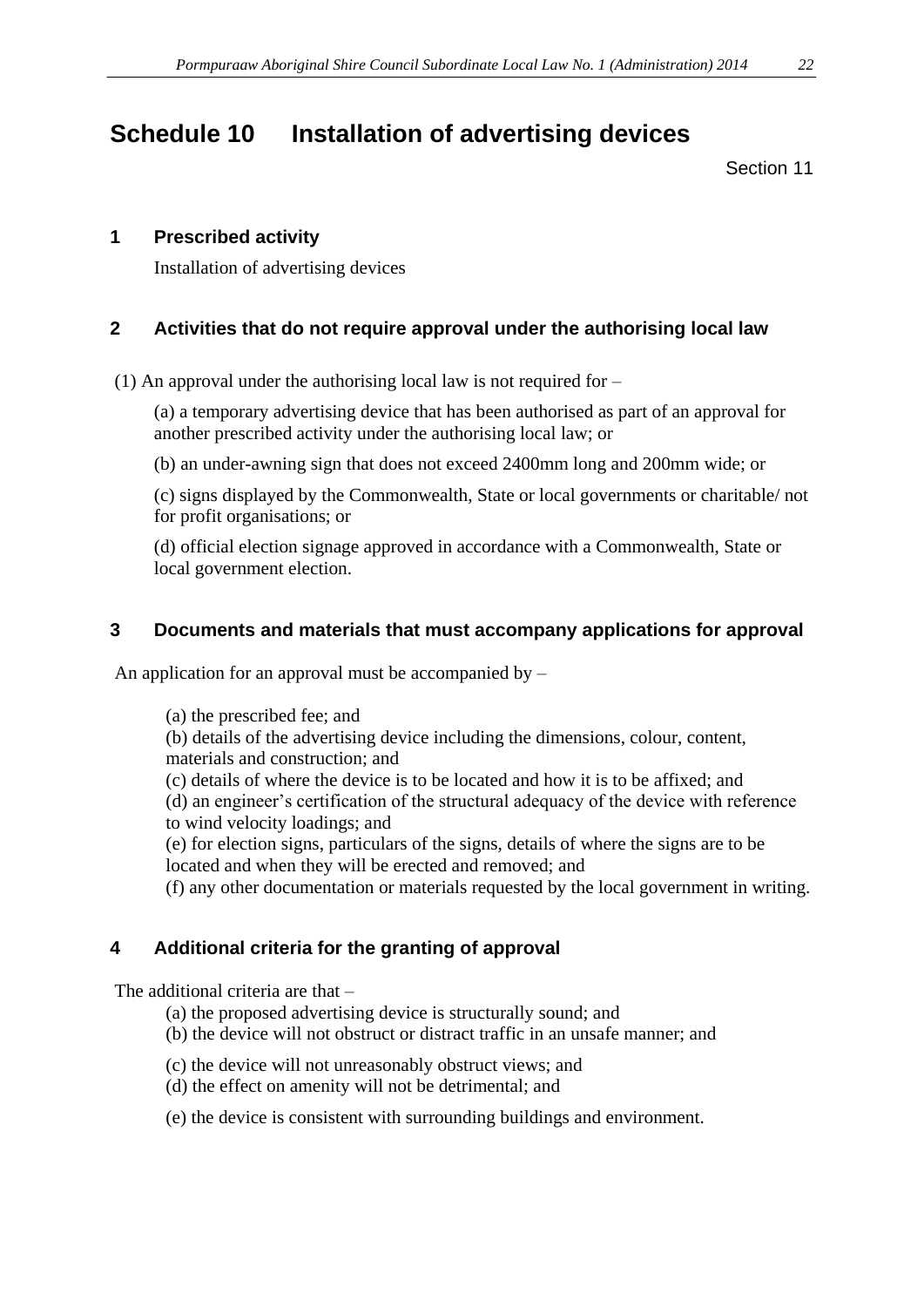# **Schedule 10 Installation of advertising devices**

#### Section 11

#### **1 Prescribed activity**

Installation of advertising devices

#### **2 Activities that do not require approval under the authorising local law**

(1) An approval under the authorising local law is not required for –

(a) a temporary advertising device that has been authorised as part of an approval for another prescribed activity under the authorising local law; or

(b) an under-awning sign that does not exceed 2400mm long and 200mm wide; or

(c) signs displayed by the Commonwealth, State or local governments or charitable/ not for profit organisations; or

(d) official election signage approved in accordance with a Commonwealth, State or local government election.

#### **3 Documents and materials that must accompany applications for approval**

An application for an approval must be accompanied by  $-$ 

(a) the prescribed fee; and

(b) details of the advertising device including the dimensions, colour, content, materials and construction; and

(c) details of where the device is to be located and how it is to be affixed; and

(d) an engineer's certification of the structural adequacy of the device with reference to wind velocity loadings; and

(e) for election signs, particulars of the signs, details of where the signs are to be located and when they will be erected and removed; and

(f) any other documentation or materials requested by the local government in writing.

#### **4 Additional criteria for the granting of approval**

The additional criteria are that –

- (a) the proposed advertising device is structurally sound; and
- (b) the device will not obstruct or distract traffic in an unsafe manner; and
- (c) the device will not unreasonably obstruct views; and
- (d) the effect on amenity will not be detrimental; and
- (e) the device is consistent with surrounding buildings and environment.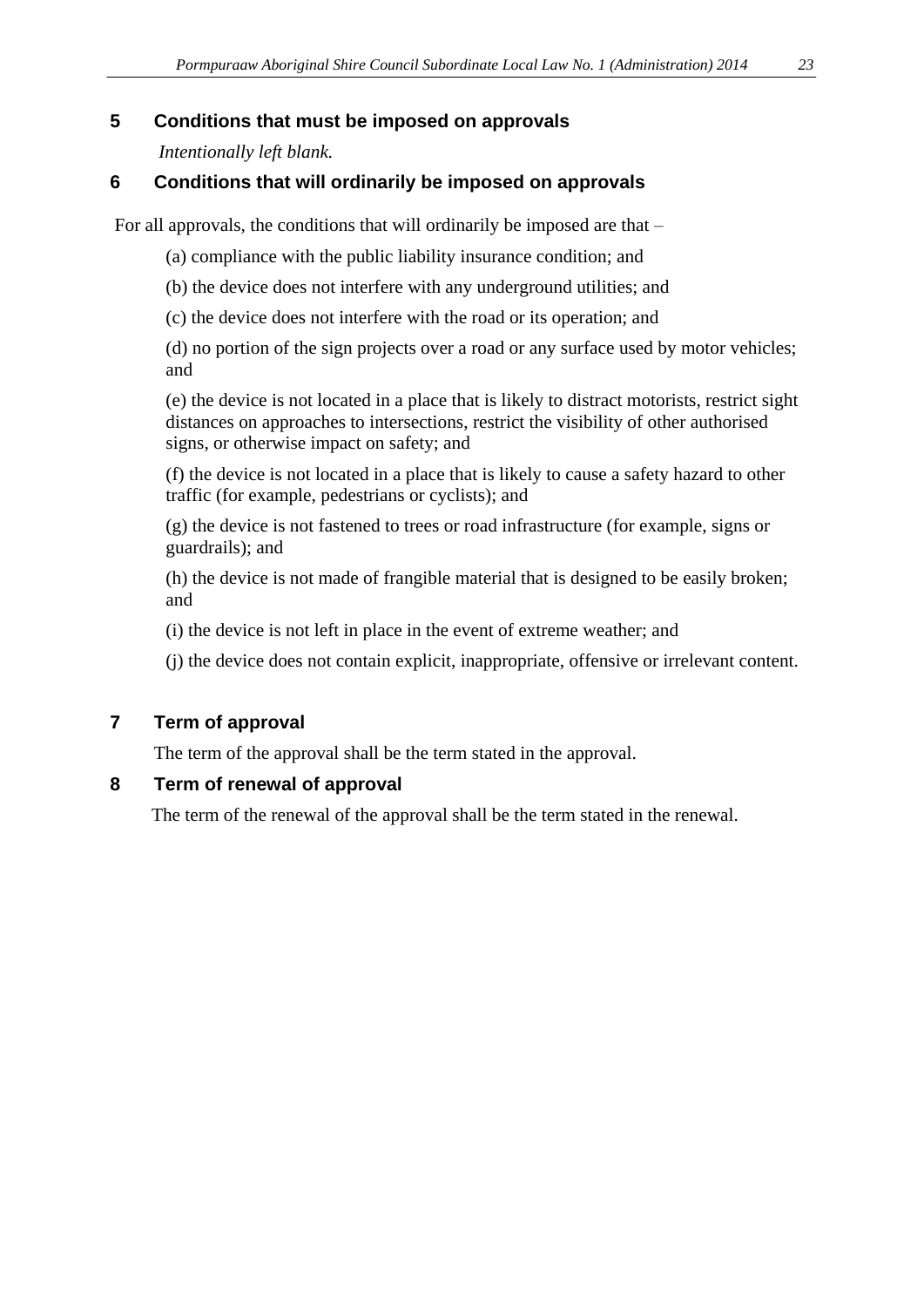#### **5 Conditions that must be imposed on approvals**

*Intentionally left blank.*

## **6 Conditions that will ordinarily be imposed on approvals**

For all approvals, the conditions that will ordinarily be imposed are that –

- (a) compliance with the public liability insurance condition; and
- (b) the device does not interfere with any underground utilities; and
- (c) the device does not interfere with the road or its operation; and

(d) no portion of the sign projects over a road or any surface used by motor vehicles; and

(e) the device is not located in a place that is likely to distract motorists, restrict sight distances on approaches to intersections, restrict the visibility of other authorised signs, or otherwise impact on safety; and

(f) the device is not located in a place that is likely to cause a safety hazard to other traffic (for example, pedestrians or cyclists); and

(g) the device is not fastened to trees or road infrastructure (for example, signs or guardrails); and

(h) the device is not made of frangible material that is designed to be easily broken; and

(i) the device is not left in place in the event of extreme weather; and

(j) the device does not contain explicit, inappropriate, offensive or irrelevant content.

# **7 Term of approval**

The term of the approval shall be the term stated in the approval.

#### **8 Term of renewal of approval**

The term of the renewal of the approval shall be the term stated in the renewal.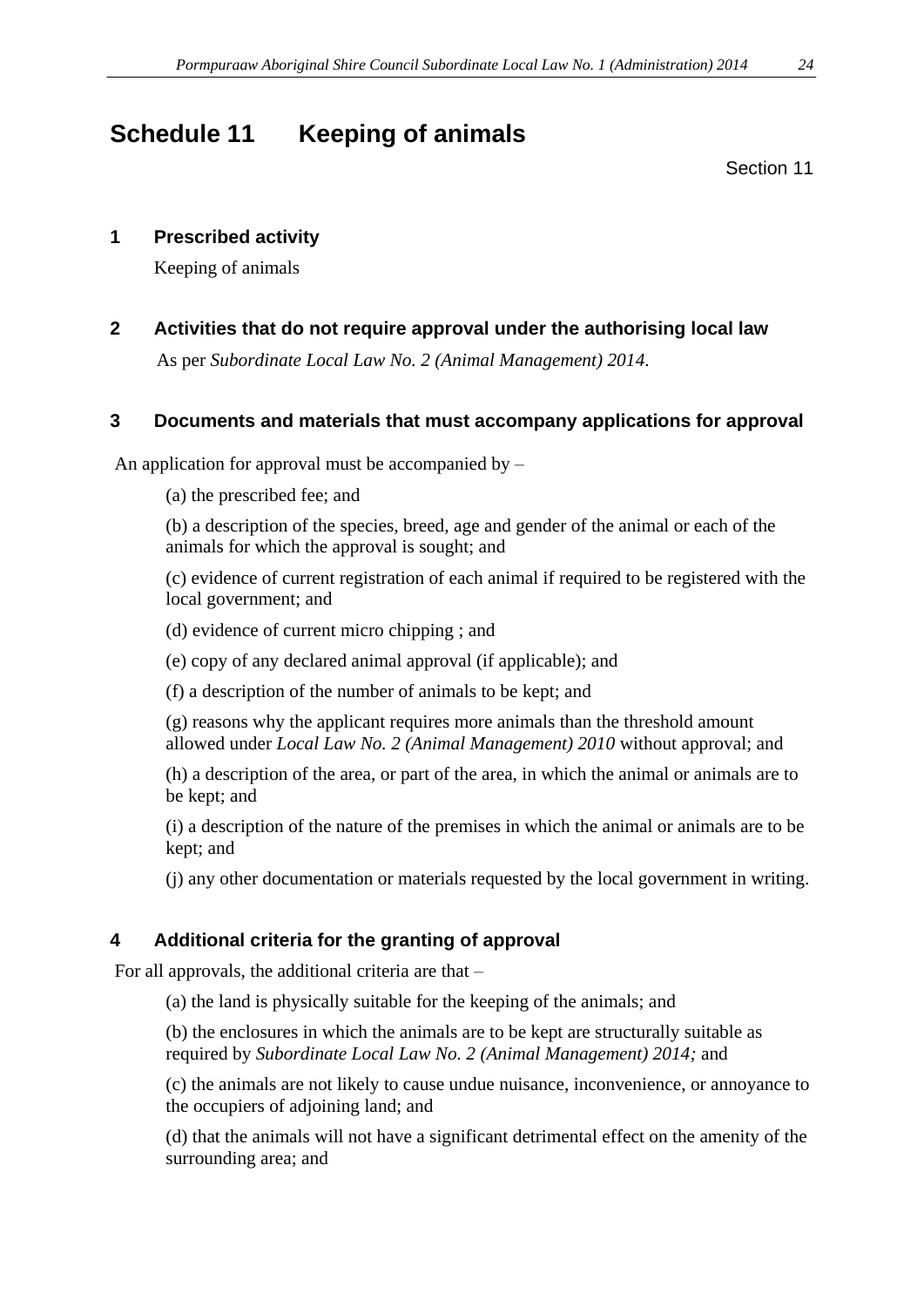# **Schedule 11 Keeping of animals**

Section 11

### **1 Prescribed activity**

Keeping of animals

**2 Activities that do not require approval under the authorising local law**

As per *Subordinate Local Law No. 2 (Animal Management) 2014*.

## **3 Documents and materials that must accompany applications for approval**

An application for approval must be accompanied by –

(a) the prescribed fee; and

(b) a description of the species, breed, age and gender of the animal or each of the animals for which the approval is sought; and

(c) evidence of current registration of each animal if required to be registered with the local government; and

(d) evidence of current micro chipping ; and

(e) copy of any declared animal approval (if applicable); and

(f) a description of the number of animals to be kept; and

(g) reasons why the applicant requires more animals than the threshold amount allowed under *Local Law No. 2 (Animal Management) 2010* without approval; and

(h) a description of the area, or part of the area, in which the animal or animals are to be kept; and

(i) a description of the nature of the premises in which the animal or animals are to be kept; and

(j) any other documentation or materials requested by the local government in writing.

# **4 Additional criteria for the granting of approval**

For all approvals, the additional criteria are that –

(a) the land is physically suitable for the keeping of the animals; and

(b) the enclosures in which the animals are to be kept are structurally suitable as required by *Subordinate Local Law No. 2 (Animal Management) 2014;* and

(c) the animals are not likely to cause undue nuisance, inconvenience, or annoyance to the occupiers of adjoining land; and

(d) that the animals will not have a significant detrimental effect on the amenity of the surrounding area; and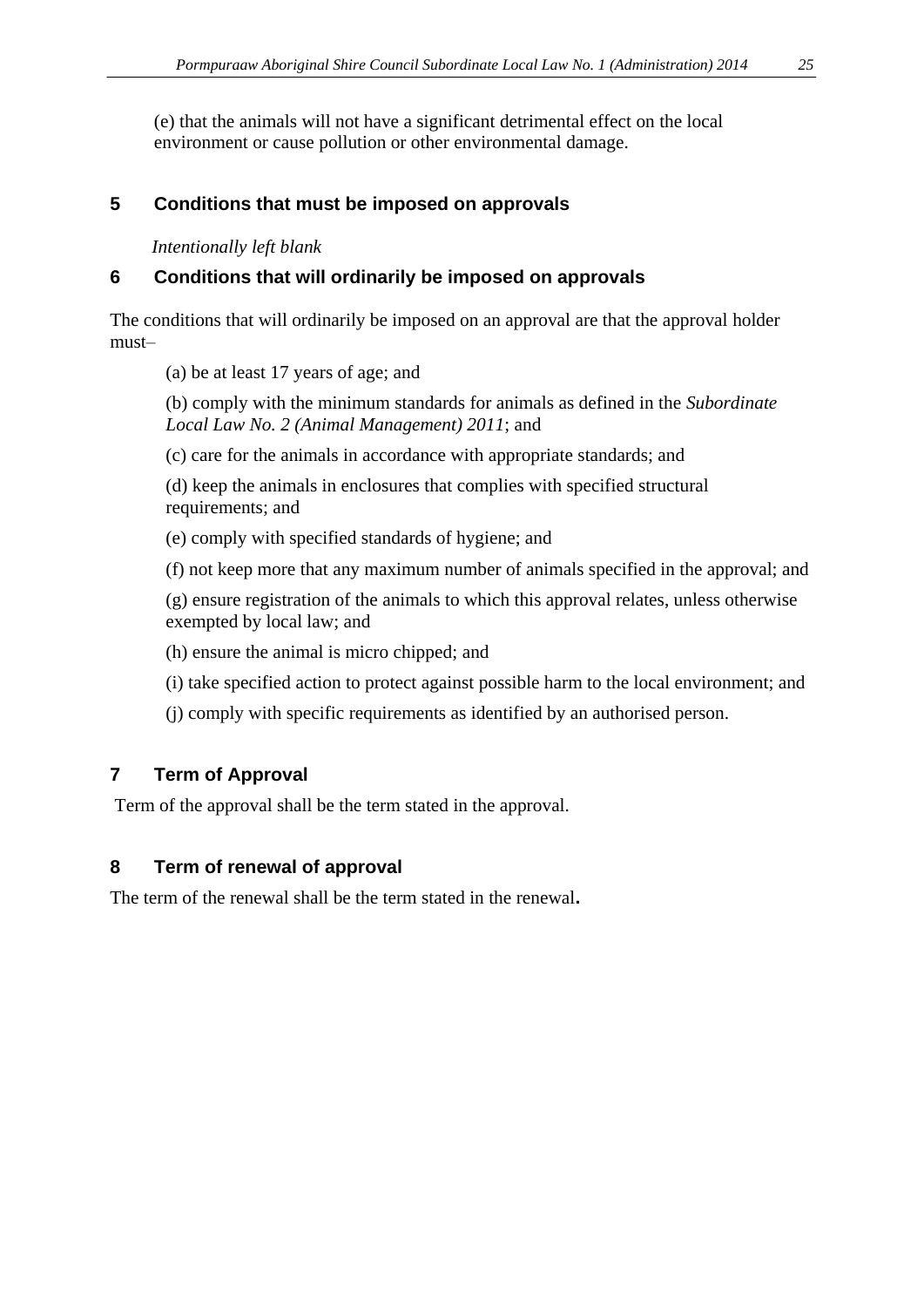(e) that the animals will not have a significant detrimental effect on the local environment or cause pollution or other environmental damage.

### **5 Conditions that must be imposed on approvals**

*Intentionally left blank*

### **6 Conditions that will ordinarily be imposed on approvals**

The conditions that will ordinarily be imposed on an approval are that the approval holder must–

(a) be at least 17 years of age; and

(b) comply with the minimum standards for animals as defined in the *Subordinate Local Law No. 2 (Animal Management) 2011*; and

(c) care for the animals in accordance with appropriate standards; and

(d) keep the animals in enclosures that complies with specified structural requirements; and

(e) comply with specified standards of hygiene; and

(f) not keep more that any maximum number of animals specified in the approval; and

(g) ensure registration of the animals to which this approval relates, unless otherwise exempted by local law; and

(h) ensure the animal is micro chipped; and

(i) take specified action to protect against possible harm to the local environment; and

(j) comply with specific requirements as identified by an authorised person.

# **7 Term of Approval**

Term of the approval shall be the term stated in the approval.

# **8 Term of renewal of approval**

The term of the renewal shall be the term stated in the renewal**.**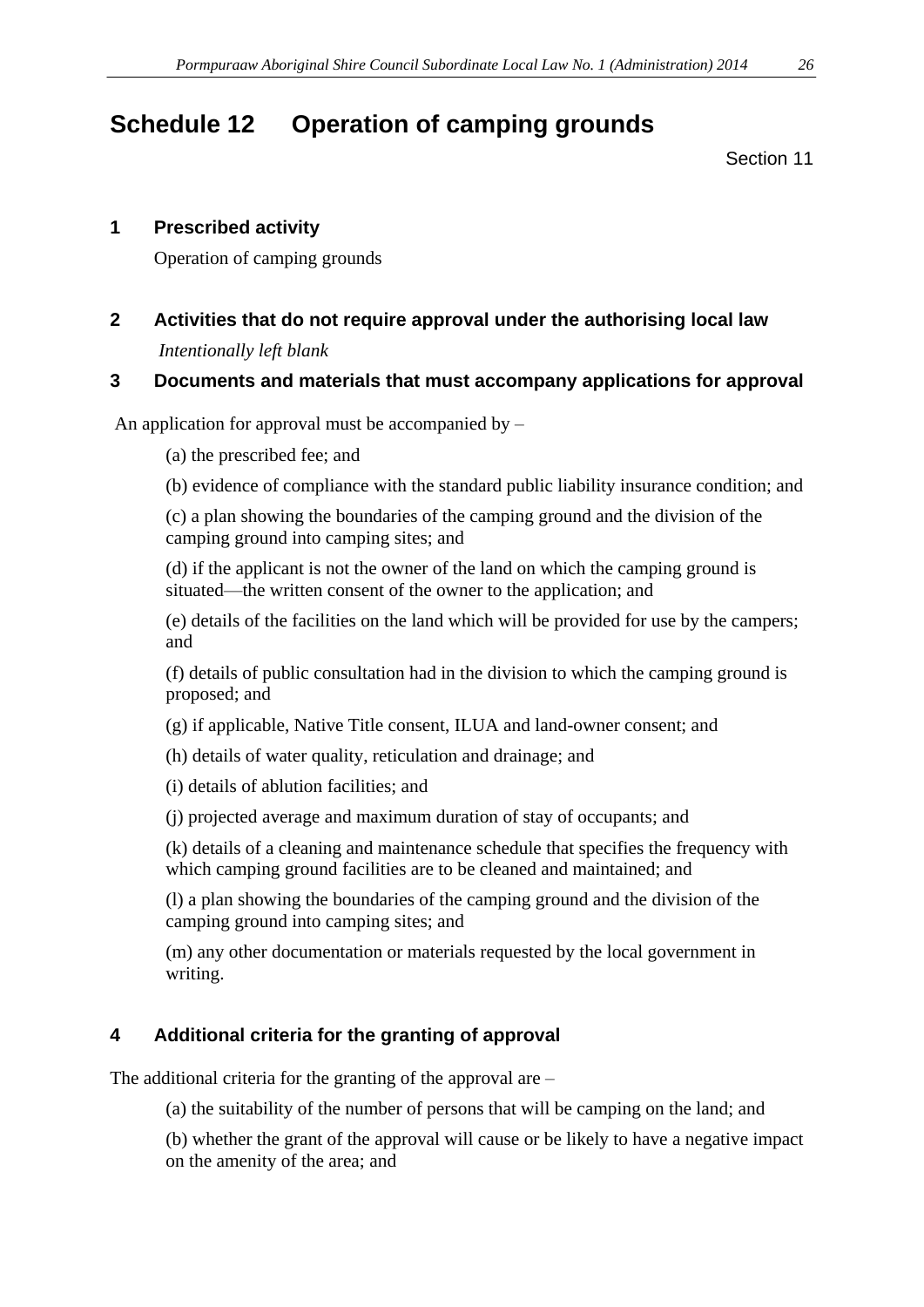# **Schedule 12 Operation of camping grounds**

Section 11

#### **1 Prescribed activity**

Operation of camping grounds

## **2 Activities that do not require approval under the authorising local law**

*Intentionally left blank*

#### **3 Documents and materials that must accompany applications for approval**

An application for approval must be accompanied by  $-$ 

(a) the prescribed fee; and

(b) evidence of compliance with the standard public liability insurance condition; and

(c) a plan showing the boundaries of the camping ground and the division of the camping ground into camping sites; and

(d) if the applicant is not the owner of the land on which the camping ground is situated—the written consent of the owner to the application; and

(e) details of the facilities on the land which will be provided for use by the campers; and

(f) details of public consultation had in the division to which the camping ground is proposed; and

- (g) if applicable, Native Title consent, ILUA and land-owner consent; and
- (h) details of water quality, reticulation and drainage; and

(i) details of ablution facilities; and

(j) projected average and maximum duration of stay of occupants; and

(k) details of a cleaning and maintenance schedule that specifies the frequency with which camping ground facilities are to be cleaned and maintained; and

(l) a plan showing the boundaries of the camping ground and the division of the camping ground into camping sites; and

(m) any other documentation or materials requested by the local government in writing.

#### **4 Additional criteria for the granting of approval**

The additional criteria for the granting of the approval are –

(a) the suitability of the number of persons that will be camping on the land; and

(b) whether the grant of the approval will cause or be likely to have a negative impact on the amenity of the area; and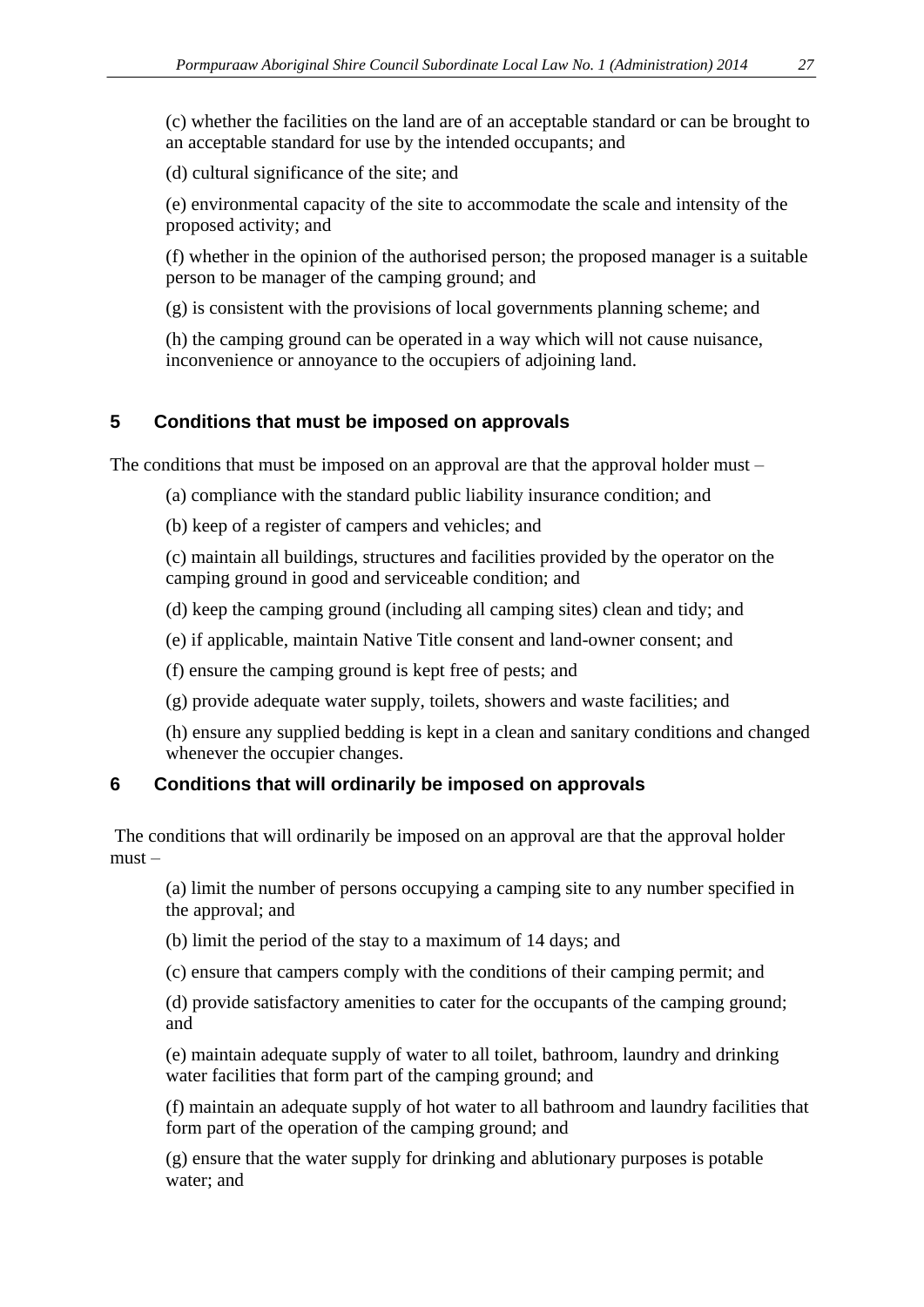(c) whether the facilities on the land are of an acceptable standard or can be brought to an acceptable standard for use by the intended occupants; and

(d) cultural significance of the site; and

(e) environmental capacity of the site to accommodate the scale and intensity of the proposed activity; and

(f) whether in the opinion of the authorised person; the proposed manager is a suitable person to be manager of the camping ground; and

(g) is consistent with the provisions of local governments planning scheme; and

(h) the camping ground can be operated in a way which will not cause nuisance, inconvenience or annoyance to the occupiers of adjoining land.

#### **5 Conditions that must be imposed on approvals**

The conditions that must be imposed on an approval are that the approval holder must –

(a) compliance with the standard public liability insurance condition; and

(b) keep of a register of campers and vehicles; and

(c) maintain all buildings, structures and facilities provided by the operator on the camping ground in good and serviceable condition; and

(d) keep the camping ground (including all camping sites) clean and tidy; and

(e) if applicable, maintain Native Title consent and land-owner consent; and

(f) ensure the camping ground is kept free of pests; and

(g) provide adequate water supply, toilets, showers and waste facilities; and

(h) ensure any supplied bedding is kept in a clean and sanitary conditions and changed whenever the occupier changes.

#### **6 Conditions that will ordinarily be imposed on approvals**

The conditions that will ordinarily be imposed on an approval are that the approval holder must –

(a) limit the number of persons occupying a camping site to any number specified in the approval; and

(b) limit the period of the stay to a maximum of 14 days; and

(c) ensure that campers comply with the conditions of their camping permit; and

(d) provide satisfactory amenities to cater for the occupants of the camping ground; and

(e) maintain adequate supply of water to all toilet, bathroom, laundry and drinking water facilities that form part of the camping ground; and

(f) maintain an adequate supply of hot water to all bathroom and laundry facilities that form part of the operation of the camping ground; and

(g) ensure that the water supply for drinking and ablutionary purposes is potable water; and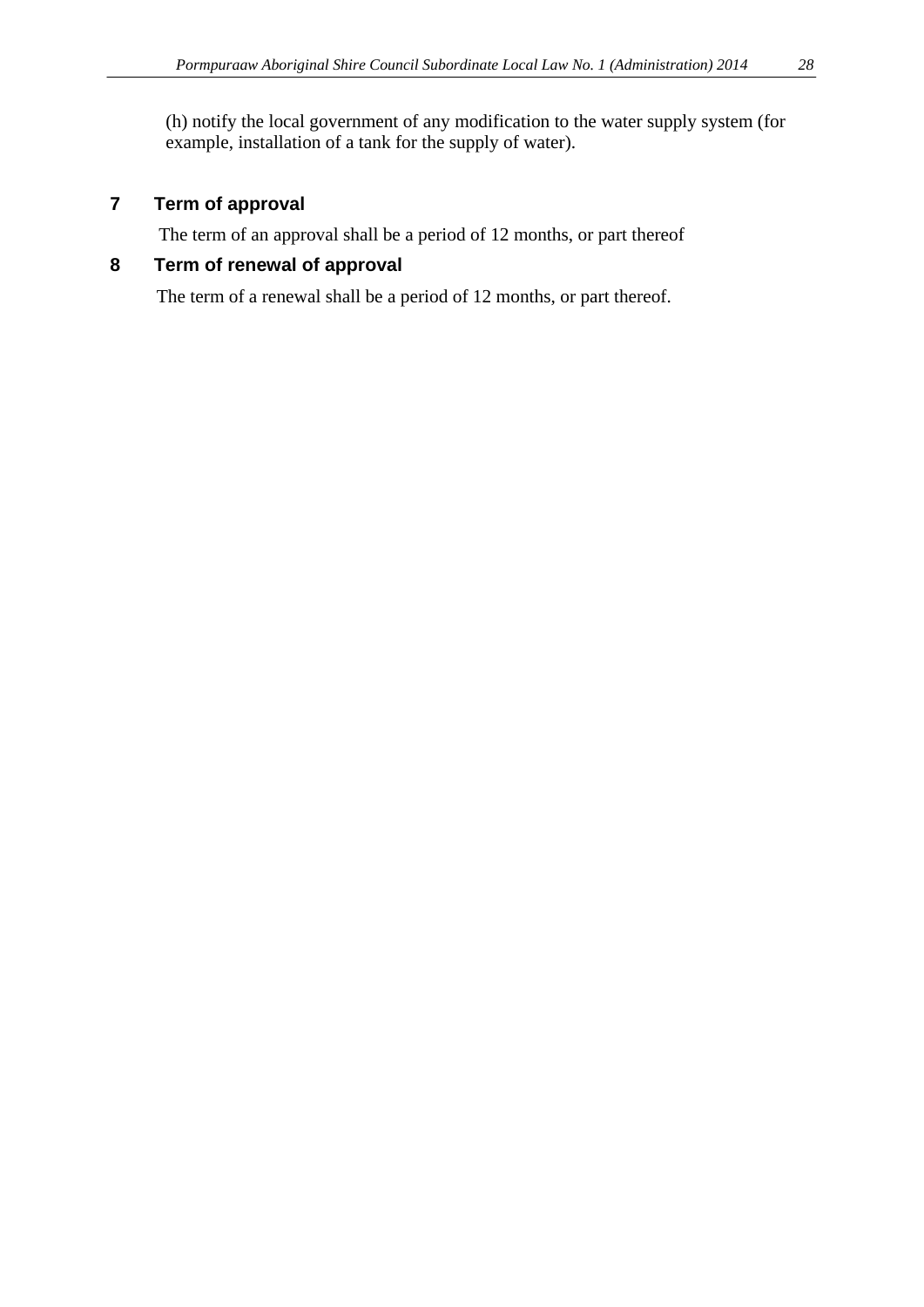(h) notify the local government of any modification to the water supply system (for example, installation of a tank for the supply of water).

# **7 Term of approval**

The term of an approval shall be a period of 12 months, or part thereof

# **8 Term of renewal of approval**

The term of a renewal shall be a period of 12 months, or part thereof.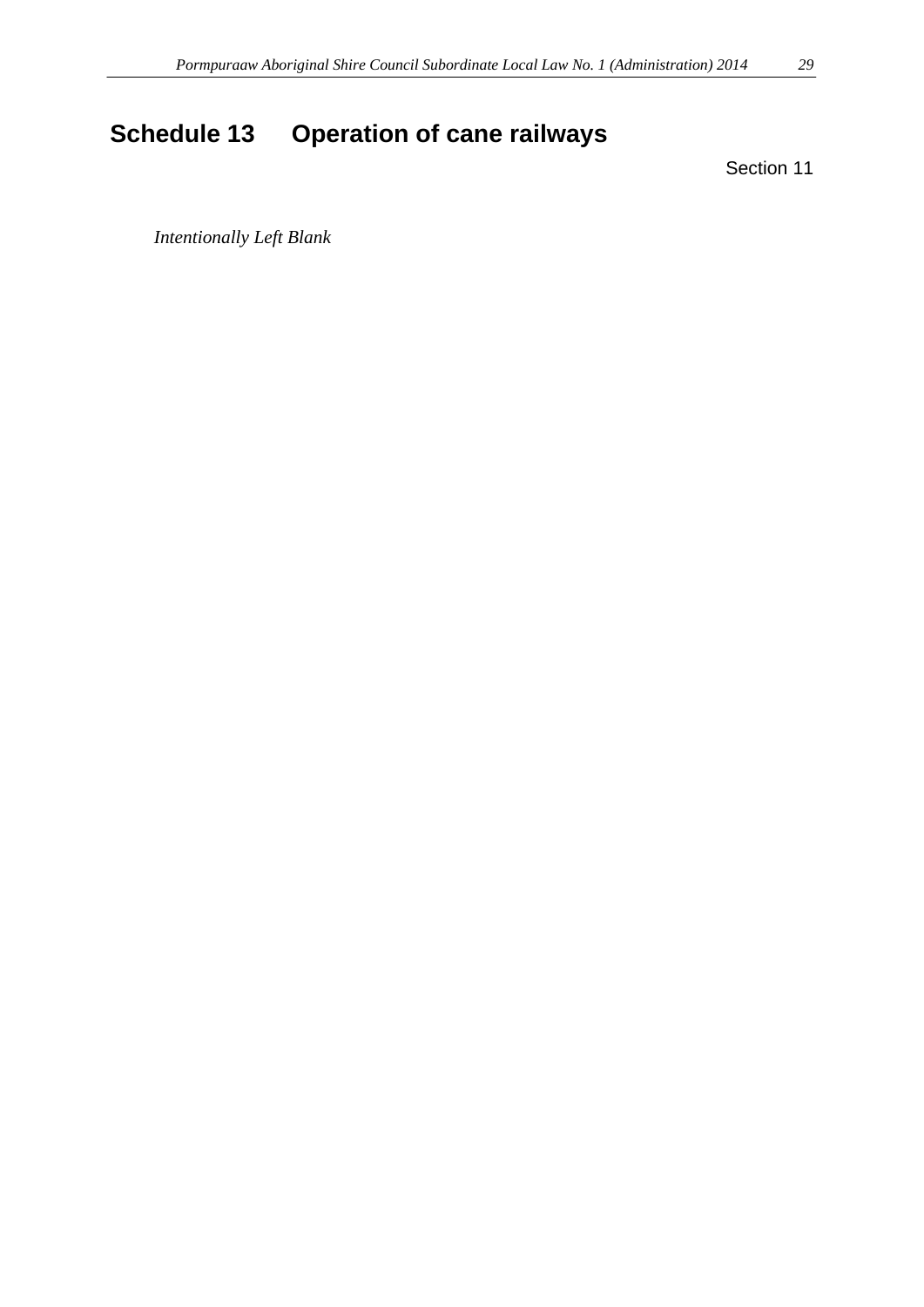# <span id="page-28-0"></span>**Schedule 13 Operation of cane railways**

Section 11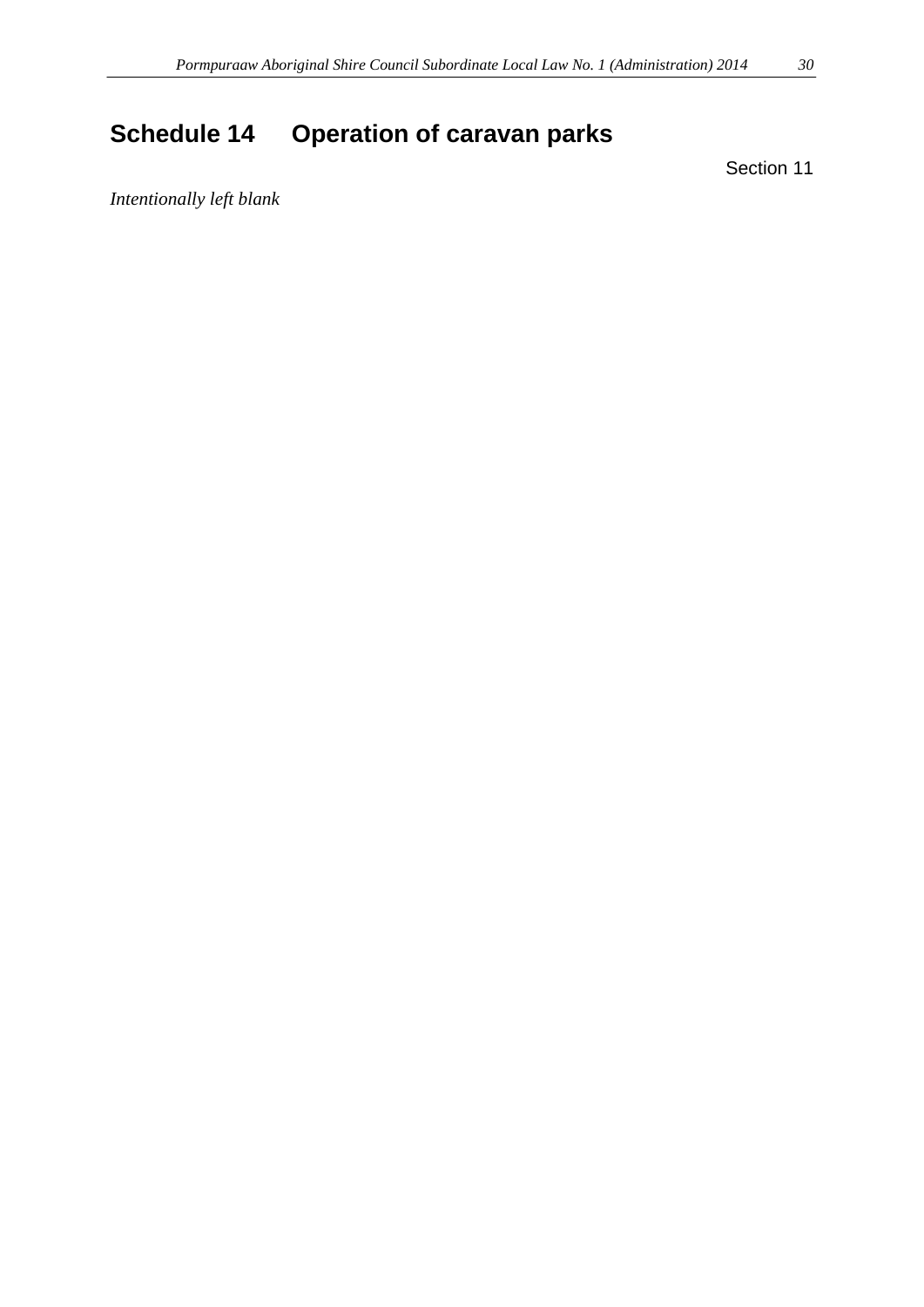# <span id="page-29-0"></span>**Schedule 14 Operation of caravan parks**

Section 11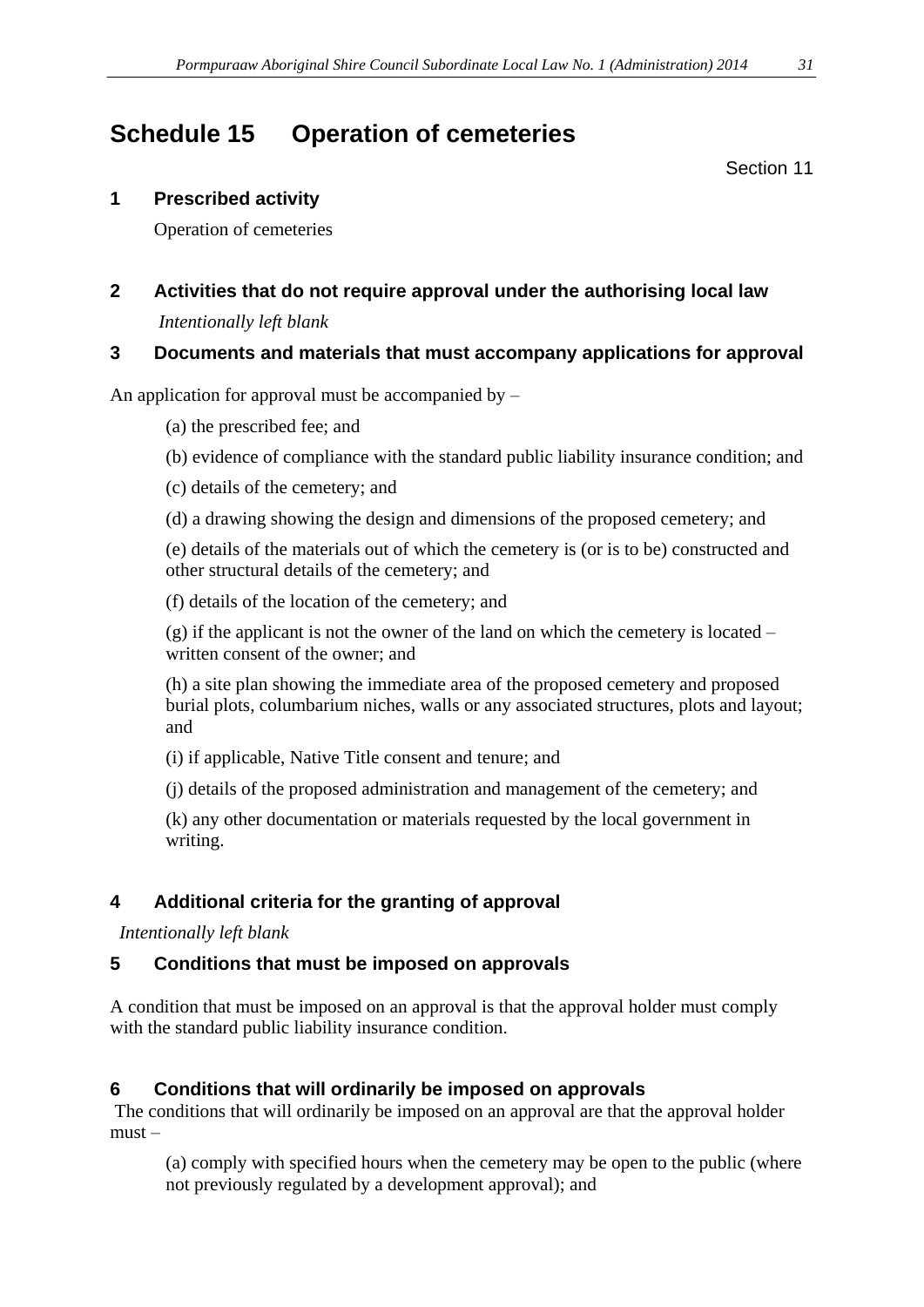# <span id="page-30-0"></span>**Schedule 15 Operation of cemeteries**

Section 11

## **1 Prescribed activity**

Operation of cemeteries

# **2 Activities that do not require approval under the authorising local law** *Intentionally left blank*

# **3 Documents and materials that must accompany applications for approval**

An application for approval must be accompanied by –

(a) the prescribed fee; and

- (b) evidence of compliance with the standard public liability insurance condition; and
- (c) details of the cemetery; and
- (d) a drawing showing the design and dimensions of the proposed cemetery; and

(e) details of the materials out of which the cemetery is (or is to be) constructed and other structural details of the cemetery; and

(f) details of the location of the cemetery; and

(g) if the applicant is not the owner of the land on which the cemetery is located – written consent of the owner; and

(h) a site plan showing the immediate area of the proposed cemetery and proposed burial plots, columbarium niches, walls or any associated structures, plots and layout; and

(i) if applicable, Native Title consent and tenure; and

(j) details of the proposed administration and management of the cemetery; and

(k) any other documentation or materials requested by the local government in writing.

# **4 Additional criteria for the granting of approval**

*Intentionally left blank*

# **5 Conditions that must be imposed on approvals**

A condition that must be imposed on an approval is that the approval holder must comply with the standard public liability insurance condition.

# **6 Conditions that will ordinarily be imposed on approvals**

The conditions that will ordinarily be imposed on an approval are that the approval holder must –

(a) comply with specified hours when the cemetery may be open to the public (where not previously regulated by a development approval); and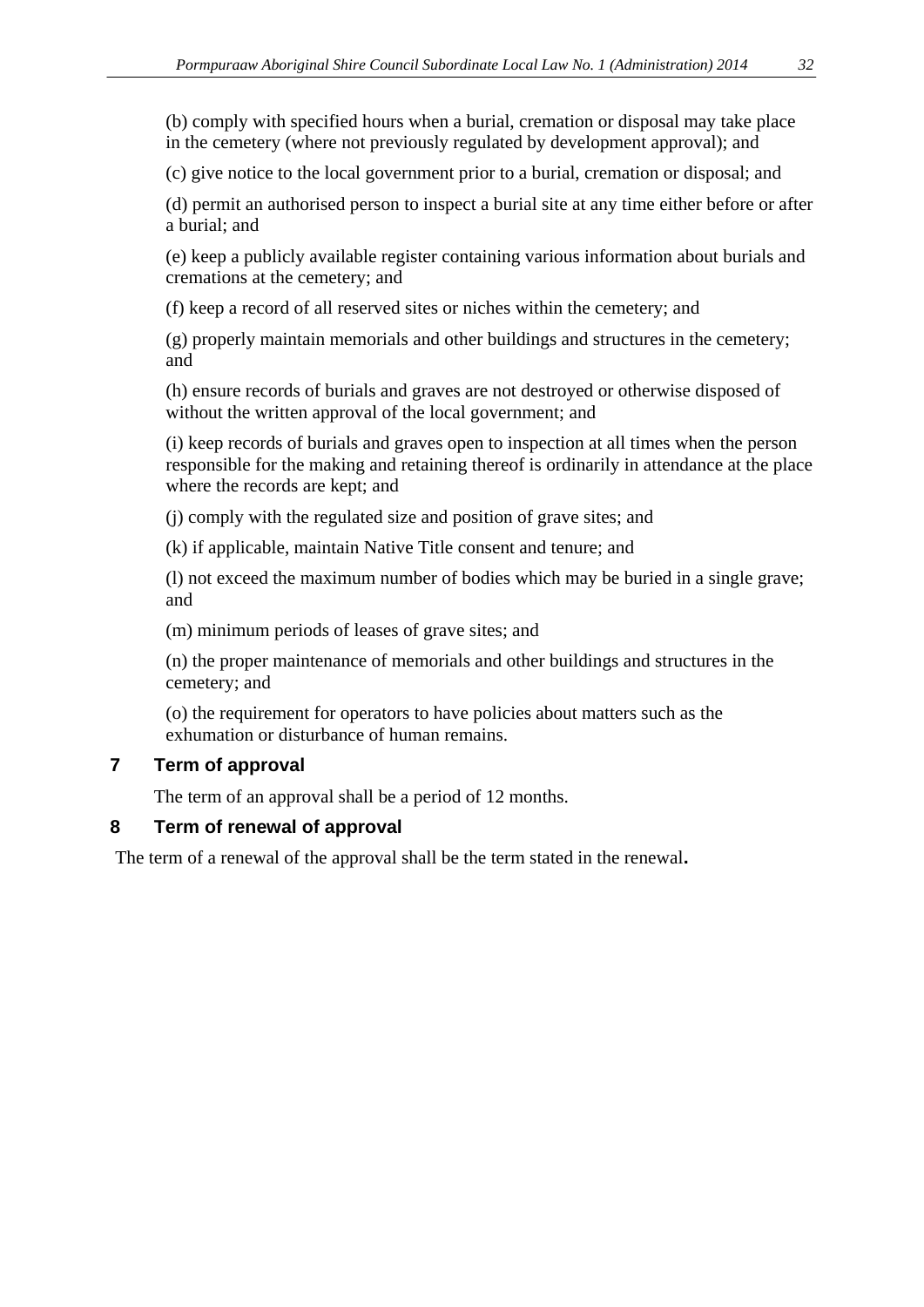(b) comply with specified hours when a burial, cremation or disposal may take place in the cemetery (where not previously regulated by development approval); and

(c) give notice to the local government prior to a burial, cremation or disposal; and

(d) permit an authorised person to inspect a burial site at any time either before or after a burial; and

(e) keep a publicly available register containing various information about burials and cremations at the cemetery; and

(f) keep a record of all reserved sites or niches within the cemetery; and

(g) properly maintain memorials and other buildings and structures in the cemetery; and

(h) ensure records of burials and graves are not destroyed or otherwise disposed of without the written approval of the local government; and

(i) keep records of burials and graves open to inspection at all times when the person responsible for the making and retaining thereof is ordinarily in attendance at the place where the records are kept; and

(j) comply with the regulated size and position of grave sites; and

(k) if applicable, maintain Native Title consent and tenure; and

(l) not exceed the maximum number of bodies which may be buried in a single grave; and

(m) minimum periods of leases of grave sites; and

(n) the proper maintenance of memorials and other buildings and structures in the cemetery; and

(o) the requirement for operators to have policies about matters such as the exhumation or disturbance of human remains.

#### **7 Term of approval**

The term of an approval shall be a period of 12 months.

#### **8 Term of renewal of approval**

The term of a renewal of the approval shall be the term stated in the renewal**.**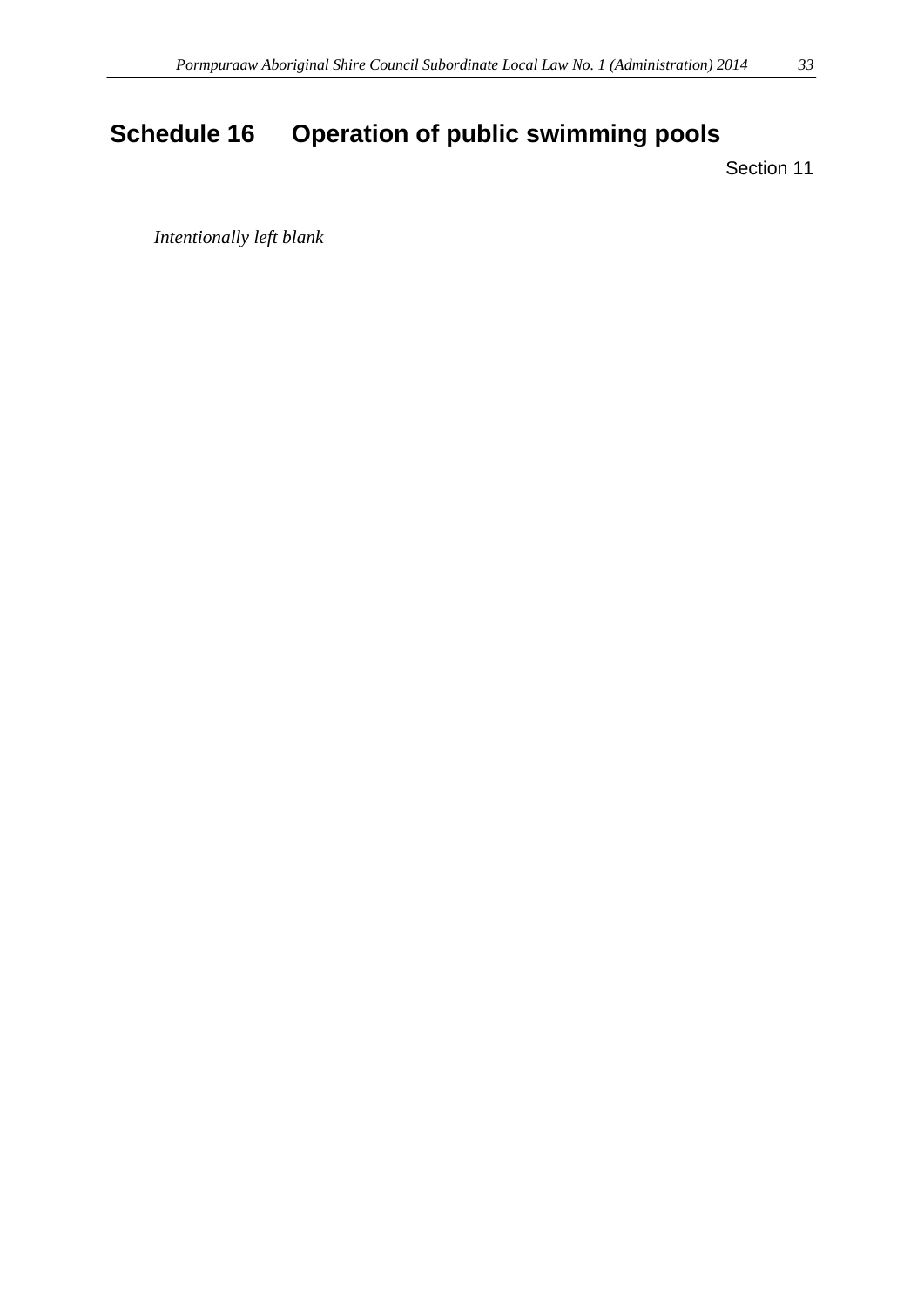# <span id="page-32-0"></span>**Schedule 16 Operation of public swimming pools**

Section 11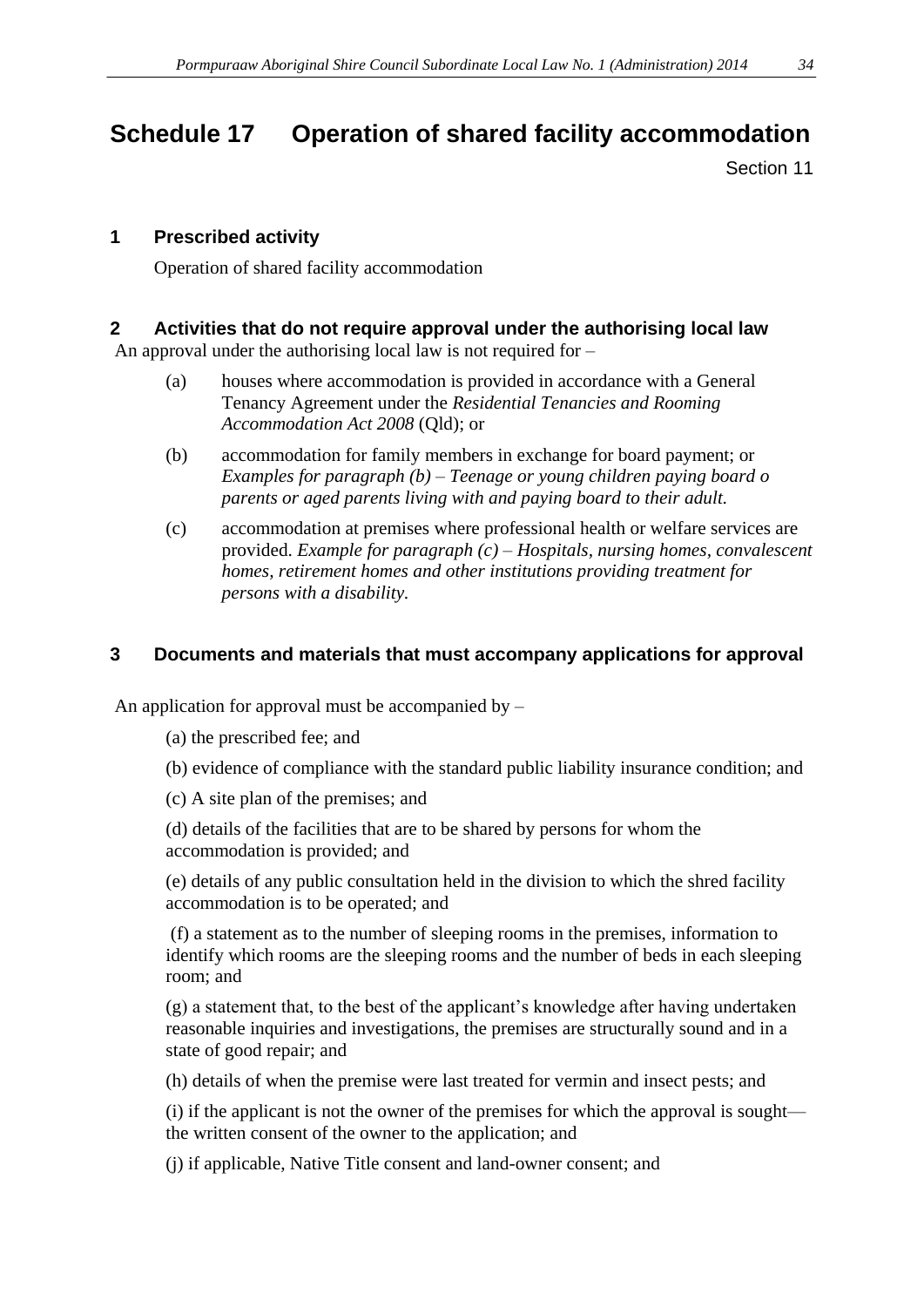# <span id="page-33-0"></span>**Schedule 17 Operation of shared facility accommodation**

Section 11

#### **1 Prescribed activity**

Operation of shared facility accommodation

#### **2 Activities that do not require approval under the authorising local law**

An approval under the authorising local law is not required for –

- (a) houses where accommodation is provided in accordance with a General Tenancy Agreement under the *Residential Tenancies and Rooming Accommodation Act 2008* (Qld); or
- (b) accommodation for family members in exchange for board payment; or *Examples for paragraph (b) – Teenage or young children paying board o parents or aged parents living with and paying board to their adult.*
- (c) accommodation at premises where professional health or welfare services are provided. *Example for paragraph (c) – Hospitals, nursing homes, convalescent homes, retirement homes and other institutions providing treatment for persons with a disability.*

#### **3 Documents and materials that must accompany applications for approval**

An application for approval must be accompanied by  $-$ 

- (a) the prescribed fee; and
- (b) evidence of compliance with the standard public liability insurance condition; and

(c) A site plan of the premises; and

(d) details of the facilities that are to be shared by persons for whom the accommodation is provided; and

(e) details of any public consultation held in the division to which the shred facility accommodation is to be operated; and

(f) a statement as to the number of sleeping rooms in the premises, information to identify which rooms are the sleeping rooms and the number of beds in each sleeping room; and

(g) a statement that, to the best of the applicant's knowledge after having undertaken reasonable inquiries and investigations, the premises are structurally sound and in a state of good repair; and

(h) details of when the premise were last treated for vermin and insect pests; and

(i) if the applicant is not the owner of the premises for which the approval is sought the written consent of the owner to the application; and

(j) if applicable, Native Title consent and land-owner consent; and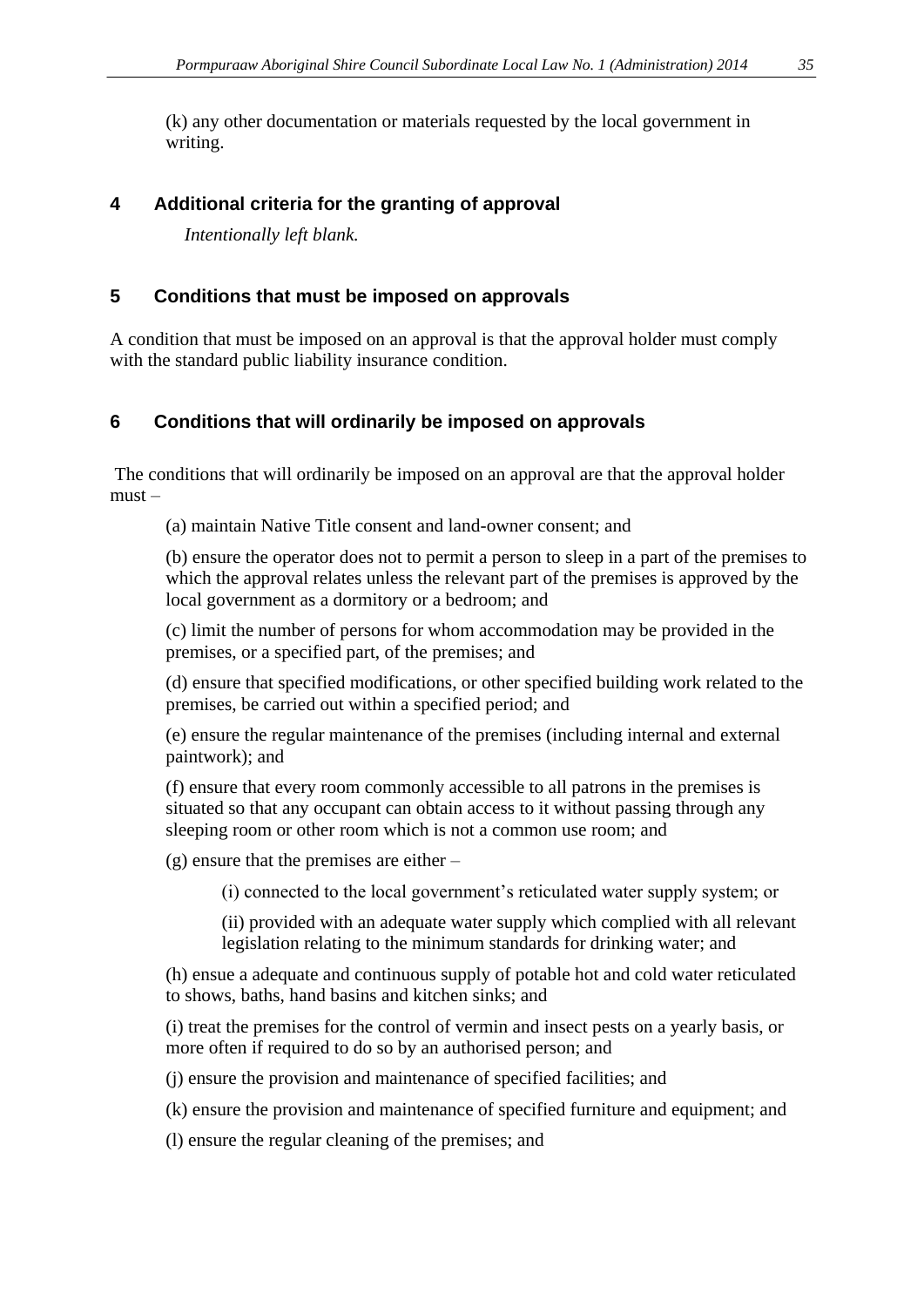(k) any other documentation or materials requested by the local government in writing.

## **4 Additional criteria for the granting of approval**

*Intentionally left blank.*

### **5 Conditions that must be imposed on approvals**

A condition that must be imposed on an approval is that the approval holder must comply with the standard public liability insurance condition.

# **6 Conditions that will ordinarily be imposed on approvals**

The conditions that will ordinarily be imposed on an approval are that the approval holder must –

(a) maintain Native Title consent and land-owner consent; and

(b) ensure the operator does not to permit a person to sleep in a part of the premises to which the approval relates unless the relevant part of the premises is approved by the local government as a dormitory or a bedroom; and

(c) limit the number of persons for whom accommodation may be provided in the premises, or a specified part, of the premises; and

(d) ensure that specified modifications, or other specified building work related to the premises, be carried out within a specified period; and

(e) ensure the regular maintenance of the premises (including internal and external paintwork); and

(f) ensure that every room commonly accessible to all patrons in the premises is situated so that any occupant can obtain access to it without passing through any sleeping room or other room which is not a common use room; and

(g) ensure that the premises are either –

(i) connected to the local government's reticulated water supply system; or

(ii) provided with an adequate water supply which complied with all relevant legislation relating to the minimum standards for drinking water; and

(h) ensue a adequate and continuous supply of potable hot and cold water reticulated to shows, baths, hand basins and kitchen sinks; and

(i) treat the premises for the control of vermin and insect pests on a yearly basis, or more often if required to do so by an authorised person; and

(j) ensure the provision and maintenance of specified facilities; and

(k) ensure the provision and maintenance of specified furniture and equipment; and

(l) ensure the regular cleaning of the premises; and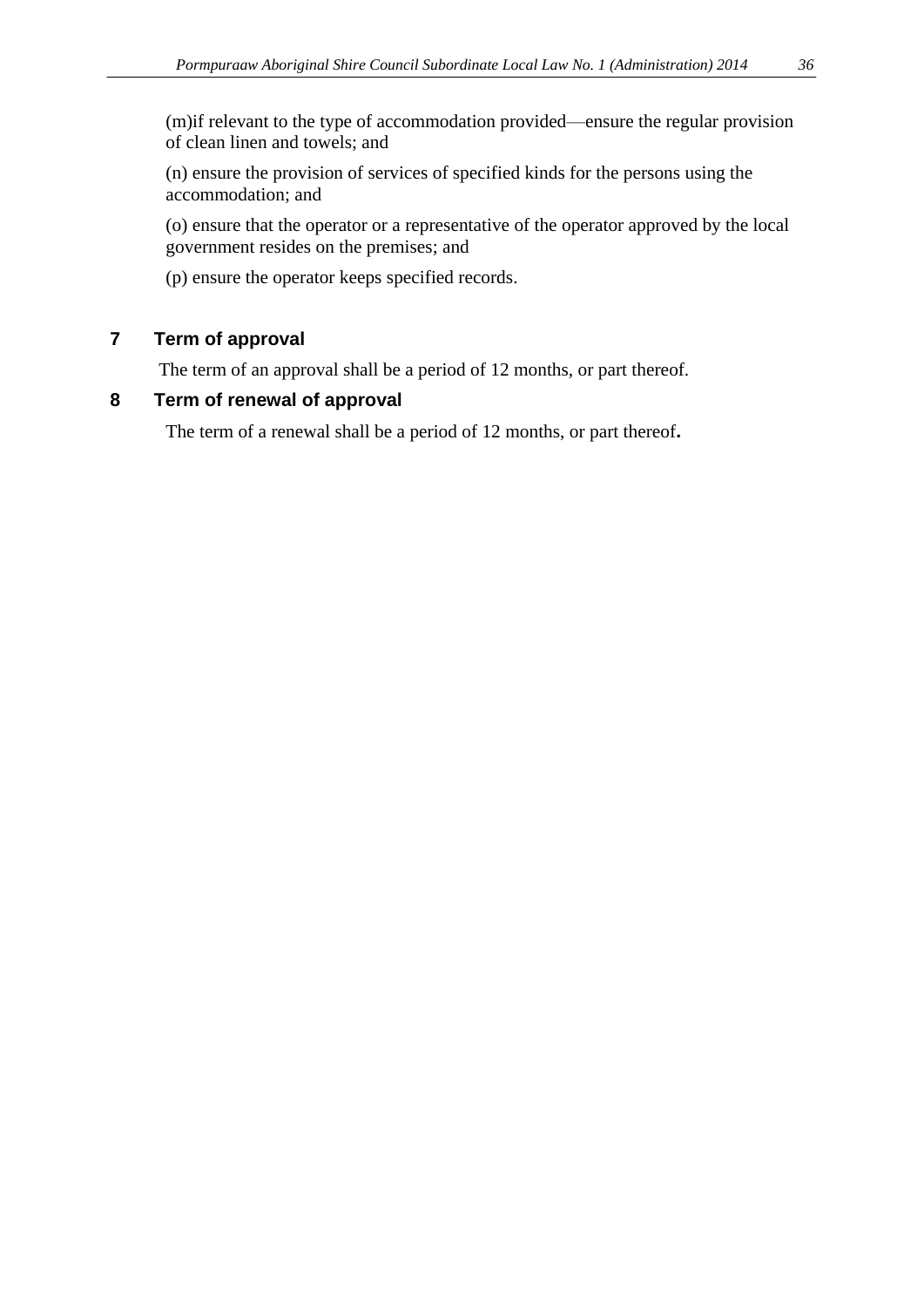(n) ensure the provision of services of specified kinds for the persons using the accommodation; and

(o) ensure that the operator or a representative of the operator approved by the local government resides on the premises; and

(p) ensure the operator keeps specified records.

# **7 Term of approval**

The term of an approval shall be a period of 12 months, or part thereof.

# **8 Term of renewal of approval**

The term of a renewal shall be a period of 12 months, or part thereof**.**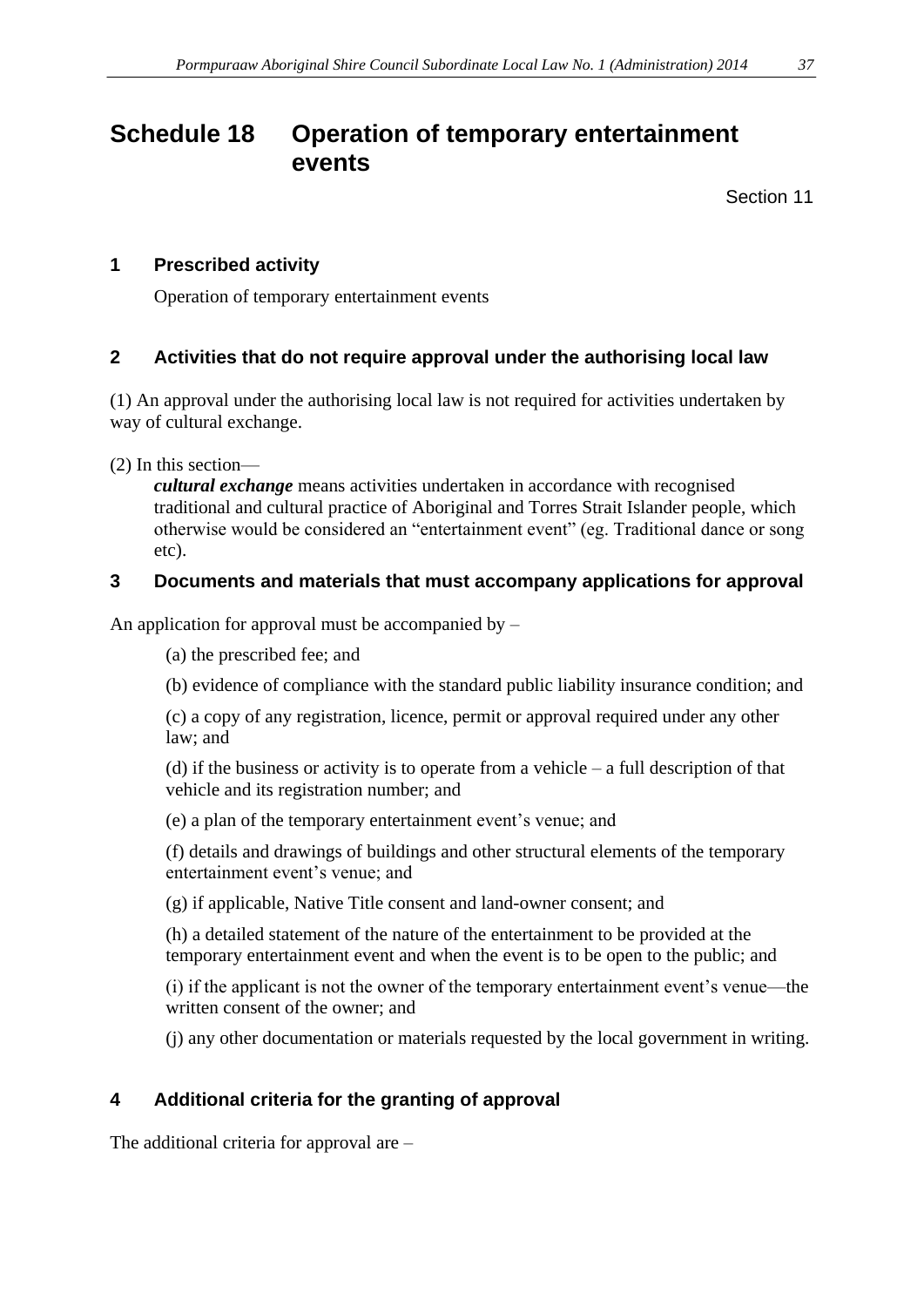# <span id="page-36-0"></span>**Schedule 18 Operation of temporary entertainment events**

Section 11

#### **1 Prescribed activity**

Operation of temporary entertainment events

#### **2 Activities that do not require approval under the authorising local law**

(1) An approval under the authorising local law is not required for activities undertaken by way of cultural exchange.

(2) In this section—

*cultural exchange* means activities undertaken in accordance with recognised traditional and cultural practice of Aboriginal and Torres Strait Islander people, which otherwise would be considered an "entertainment event" (eg. Traditional dance or song etc).

#### **3 Documents and materials that must accompany applications for approval**

An application for approval must be accompanied by  $-$ 

(a) the prescribed fee; and

(b) evidence of compliance with the standard public liability insurance condition; and

(c) a copy of any registration, licence, permit or approval required under any other law; and

(d) if the business or activity is to operate from a vehicle – a full description of that vehicle and its registration number; and

(e) a plan of the temporary entertainment event's venue; and

(f) details and drawings of buildings and other structural elements of the temporary entertainment event's venue; and

(g) if applicable, Native Title consent and land-owner consent; and

(h) a detailed statement of the nature of the entertainment to be provided at the temporary entertainment event and when the event is to be open to the public; and

(i) if the applicant is not the owner of the temporary entertainment event's venue—the written consent of the owner; and

(j) any other documentation or materials requested by the local government in writing.

# **4 Additional criteria for the granting of approval**

The additional criteria for approval are –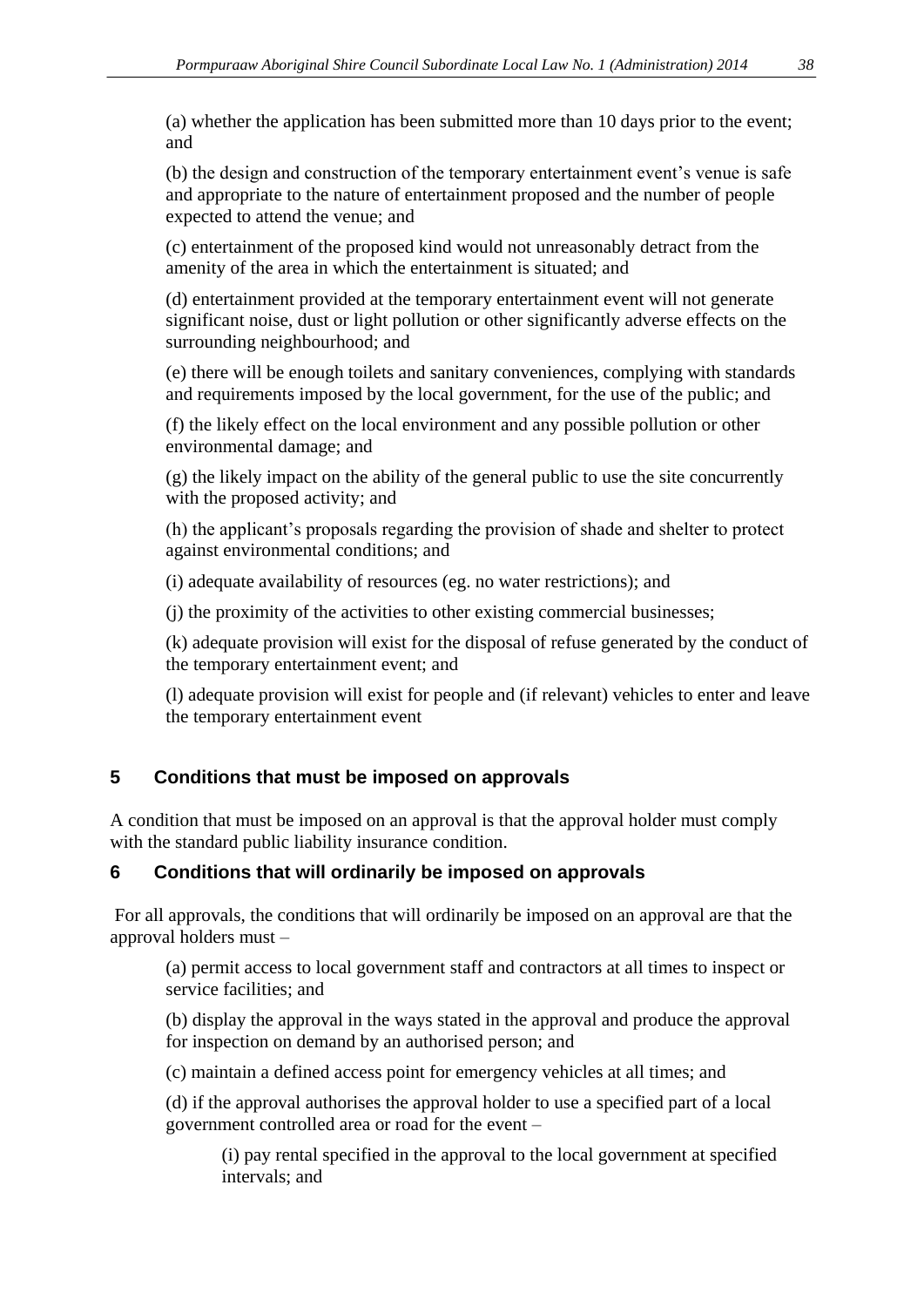(a) whether the application has been submitted more than 10 days prior to the event; and

(b) the design and construction of the temporary entertainment event's venue is safe and appropriate to the nature of entertainment proposed and the number of people expected to attend the venue; and

(c) entertainment of the proposed kind would not unreasonably detract from the amenity of the area in which the entertainment is situated; and

(d) entertainment provided at the temporary entertainment event will not generate significant noise, dust or light pollution or other significantly adverse effects on the surrounding neighbourhood; and

(e) there will be enough toilets and sanitary conveniences, complying with standards and requirements imposed by the local government, for the use of the public; and

(f) the likely effect on the local environment and any possible pollution or other environmental damage; and

(g) the likely impact on the ability of the general public to use the site concurrently with the proposed activity; and

(h) the applicant's proposals regarding the provision of shade and shelter to protect against environmental conditions; and

(i) adequate availability of resources (eg. no water restrictions); and

(j) the proximity of the activities to other existing commercial businesses;

(k) adequate provision will exist for the disposal of refuse generated by the conduct of the temporary entertainment event; and

(l) adequate provision will exist for people and (if relevant) vehicles to enter and leave the temporary entertainment event

# **5 Conditions that must be imposed on approvals**

A condition that must be imposed on an approval is that the approval holder must comply with the standard public liability insurance condition.

#### **6 Conditions that will ordinarily be imposed on approvals**

For all approvals, the conditions that will ordinarily be imposed on an approval are that the approval holders must –

(a) permit access to local government staff and contractors at all times to inspect or service facilities; and

(b) display the approval in the ways stated in the approval and produce the approval for inspection on demand by an authorised person; and

(c) maintain a defined access point for emergency vehicles at all times; and

(d) if the approval authorises the approval holder to use a specified part of a local government controlled area or road for the event –

(i) pay rental specified in the approval to the local government at specified intervals; and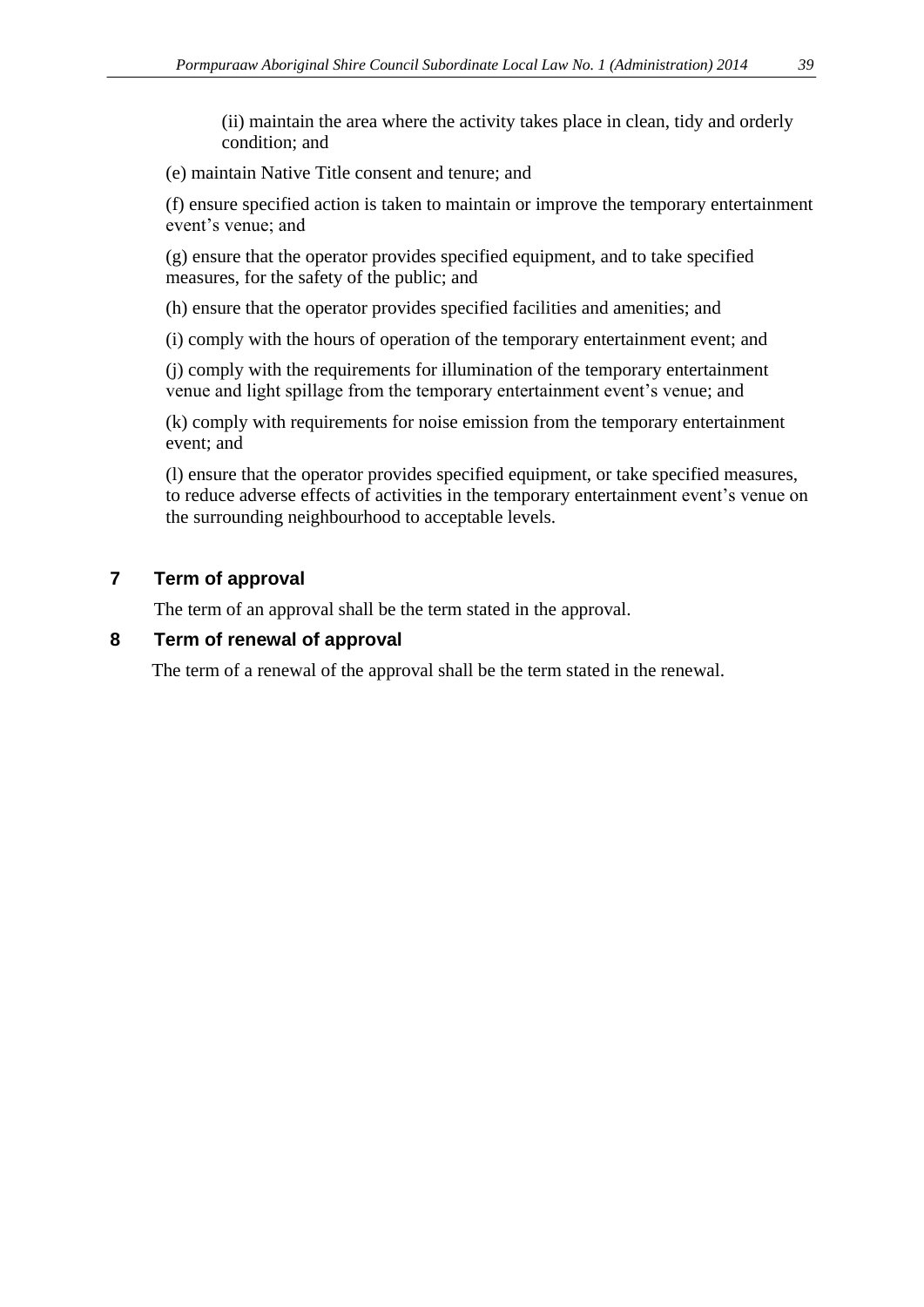(ii) maintain the area where the activity takes place in clean, tidy and orderly condition; and

(e) maintain Native Title consent and tenure; and

(f) ensure specified action is taken to maintain or improve the temporary entertainment event's venue; and

(g) ensure that the operator provides specified equipment, and to take specified measures, for the safety of the public; and

(h) ensure that the operator provides specified facilities and amenities; and

(i) comply with the hours of operation of the temporary entertainment event; and

(j) comply with the requirements for illumination of the temporary entertainment venue and light spillage from the temporary entertainment event's venue; and

(k) comply with requirements for noise emission from the temporary entertainment event; and

(l) ensure that the operator provides specified equipment, or take specified measures, to reduce adverse effects of activities in the temporary entertainment event's venue on the surrounding neighbourhood to acceptable levels.

## **7 Term of approval**

The term of an approval shall be the term stated in the approval.

#### **8 Term of renewal of approval**

The term of a renewal of the approval shall be the term stated in the renewal.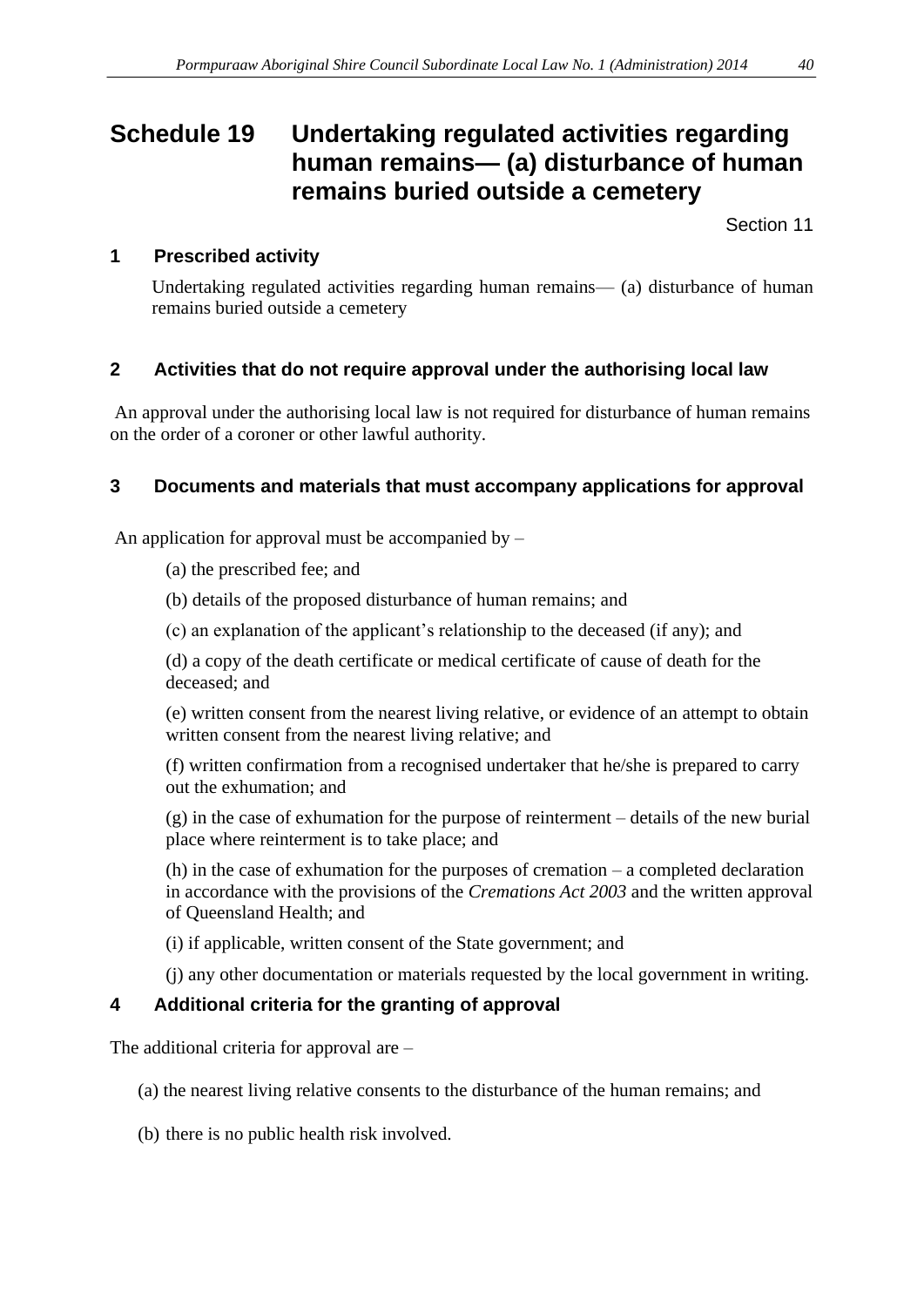# <span id="page-39-0"></span>**Schedule 19 Undertaking regulated activities regarding human remains— (a) disturbance of human remains buried outside a cemetery**

Section 11

#### **1 Prescribed activity**

Undertaking regulated activities regarding human remains— (a) disturbance of human remains buried outside a cemetery

#### **2 Activities that do not require approval under the authorising local law**

An approval under the authorising local law is not required for disturbance of human remains on the order of a coroner or other lawful authority.

#### **3 Documents and materials that must accompany applications for approval**

An application for approval must be accompanied by –

- (a) the prescribed fee; and
- (b) details of the proposed disturbance of human remains; and
- (c) an explanation of the applicant's relationship to the deceased (if any); and

(d) a copy of the death certificate or medical certificate of cause of death for the deceased; and

(e) written consent from the nearest living relative, or evidence of an attempt to obtain written consent from the nearest living relative; and

(f) written confirmation from a recognised undertaker that he/she is prepared to carry out the exhumation; and

(g) in the case of exhumation for the purpose of reinterment – details of the new burial place where reinterment is to take place; and

(h) in the case of exhumation for the purposes of cremation – a completed declaration in accordance with the provisions of the *Cremations Act 2003* and the written approval of Queensland Health; and

- (i) if applicable, written consent of the State government; and
- (j) any other documentation or materials requested by the local government in writing.

#### **4 Additional criteria for the granting of approval**

The additional criteria for approval are –

- (a) the nearest living relative consents to the disturbance of the human remains; and
- (b) there is no public health risk involved.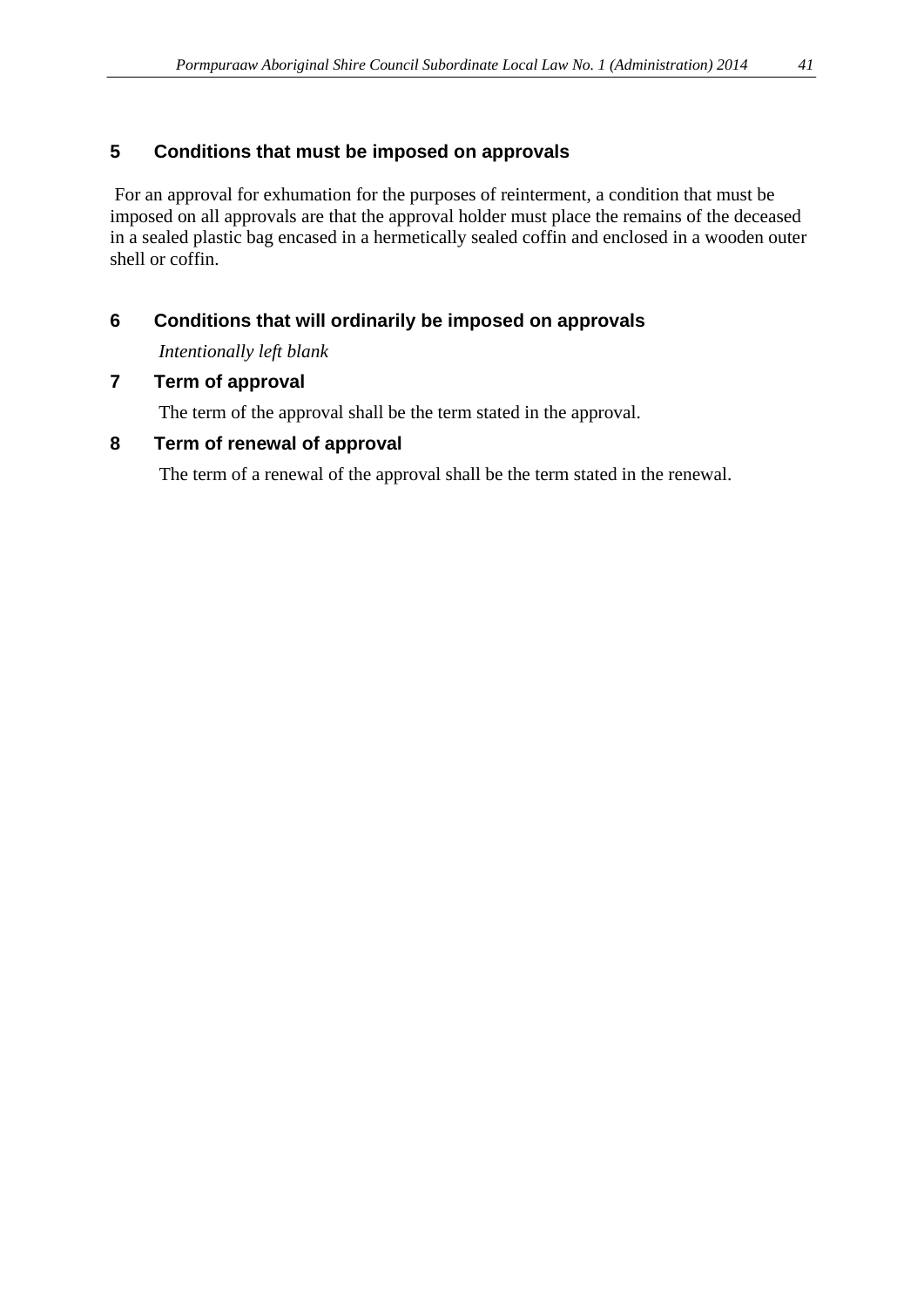#### **5 Conditions that must be imposed on approvals**

For an approval for exhumation for the purposes of reinterment, a condition that must be imposed on all approvals are that the approval holder must place the remains of the deceased in a sealed plastic bag encased in a hermetically sealed coffin and enclosed in a wooden outer shell or coffin.

## **6 Conditions that will ordinarily be imposed on approvals**

*Intentionally left blank*

#### **7 Term of approval**

The term of the approval shall be the term stated in the approval.

#### **8 Term of renewal of approval**

The term of a renewal of the approval shall be the term stated in the renewal.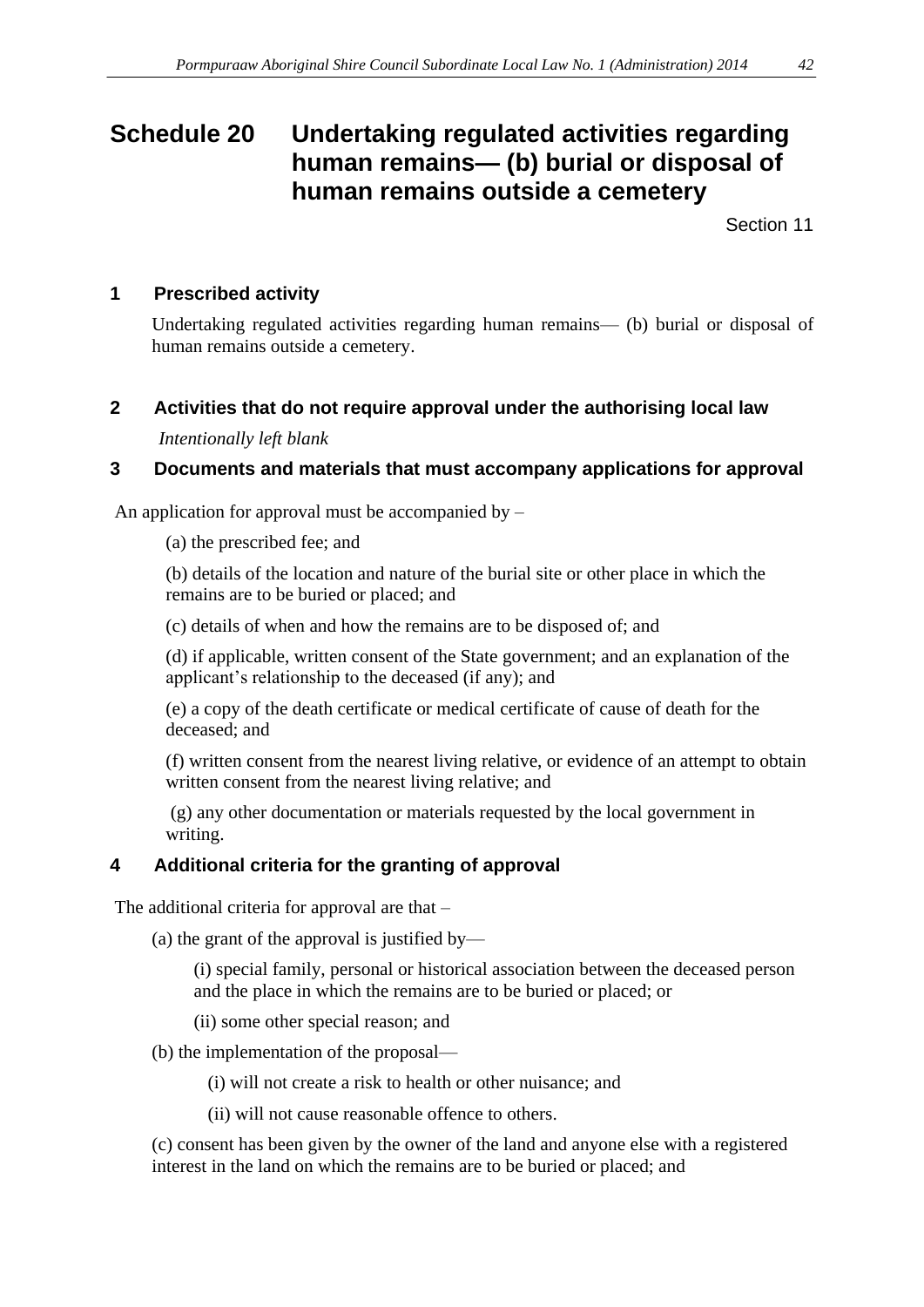# <span id="page-41-0"></span>**Schedule 20 Undertaking regulated activities regarding human remains— (b) burial or disposal of human remains outside a cemetery**

Section 11

#### **1 Prescribed activity**

Undertaking regulated activities regarding human remains— (b) burial or disposal of human remains outside a cemetery.

#### **2 Activities that do not require approval under the authorising local law**

*Intentionally left blank*

#### **3 Documents and materials that must accompany applications for approval**

An application for approval must be accompanied by  $-$ 

(a) the prescribed fee; and

(b) details of the location and nature of the burial site or other place in which the remains are to be buried or placed; and

(c) details of when and how the remains are to be disposed of; and

(d) if applicable, written consent of the State government; and an explanation of the applicant's relationship to the deceased (if any); and

(e) a copy of the death certificate or medical certificate of cause of death for the deceased; and

(f) written consent from the nearest living relative, or evidence of an attempt to obtain written consent from the nearest living relative; and

(g) any other documentation or materials requested by the local government in writing.

# **4 Additional criteria for the granting of approval**

The additional criteria for approval are that –

(a) the grant of the approval is justified by—

(i) special family, personal or historical association between the deceased person and the place in which the remains are to be buried or placed; or

(ii) some other special reason; and

(b) the implementation of the proposal—

(i) will not create a risk to health or other nuisance; and

(ii) will not cause reasonable offence to others.

(c) consent has been given by the owner of the land and anyone else with a registered interest in the land on which the remains are to be buried or placed; and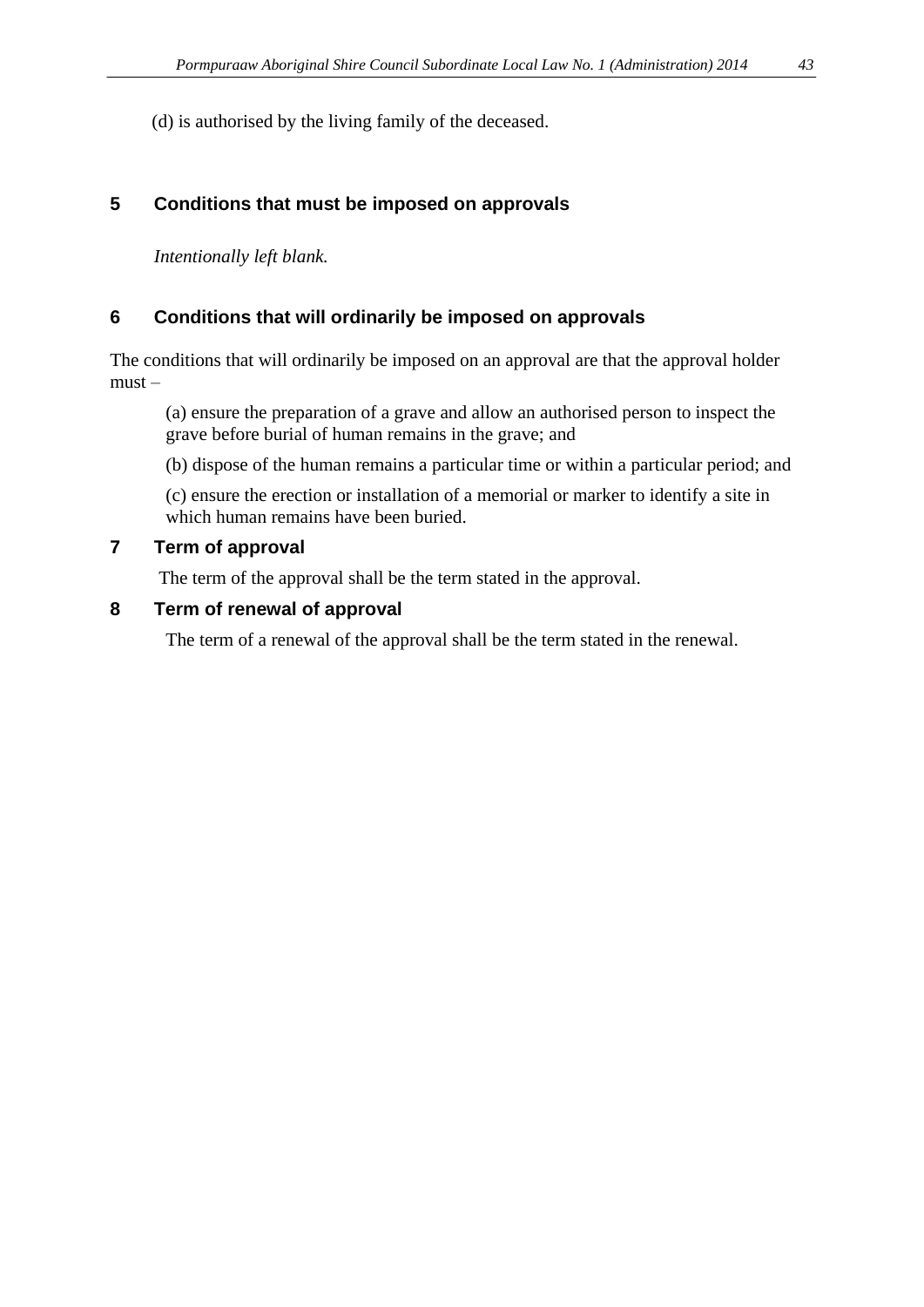(d) is authorised by the living family of the deceased.

#### **5 Conditions that must be imposed on approvals**

*Intentionally left blank.*

#### **6 Conditions that will ordinarily be imposed on approvals**

The conditions that will ordinarily be imposed on an approval are that the approval holder must –

(a) ensure the preparation of a grave and allow an authorised person to inspect the grave before burial of human remains in the grave; and

(b) dispose of the human remains a particular time or within a particular period; and

(c) ensure the erection or installation of a memorial or marker to identify a site in which human remains have been buried.

#### **7 Term of approval**

The term of the approval shall be the term stated in the approval.

#### **8 Term of renewal of approval**

The term of a renewal of the approval shall be the term stated in the renewal.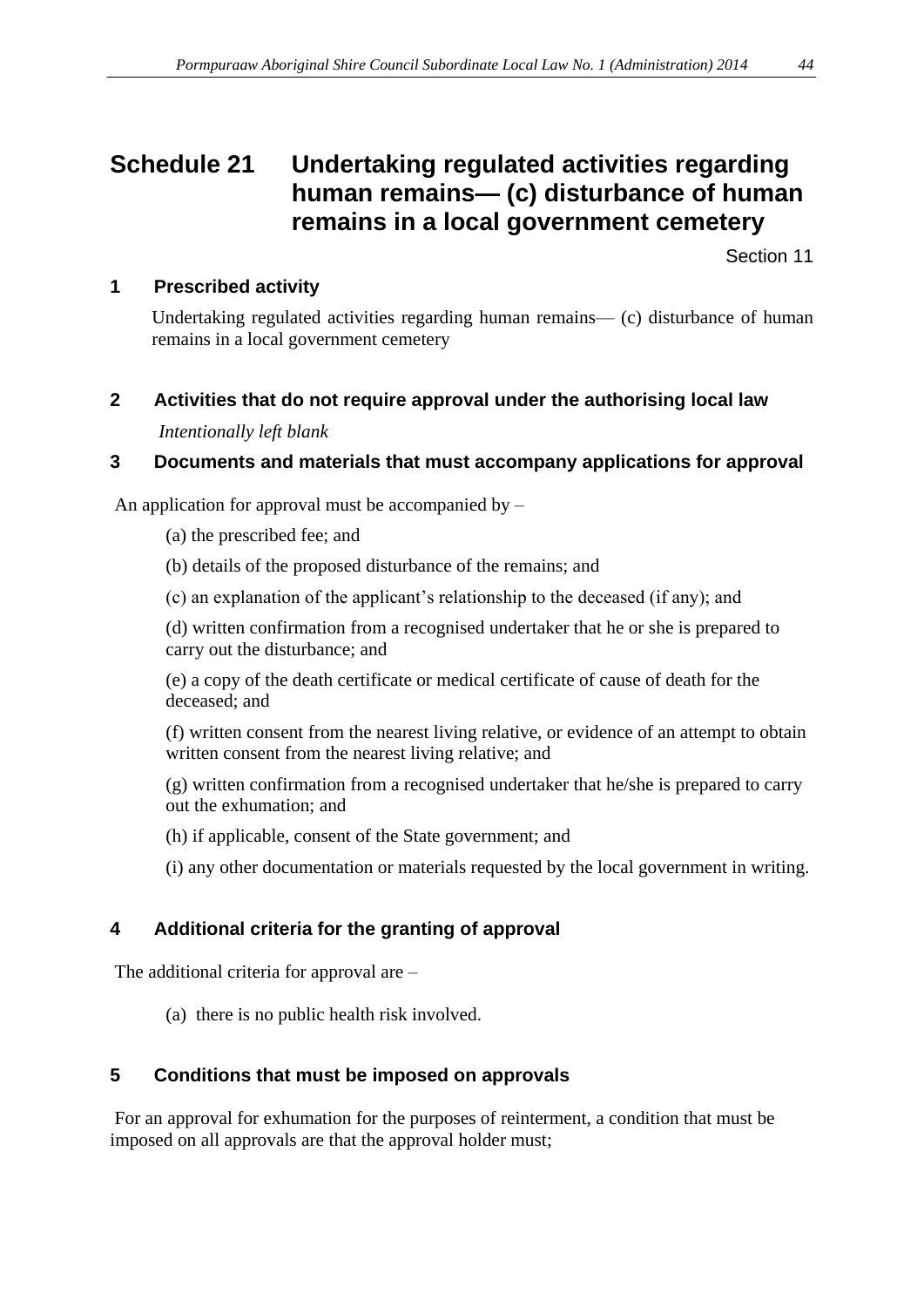# <span id="page-43-0"></span>**Schedule 21 Undertaking regulated activities regarding human remains— (c) disturbance of human remains in a local government cemetery**

Section 11

### **1 Prescribed activity**

Undertaking regulated activities regarding human remains— (c) disturbance of human remains in a local government cemetery

## **2 Activities that do not require approval under the authorising local law**

*Intentionally left blank*

## **3 Documents and materials that must accompany applications for approval**

An application for approval must be accompanied by  $-$ 

(a) the prescribed fee; and

(b) details of the proposed disturbance of the remains; and

(c) an explanation of the applicant's relationship to the deceased (if any); and

(d) written confirmation from a recognised undertaker that he or she is prepared to carry out the disturbance; and

(e) a copy of the death certificate or medical certificate of cause of death for the deceased; and

(f) written consent from the nearest living relative, or evidence of an attempt to obtain written consent from the nearest living relative; and

(g) written confirmation from a recognised undertaker that he/she is prepared to carry out the exhumation; and

(h) if applicable, consent of the State government; and

(i) any other documentation or materials requested by the local government in writing.

# **4 Additional criteria for the granting of approval**

The additional criteria for approval are –

(a) there is no public health risk involved.

# **5 Conditions that must be imposed on approvals**

For an approval for exhumation for the purposes of reinterment, a condition that must be imposed on all approvals are that the approval holder must;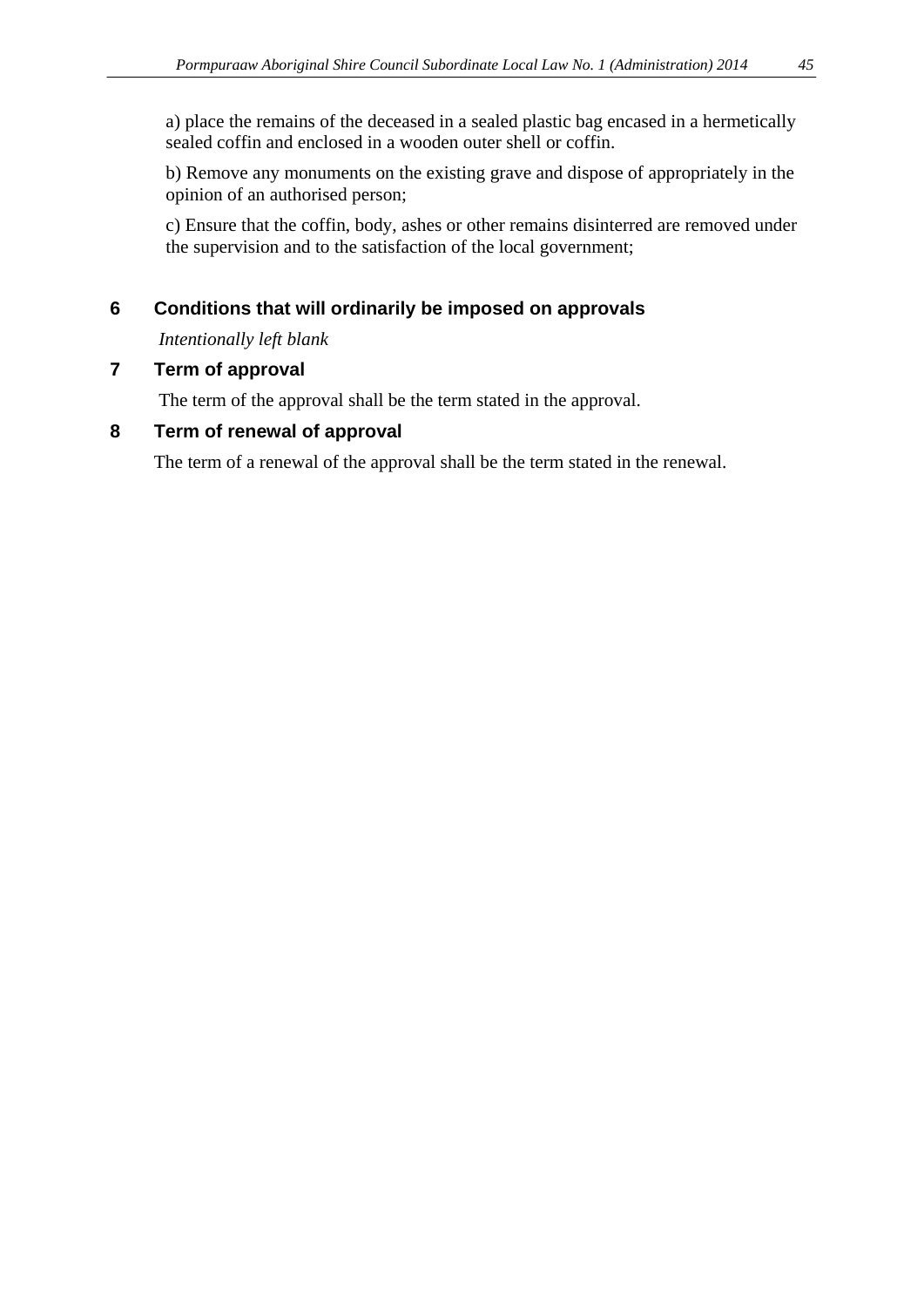a) place the remains of the deceased in a sealed plastic bag encased in a hermetically sealed coffin and enclosed in a wooden outer shell or coffin.

b) Remove any monuments on the existing grave and dispose of appropriately in the opinion of an authorised person;

c) Ensure that the coffin, body, ashes or other remains disinterred are removed under the supervision and to the satisfaction of the local government;

### **6 Conditions that will ordinarily be imposed on approvals**

*Intentionally left blank*

#### **7 Term of approval**

The term of the approval shall be the term stated in the approval.

#### **8 Term of renewal of approval**

The term of a renewal of the approval shall be the term stated in the renewal.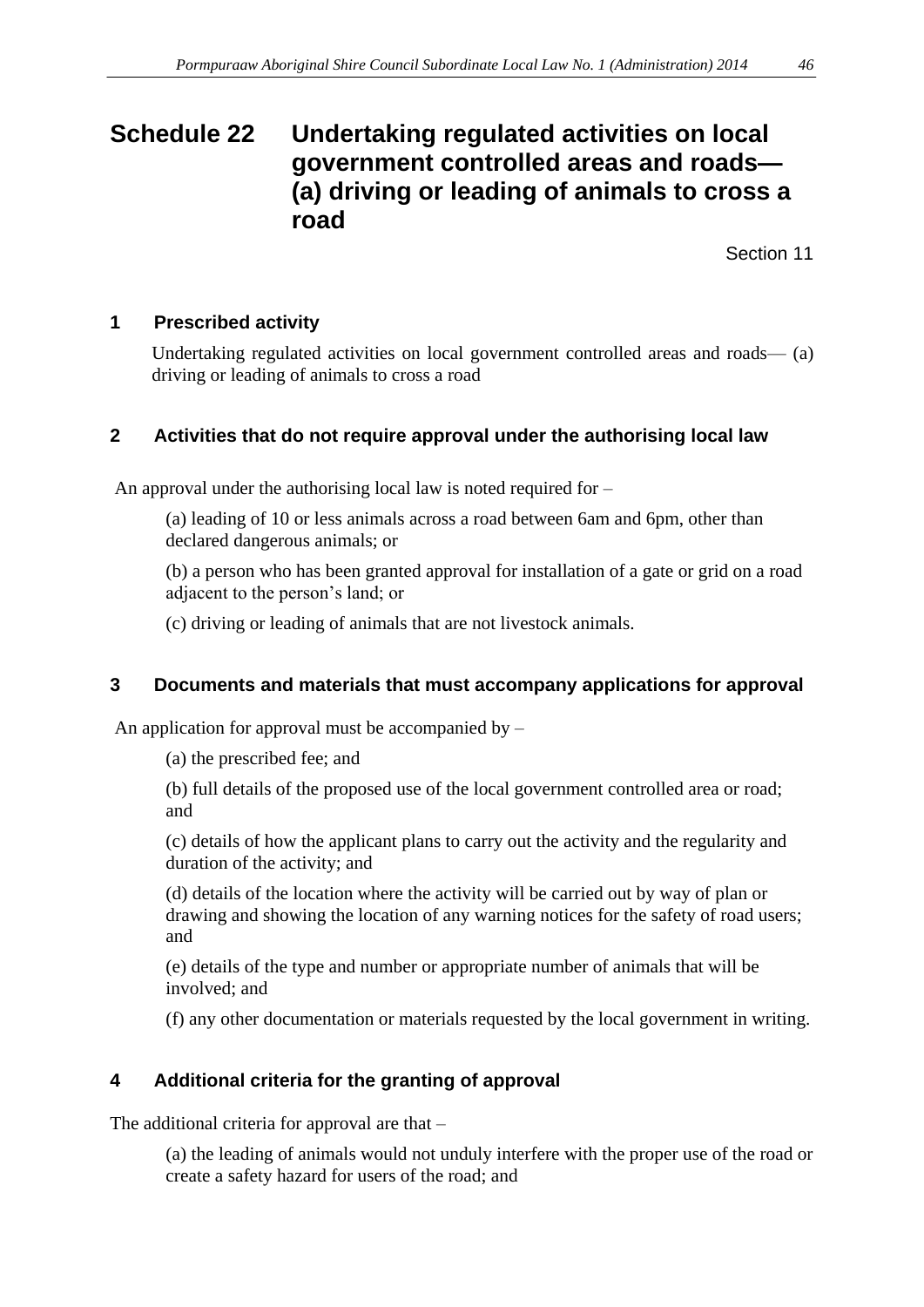# <span id="page-45-0"></span>**Schedule 22 Undertaking regulated activities on local government controlled areas and roads— (a) driving or leading of animals to cross a road**

Section 11

#### **1 Prescribed activity**

Undertaking regulated activities on local government controlled areas and roads— (a) driving or leading of animals to cross a road

#### **2 Activities that do not require approval under the authorising local law**

An approval under the authorising local law is noted required for –

(a) leading of 10 or less animals across a road between 6am and 6pm, other than declared dangerous animals; or

(b) a person who has been granted approval for installation of a gate or grid on a road adjacent to the person's land; or

(c) driving or leading of animals that are not livestock animals.

#### **3 Documents and materials that must accompany applications for approval**

An application for approval must be accompanied by  $-$ 

(a) the prescribed fee; and

(b) full details of the proposed use of the local government controlled area or road; and

(c) details of how the applicant plans to carry out the activity and the regularity and duration of the activity; and

(d) details of the location where the activity will be carried out by way of plan or drawing and showing the location of any warning notices for the safety of road users; and

(e) details of the type and number or appropriate number of animals that will be involved; and

(f) any other documentation or materials requested by the local government in writing.

# **4 Additional criteria for the granting of approval**

The additional criteria for approval are that –

(a) the leading of animals would not unduly interfere with the proper use of the road or create a safety hazard for users of the road; and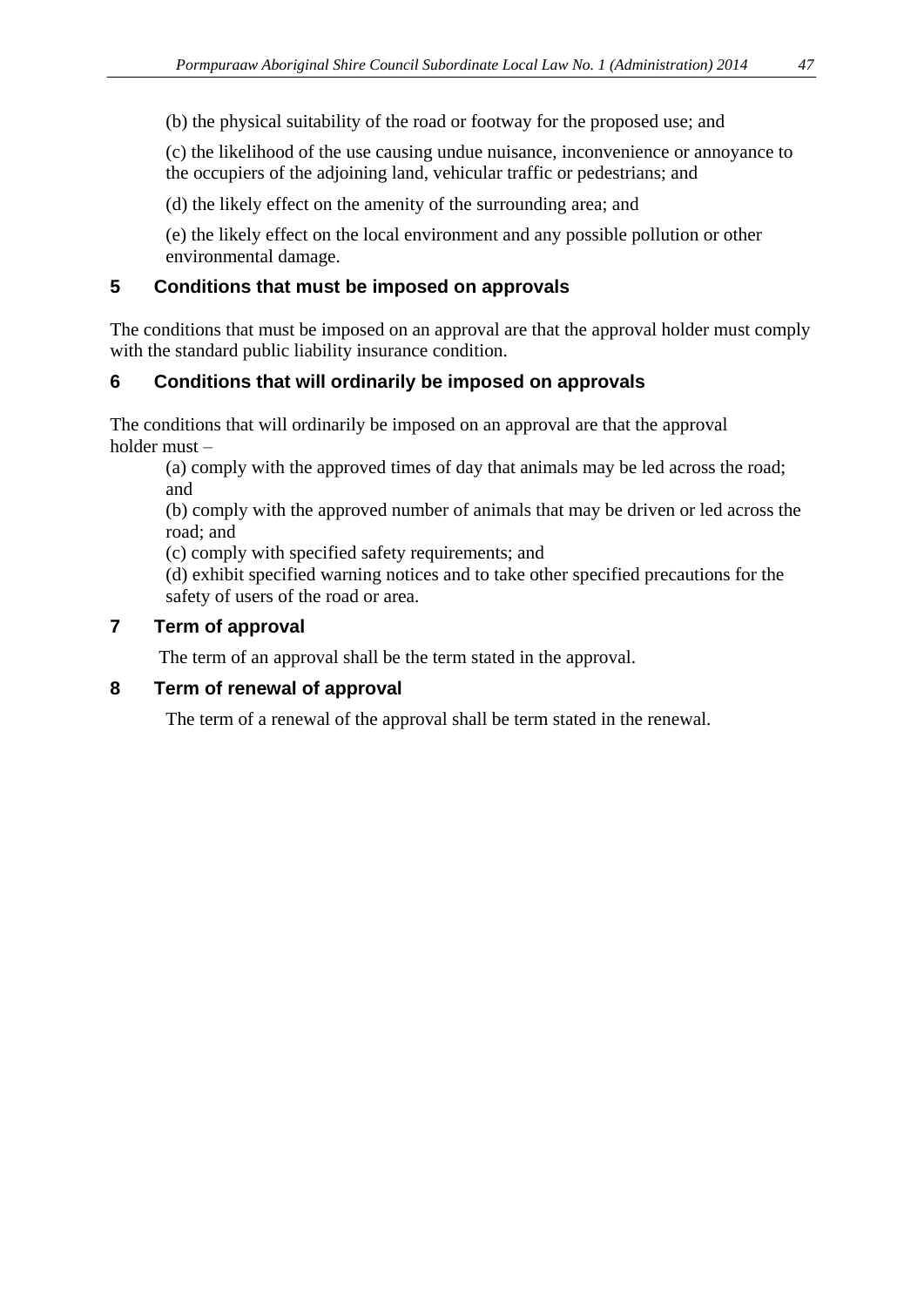(b) the physical suitability of the road or footway for the proposed use; and

(c) the likelihood of the use causing undue nuisance, inconvenience or annoyance to the occupiers of the adjoining land, vehicular traffic or pedestrians; and

(d) the likely effect on the amenity of the surrounding area; and

(e) the likely effect on the local environment and any possible pollution or other environmental damage.

#### **5 Conditions that must be imposed on approvals**

The conditions that must be imposed on an approval are that the approval holder must comply with the standard public liability insurance condition.

#### **6 Conditions that will ordinarily be imposed on approvals**

The conditions that will ordinarily be imposed on an approval are that the approval holder must –

(a) comply with the approved times of day that animals may be led across the road; and

(b) comply with the approved number of animals that may be driven or led across the road; and

(c) comply with specified safety requirements; and

(d) exhibit specified warning notices and to take other specified precautions for the safety of users of the road or area.

#### **7 Term of approval**

The term of an approval shall be the term stated in the approval.

#### **8 Term of renewal of approval**

The term of a renewal of the approval shall be term stated in the renewal.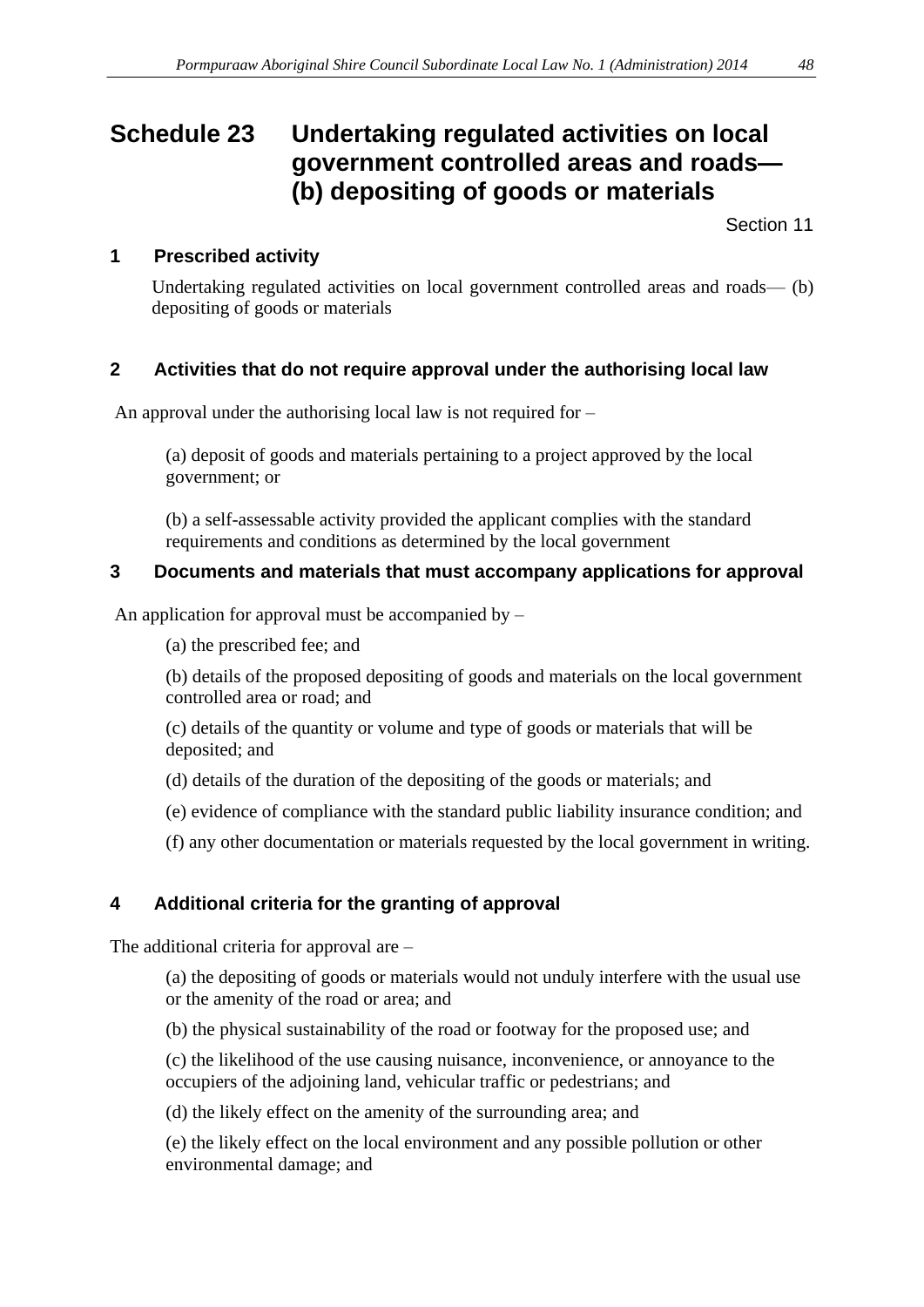# <span id="page-47-0"></span>**Schedule 23 Undertaking regulated activities on local government controlled areas and roads— (b) depositing of goods or materials**

Section 11

## **1 Prescribed activity**

Undertaking regulated activities on local government controlled areas and roads— (b) depositing of goods or materials

## **2 Activities that do not require approval under the authorising local law**

An approval under the authorising local law is not required for –

(a) deposit of goods and materials pertaining to a project approved by the local government; or

(b) a self-assessable activity provided the applicant complies with the standard requirements and conditions as determined by the local government

#### **3 Documents and materials that must accompany applications for approval**

An application for approval must be accompanied by –

(a) the prescribed fee; and

(b) details of the proposed depositing of goods and materials on the local government controlled area or road; and

(c) details of the quantity or volume and type of goods or materials that will be deposited; and

- (d) details of the duration of the depositing of the goods or materials; and
- (e) evidence of compliance with the standard public liability insurance condition; and

(f) any other documentation or materials requested by the local government in writing.

# **4 Additional criteria for the granting of approval**

The additional criteria for approval are –

(a) the depositing of goods or materials would not unduly interfere with the usual use or the amenity of the road or area; and

(b) the physical sustainability of the road or footway for the proposed use; and

(c) the likelihood of the use causing nuisance, inconvenience, or annoyance to the occupiers of the adjoining land, vehicular traffic or pedestrians; and

(d) the likely effect on the amenity of the surrounding area; and

(e) the likely effect on the local environment and any possible pollution or other environmental damage; and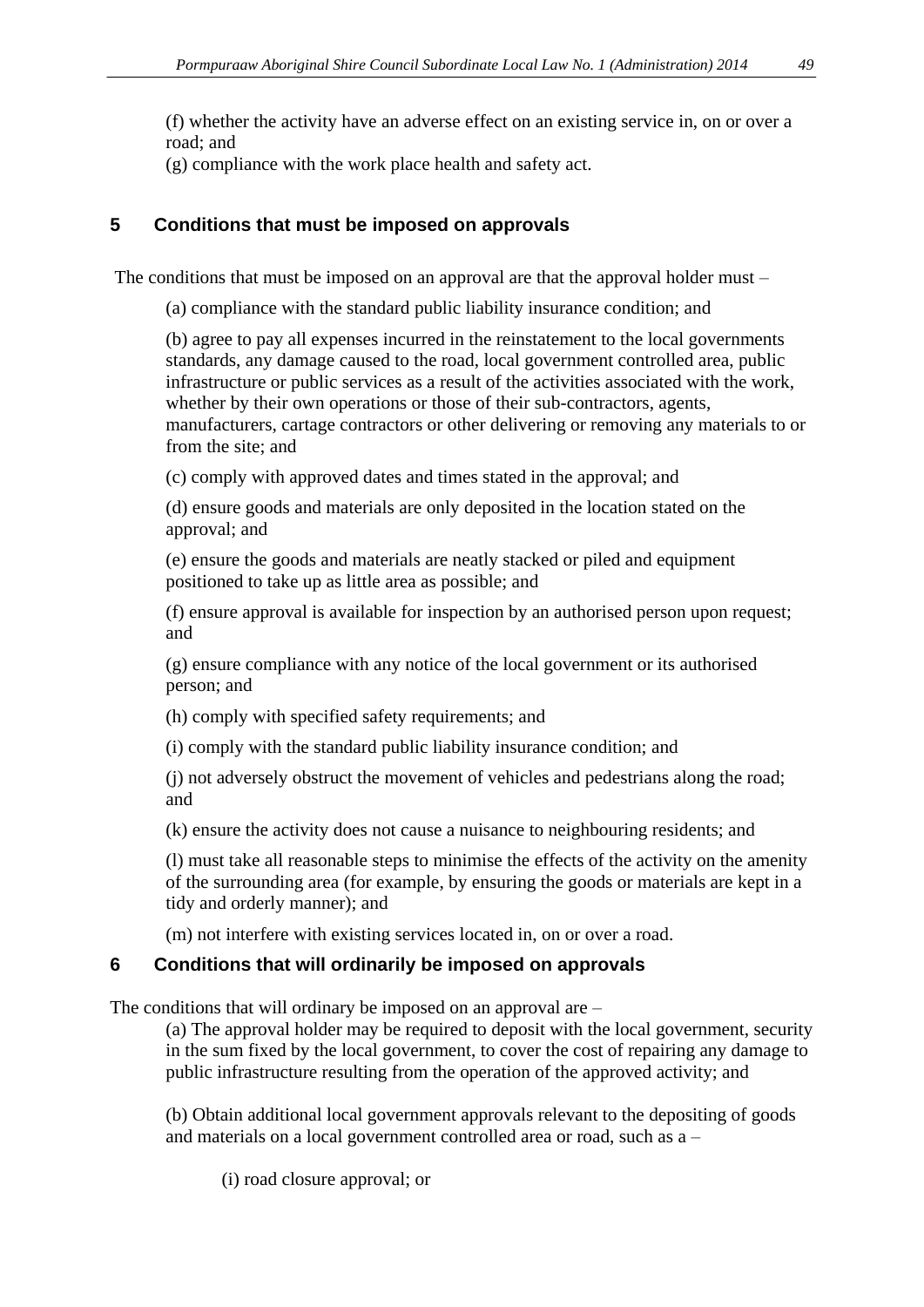(f) whether the activity have an adverse effect on an existing service in, on or over a road; and

(g) compliance with the work place health and safety act.

### **5 Conditions that must be imposed on approvals**

The conditions that must be imposed on an approval are that the approval holder must –

(a) compliance with the standard public liability insurance condition; and

(b) agree to pay all expenses incurred in the reinstatement to the local governments standards, any damage caused to the road, local government controlled area, public infrastructure or public services as a result of the activities associated with the work, whether by their own operations or those of their sub-contractors, agents, manufacturers, cartage contractors or other delivering or removing any materials to or from the site; and

(c) comply with approved dates and times stated in the approval; and

(d) ensure goods and materials are only deposited in the location stated on the approval; and

(e) ensure the goods and materials are neatly stacked or piled and equipment positioned to take up as little area as possible; and

(f) ensure approval is available for inspection by an authorised person upon request; and

(g) ensure compliance with any notice of the local government or its authorised person; and

(h) comply with specified safety requirements; and

(i) comply with the standard public liability insurance condition; and

(j) not adversely obstruct the movement of vehicles and pedestrians along the road; and

(k) ensure the activity does not cause a nuisance to neighbouring residents; and

(l) must take all reasonable steps to minimise the effects of the activity on the amenity of the surrounding area (for example, by ensuring the goods or materials are kept in a tidy and orderly manner); and

(m) not interfere with existing services located in, on or over a road.

# **6 Conditions that will ordinarily be imposed on approvals**

The conditions that will ordinary be imposed on an approval are –

(a) The approval holder may be required to deposit with the local government, security in the sum fixed by the local government, to cover the cost of repairing any damage to public infrastructure resulting from the operation of the approved activity; and

(b) Obtain additional local government approvals relevant to the depositing of goods and materials on a local government controlled area or road, such as a –

(i) road closure approval; or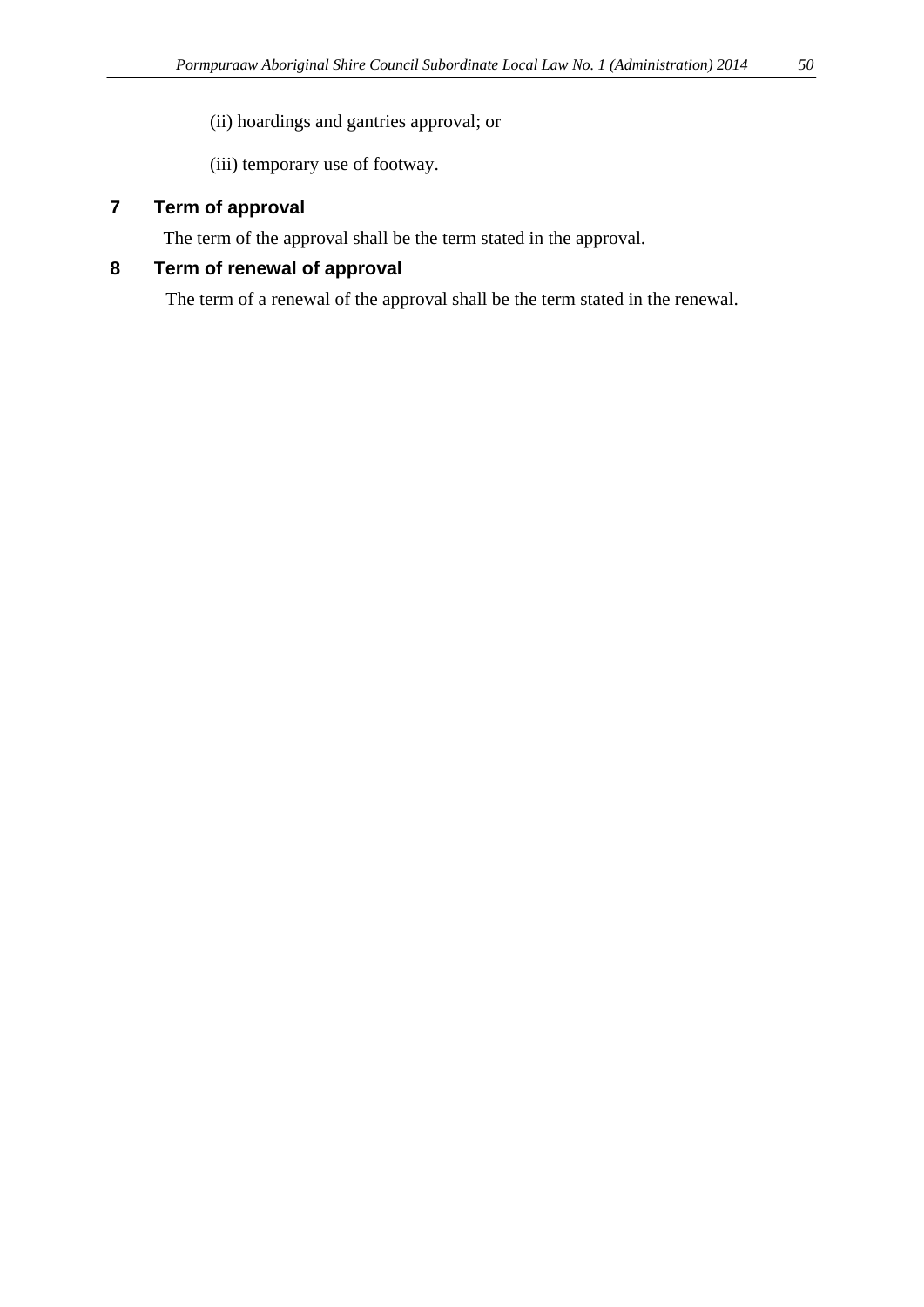(ii) hoardings and gantries approval; or

(iii) temporary use of footway.

### **7 Term of approval**

The term of the approval shall be the term stated in the approval.

### **8 Term of renewal of approval**

The term of a renewal of the approval shall be the term stated in the renewal.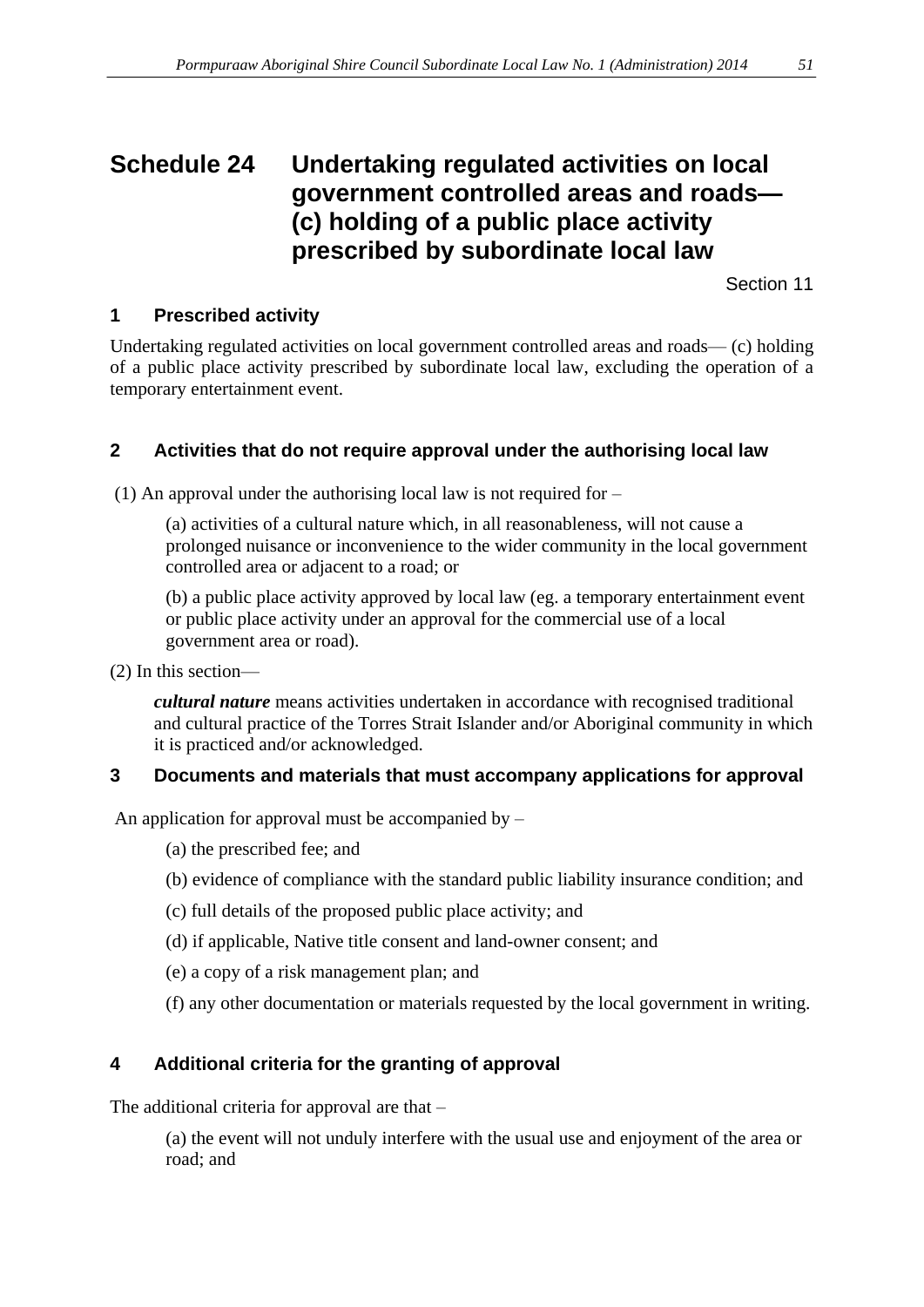# <span id="page-50-0"></span>**Schedule 24 Undertaking regulated activities on local government controlled areas and roads— (c) holding of a public place activity prescribed by subordinate local law**

Section 11

## **1 Prescribed activity**

Undertaking regulated activities on local government controlled areas and roads— (c) holding of a public place activity prescribed by subordinate local law, excluding the operation of a temporary entertainment event.

#### **2 Activities that do not require approval under the authorising local law**

(1) An approval under the authorising local law is not required for –

(a) activities of a cultural nature which, in all reasonableness, will not cause a prolonged nuisance or inconvenience to the wider community in the local government controlled area or adjacent to a road; or

(b) a public place activity approved by local law (eg. a temporary entertainment event or public place activity under an approval for the commercial use of a local government area or road).

(2) In this section—

*cultural nature* means activities undertaken in accordance with recognised traditional and cultural practice of the Torres Strait Islander and/or Aboriginal community in which it is practiced and/or acknowledged.

#### **3 Documents and materials that must accompany applications for approval**

An application for approval must be accompanied by –

(a) the prescribed fee; and

- (b) evidence of compliance with the standard public liability insurance condition; and
- (c) full details of the proposed public place activity; and
- (d) if applicable, Native title consent and land-owner consent; and
- (e) a copy of a risk management plan; and
- (f) any other documentation or materials requested by the local government in writing.

# **4 Additional criteria for the granting of approval**

The additional criteria for approval are that –

(a) the event will not unduly interfere with the usual use and enjoyment of the area or road; and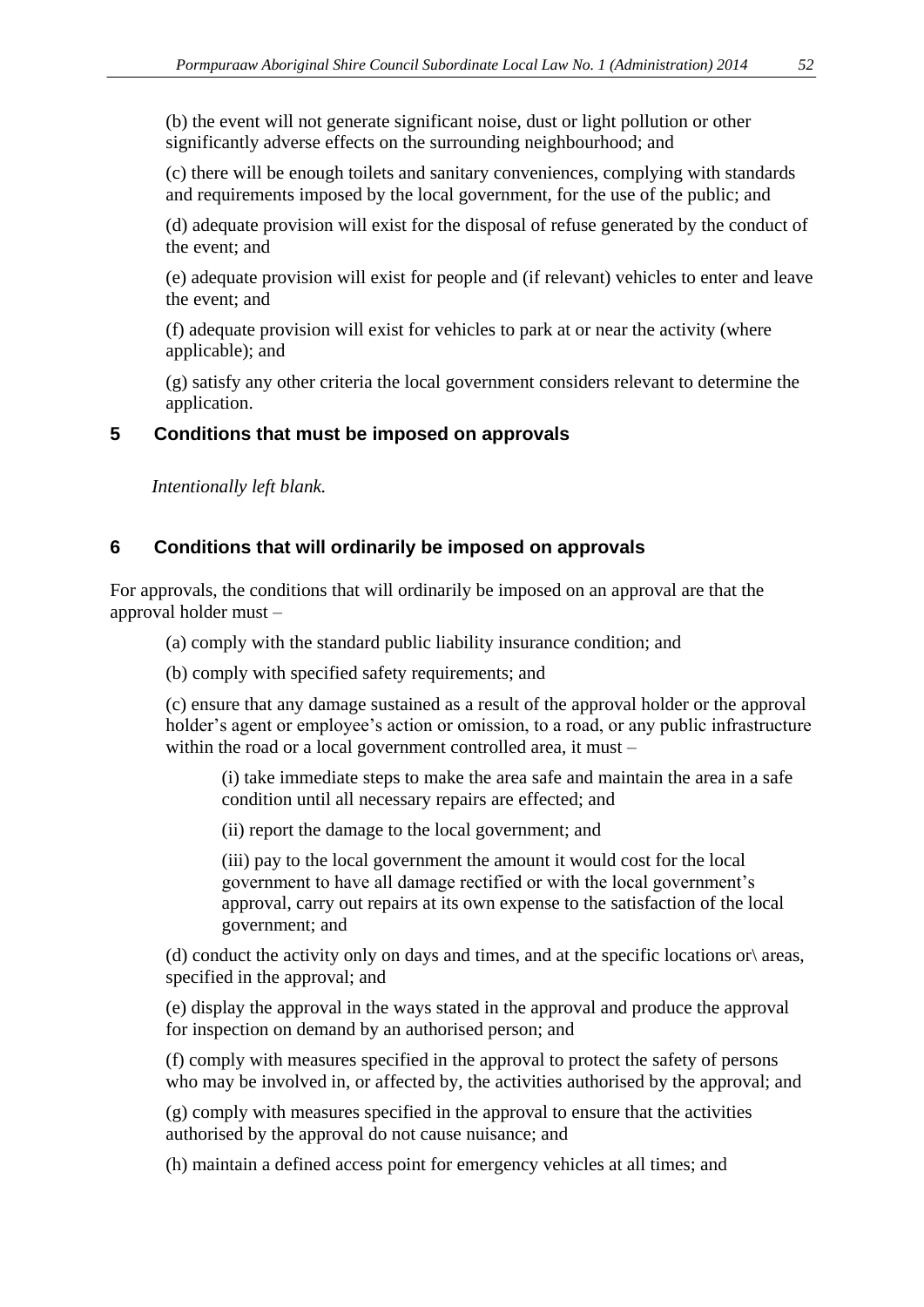(b) the event will not generate significant noise, dust or light pollution or other significantly adverse effects on the surrounding neighbourhood; and

(c) there will be enough toilets and sanitary conveniences, complying with standards and requirements imposed by the local government, for the use of the public; and

(d) adequate provision will exist for the disposal of refuse generated by the conduct of the event; and

(e) adequate provision will exist for people and (if relevant) vehicles to enter and leave the event; and

(f) adequate provision will exist for vehicles to park at or near the activity (where applicable); and

(g) satisfy any other criteria the local government considers relevant to determine the application.

#### **5 Conditions that must be imposed on approvals**

*Intentionally left blank.*

#### **6 Conditions that will ordinarily be imposed on approvals**

For approvals, the conditions that will ordinarily be imposed on an approval are that the approval holder must –

(a) comply with the standard public liability insurance condition; and

(b) comply with specified safety requirements; and

(c) ensure that any damage sustained as a result of the approval holder or the approval holder's agent or employee's action or omission, to a road, or any public infrastructure within the road or a local government controlled area, it must –

(i) take immediate steps to make the area safe and maintain the area in a safe condition until all necessary repairs are effected; and

(ii) report the damage to the local government; and

(iii) pay to the local government the amount it would cost for the local government to have all damage rectified or with the local government's approval, carry out repairs at its own expense to the satisfaction of the local government; and

(d) conduct the activity only on days and times, and at the specific locations or\ areas, specified in the approval; and

(e) display the approval in the ways stated in the approval and produce the approval for inspection on demand by an authorised person; and

(f) comply with measures specified in the approval to protect the safety of persons who may be involved in, or affected by, the activities authorised by the approval; and

(g) comply with measures specified in the approval to ensure that the activities authorised by the approval do not cause nuisance; and

(h) maintain a defined access point for emergency vehicles at all times; and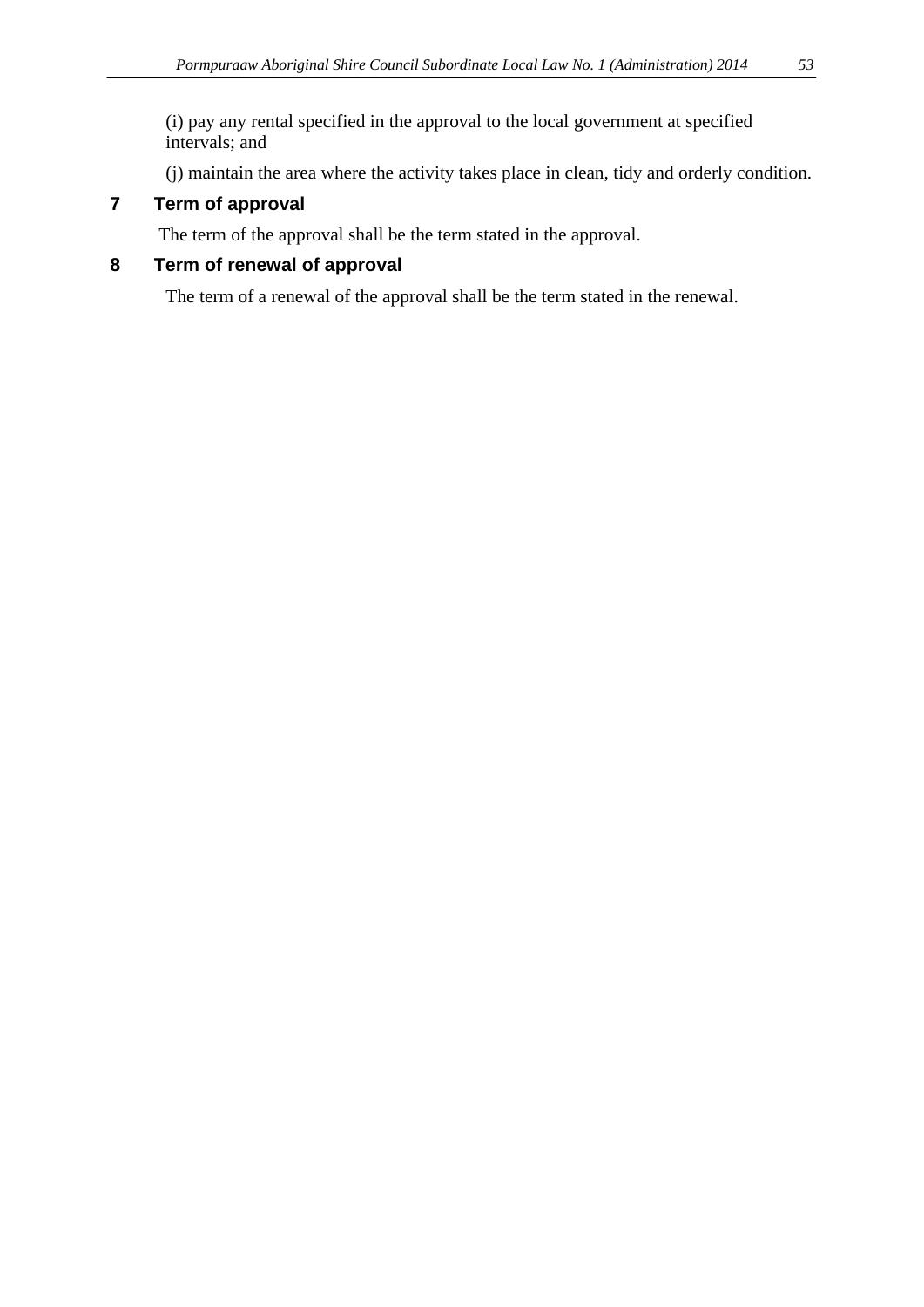(i) pay any rental specified in the approval to the local government at specified intervals; and

(j) maintain the area where the activity takes place in clean, tidy and orderly condition.

# **7 Term of approval**

The term of the approval shall be the term stated in the approval.

# **8 Term of renewal of approval**

The term of a renewal of the approval shall be the term stated in the renewal.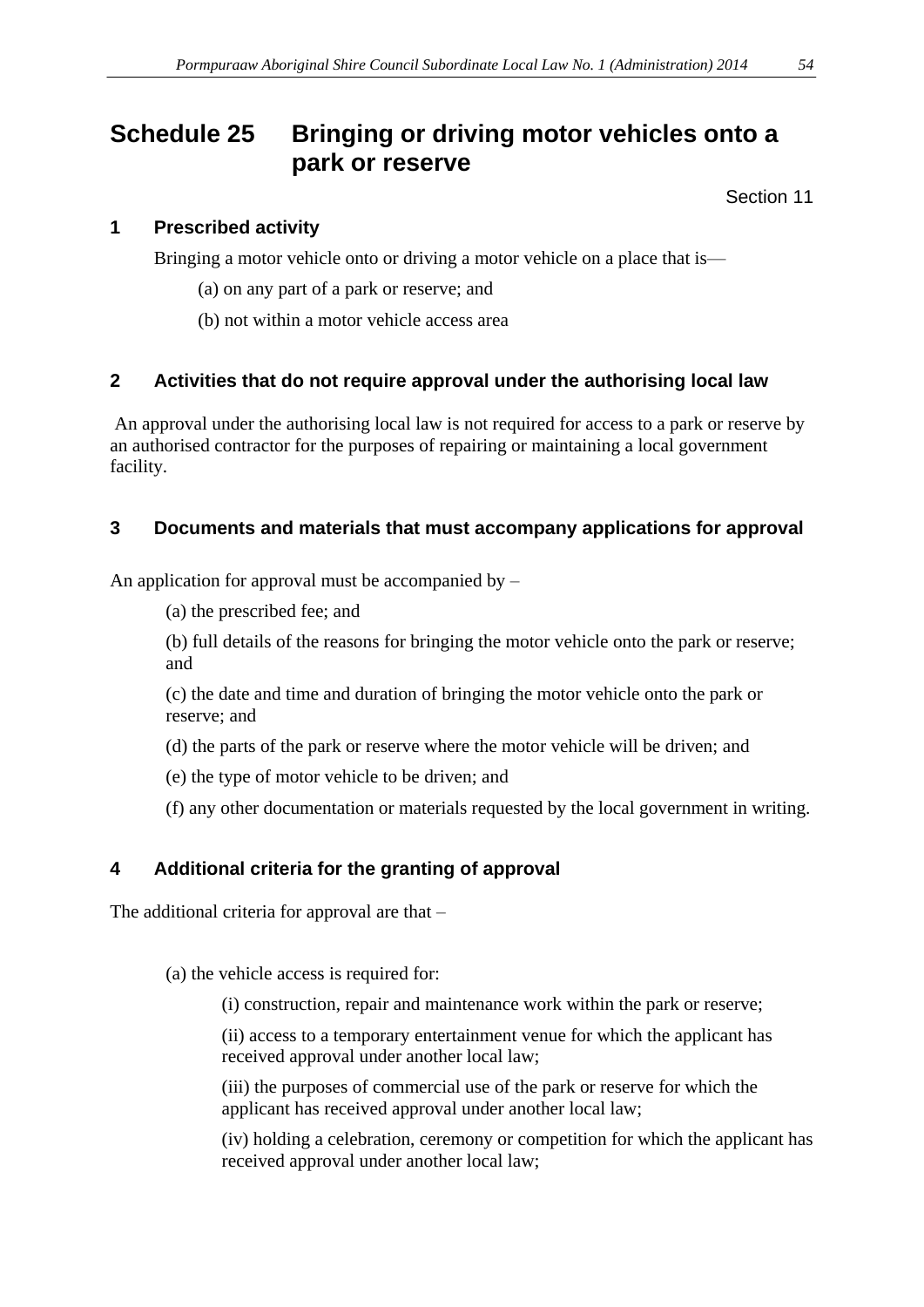# <span id="page-53-0"></span>**Schedule 25 Bringing or driving motor vehicles onto a park or reserve**

Section 11

#### **1 Prescribed activity**

Bringing a motor vehicle onto or driving a motor vehicle on a place that is—

- (a) on any part of a park or reserve; and
- (b) not within a motor vehicle access area

#### **2 Activities that do not require approval under the authorising local law**

An approval under the authorising local law is not required for access to a park or reserve by an authorised contractor for the purposes of repairing or maintaining a local government facility.

#### **3 Documents and materials that must accompany applications for approval**

An application for approval must be accompanied by –

(a) the prescribed fee; and

(b) full details of the reasons for bringing the motor vehicle onto the park or reserve; and

(c) the date and time and duration of bringing the motor vehicle onto the park or reserve; and

- (d) the parts of the park or reserve where the motor vehicle will be driven; and
- (e) the type of motor vehicle to be driven; and
- (f) any other documentation or materials requested by the local government in writing.

#### **4 Additional criteria for the granting of approval**

The additional criteria for approval are that –

(a) the vehicle access is required for:

(i) construction, repair and maintenance work within the park or reserve;

(ii) access to a temporary entertainment venue for which the applicant has received approval under another local law;

(iii) the purposes of commercial use of the park or reserve for which the applicant has received approval under another local law;

(iv) holding a celebration, ceremony or competition for which the applicant has received approval under another local law;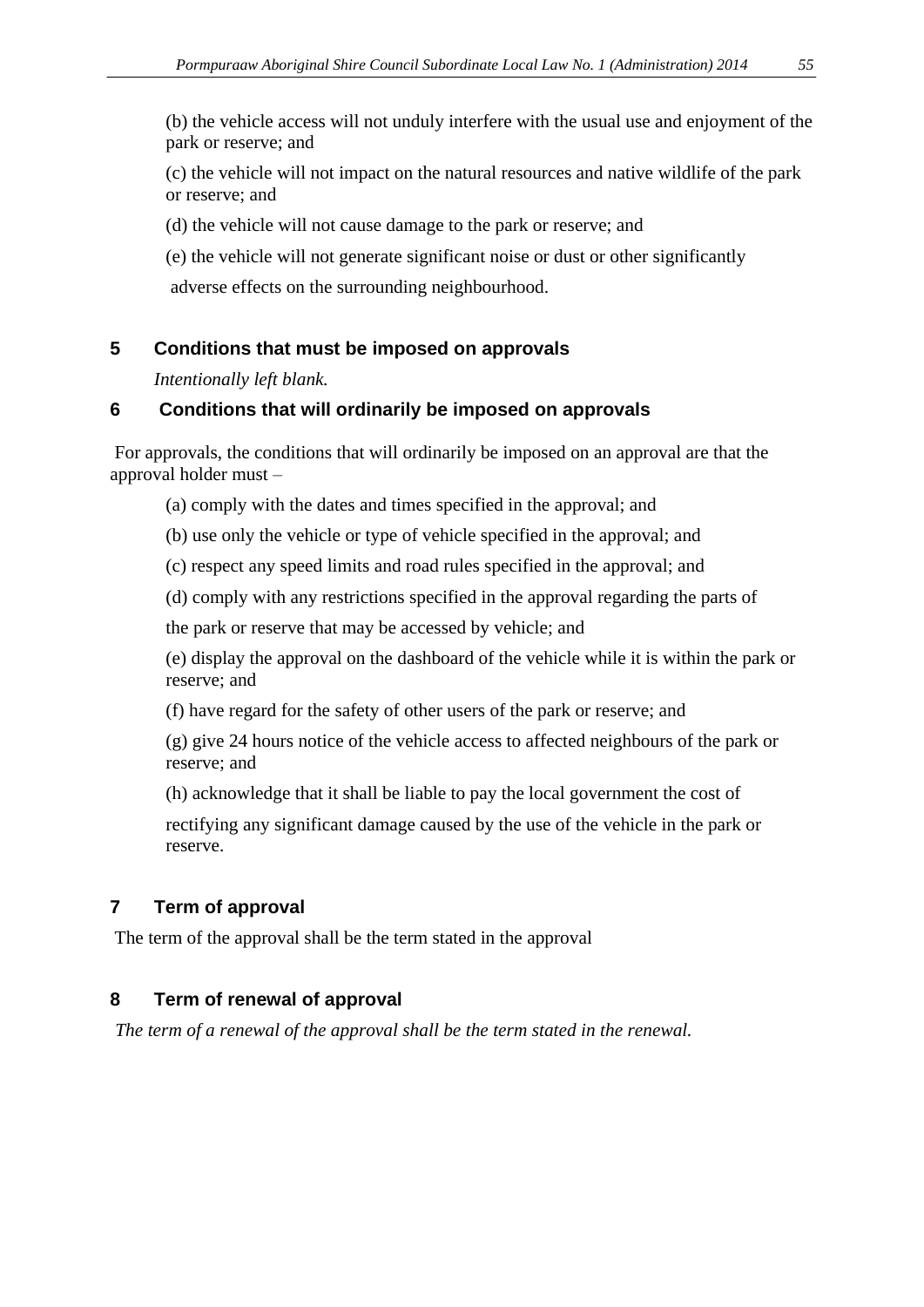(b) the vehicle access will not unduly interfere with the usual use and enjoyment of the park or reserve; and

(c) the vehicle will not impact on the natural resources and native wildlife of the park or reserve; and

(d) the vehicle will not cause damage to the park or reserve; and

(e) the vehicle will not generate significant noise or dust or other significantly

adverse effects on the surrounding neighbourhood.

## **5 Conditions that must be imposed on approvals**

*Intentionally left blank.*

## **6 Conditions that will ordinarily be imposed on approvals**

For approvals, the conditions that will ordinarily be imposed on an approval are that the approval holder must –

(a) comply with the dates and times specified in the approval; and

(b) use only the vehicle or type of vehicle specified in the approval; and

(c) respect any speed limits and road rules specified in the approval; and

(d) comply with any restrictions specified in the approval regarding the parts of

the park or reserve that may be accessed by vehicle; and

(e) display the approval on the dashboard of the vehicle while it is within the park or reserve; and

(f) have regard for the safety of other users of the park or reserve; and

(g) give 24 hours notice of the vehicle access to affected neighbours of the park or reserve; and

(h) acknowledge that it shall be liable to pay the local government the cost of

rectifying any significant damage caused by the use of the vehicle in the park or reserve.

# **7 Term of approval**

The term of the approval shall be the term stated in the approval

# **8 Term of renewal of approval**

*The term of a renewal of the approval shall be the term stated in the renewal.*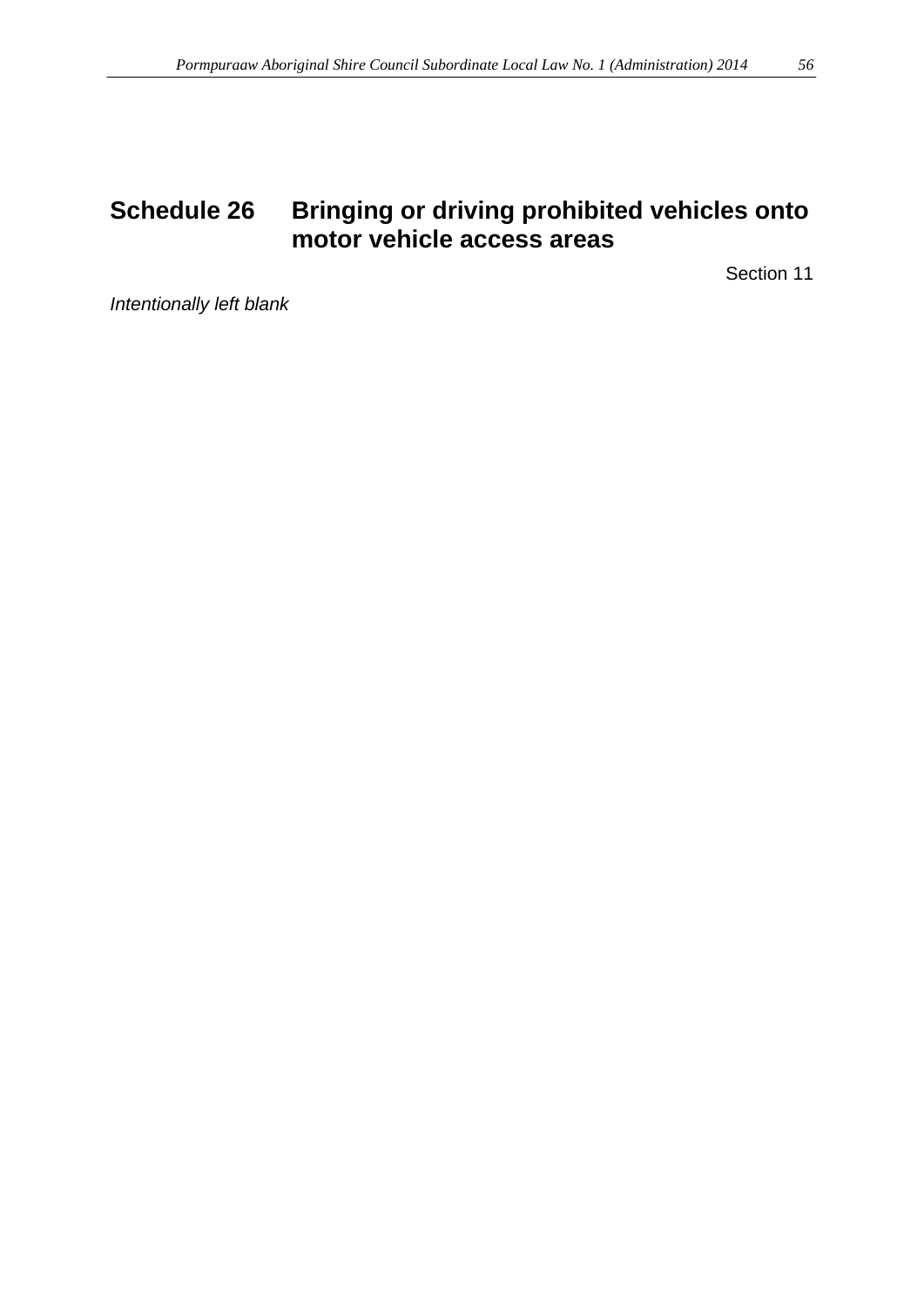<span id="page-55-1"></span><span id="page-55-0"></span>Section 11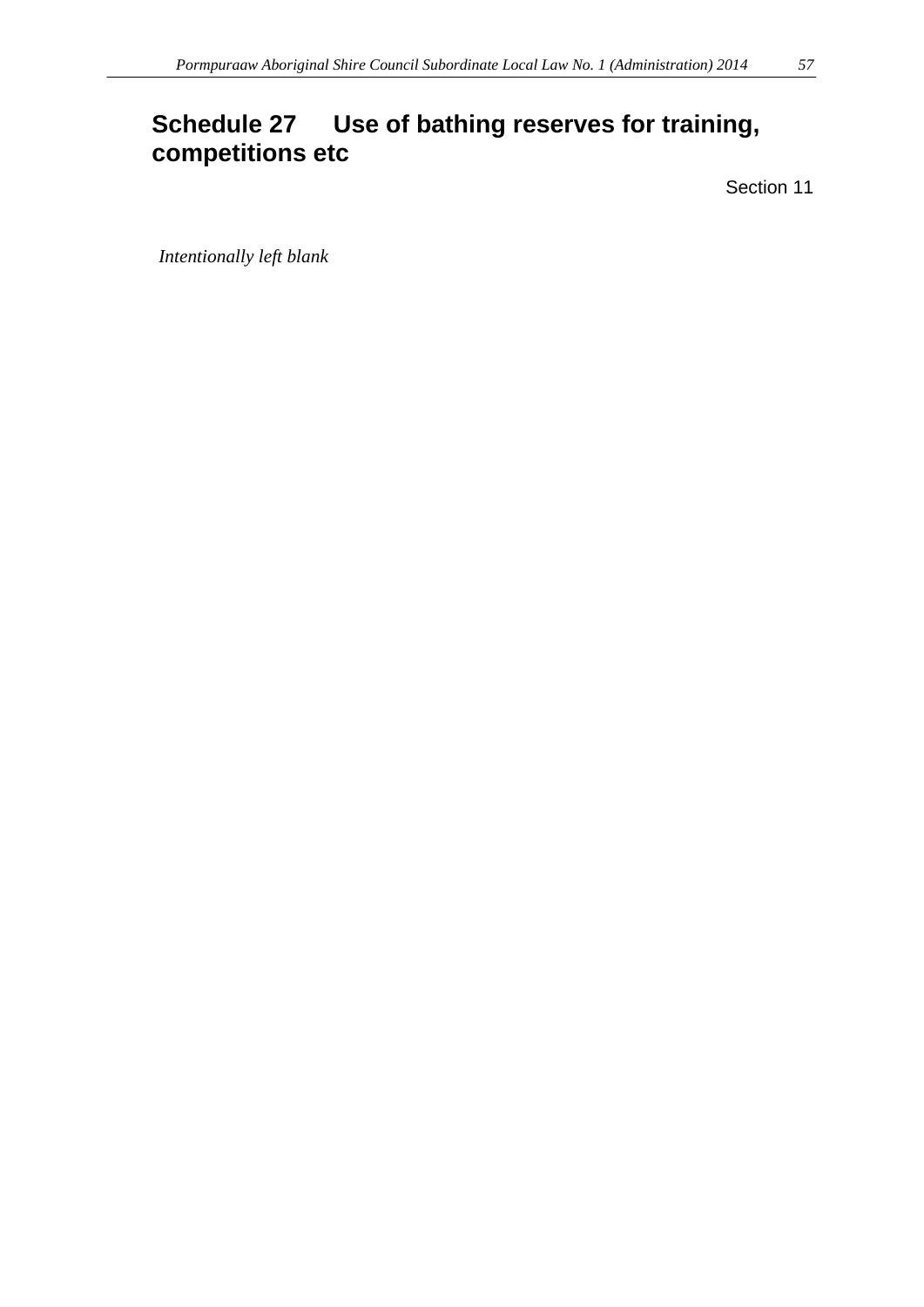# **Schedule 27 Use of bathing reserves for training, competitions etc**

Section 11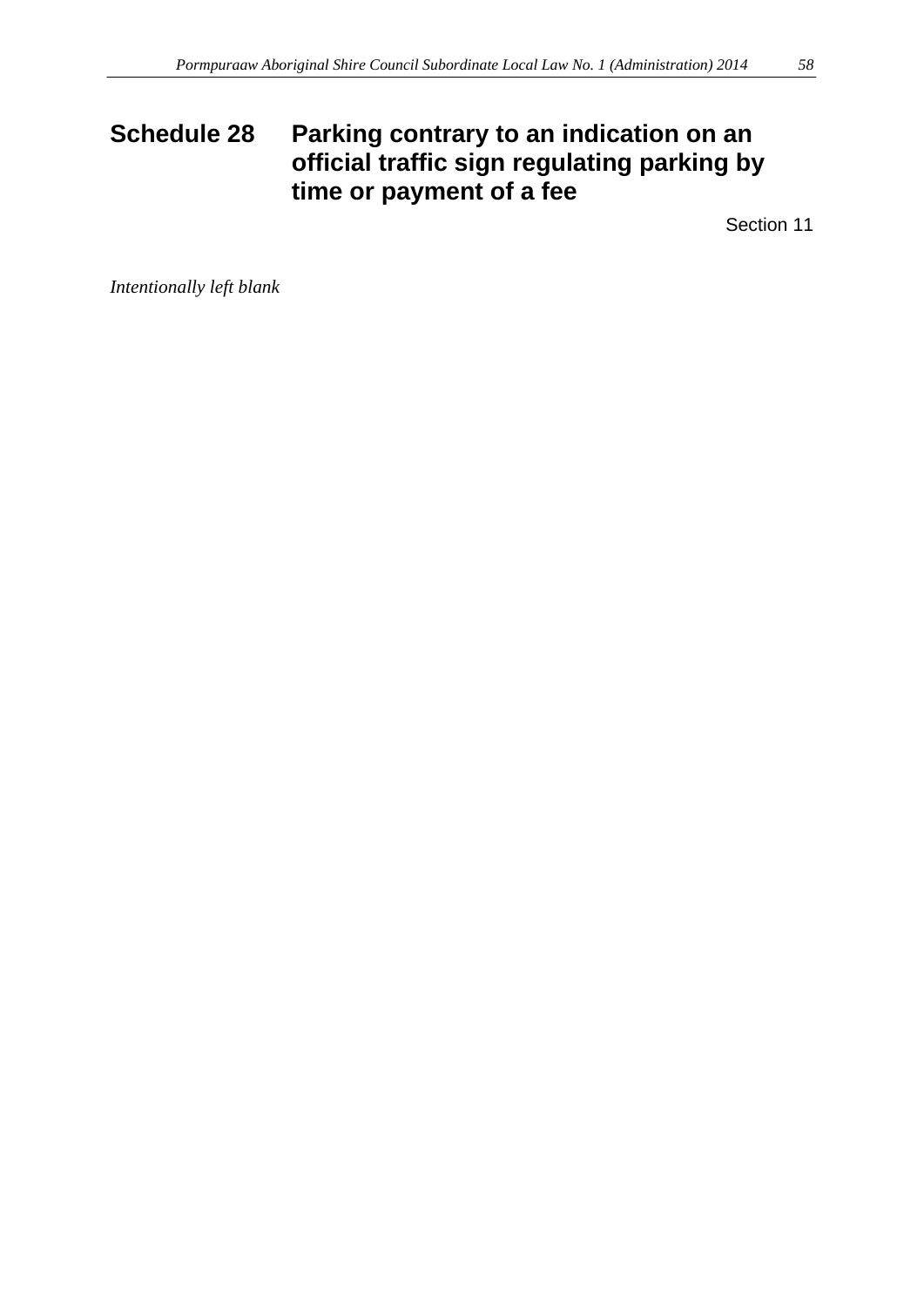# <span id="page-57-0"></span>**Schedule 28 Parking contrary to an indication on an official traffic sign regulating parking by time or payment of a fee**

Section 11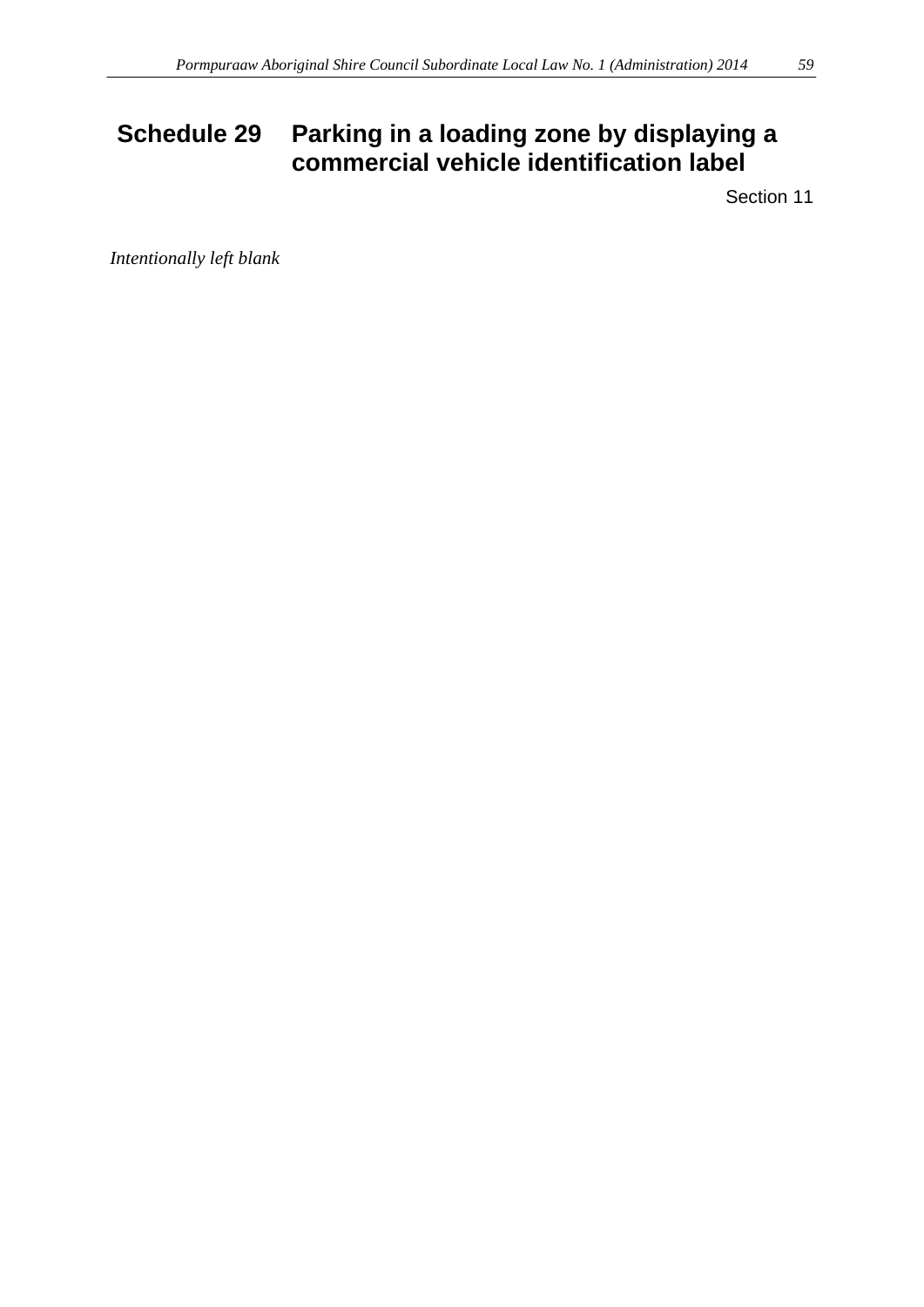# <span id="page-58-0"></span>**Schedule 29 Parking in a loading zone by displaying a commercial vehicle identification label**

Section 11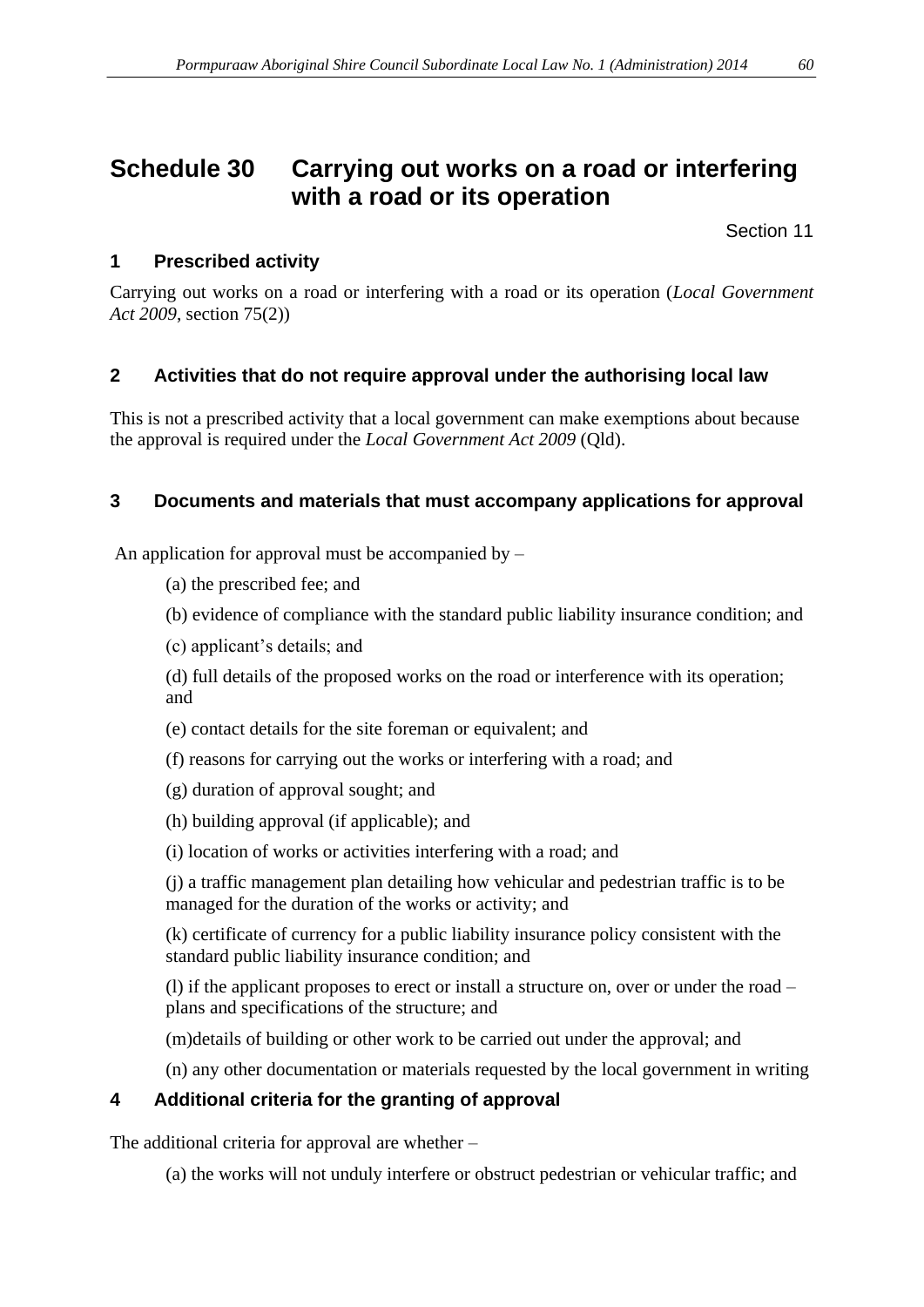# <span id="page-59-0"></span>**Schedule 30 Carrying out works on a road or interfering with a road or its operation**

Section 11

## **1 Prescribed activity**

Carrying out works on a road or interfering with a road or its operation (*Local Government Act 2009*, section 75(2))

## **2 Activities that do not require approval under the authorising local law**

This is not a prescribed activity that a local government can make exemptions about because the approval is required under the *Local Government Act 2009* (Qld).

## **3 Documents and materials that must accompany applications for approval**

An application for approval must be accompanied by –

- (a) the prescribed fee; and
- (b) evidence of compliance with the standard public liability insurance condition; and
- (c) applicant's details; and

(d) full details of the proposed works on the road or interference with its operation; and

- (e) contact details for the site foreman or equivalent; and
- (f) reasons for carrying out the works or interfering with a road; and
- (g) duration of approval sought; and
- (h) building approval (if applicable); and
- (i) location of works or activities interfering with a road; and

(j) a traffic management plan detailing how vehicular and pedestrian traffic is to be managed for the duration of the works or activity; and

(k) certificate of currency for a public liability insurance policy consistent with the standard public liability insurance condition; and

(l) if the applicant proposes to erect or install a structure on, over or under the road – plans and specifications of the structure; and

(m)details of building or other work to be carried out under the approval; and

(n) any other documentation or materials requested by the local government in writing

# **4 Additional criteria for the granting of approval**

The additional criteria for approval are whether –

(a) the works will not unduly interfere or obstruct pedestrian or vehicular traffic; and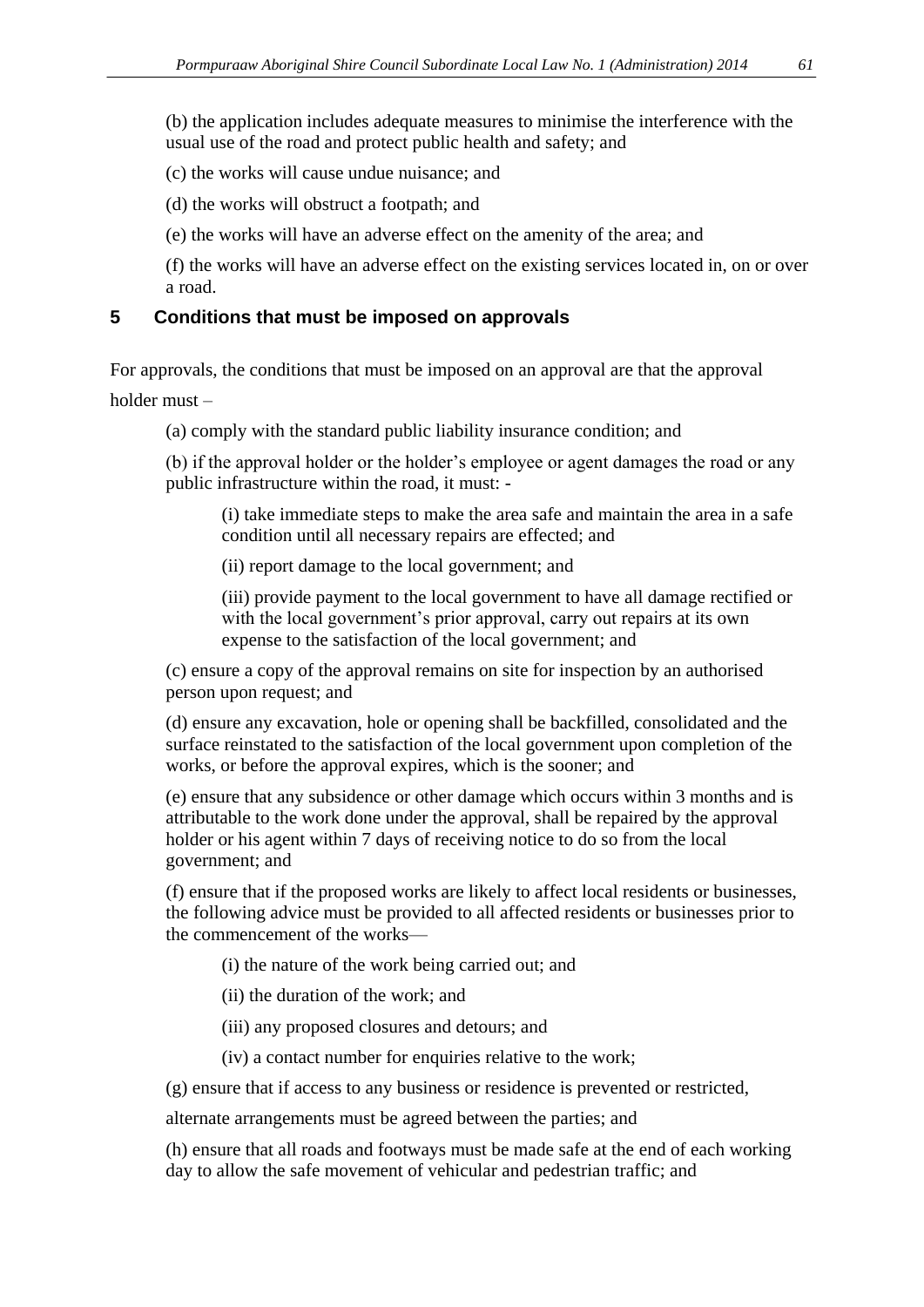(b) the application includes adequate measures to minimise the interference with the usual use of the road and protect public health and safety; and

(c) the works will cause undue nuisance; and

(d) the works will obstruct a footpath; and

(e) the works will have an adverse effect on the amenity of the area; and

(f) the works will have an adverse effect on the existing services located in, on or over a road.

#### **5 Conditions that must be imposed on approvals**

For approvals, the conditions that must be imposed on an approval are that the approval

holder must –

(a) comply with the standard public liability insurance condition; and

(b) if the approval holder or the holder's employee or agent damages the road or any public infrastructure within the road, it must: -

(i) take immediate steps to make the area safe and maintain the area in a safe condition until all necessary repairs are effected; and

(ii) report damage to the local government; and

(iii) provide payment to the local government to have all damage rectified or with the local government's prior approval, carry out repairs at its own expense to the satisfaction of the local government; and

(c) ensure a copy of the approval remains on site for inspection by an authorised person upon request; and

(d) ensure any excavation, hole or opening shall be backfilled, consolidated and the surface reinstated to the satisfaction of the local government upon completion of the works, or before the approval expires, which is the sooner; and

(e) ensure that any subsidence or other damage which occurs within 3 months and is attributable to the work done under the approval, shall be repaired by the approval holder or his agent within 7 days of receiving notice to do so from the local government; and

(f) ensure that if the proposed works are likely to affect local residents or businesses, the following advice must be provided to all affected residents or businesses prior to the commencement of the works—

(i) the nature of the work being carried out; and

(ii) the duration of the work; and

(iii) any proposed closures and detours; and

(iv) a contact number for enquiries relative to the work;

(g) ensure that if access to any business or residence is prevented or restricted,

alternate arrangements must be agreed between the parties; and

(h) ensure that all roads and footways must be made safe at the end of each working day to allow the safe movement of vehicular and pedestrian traffic; and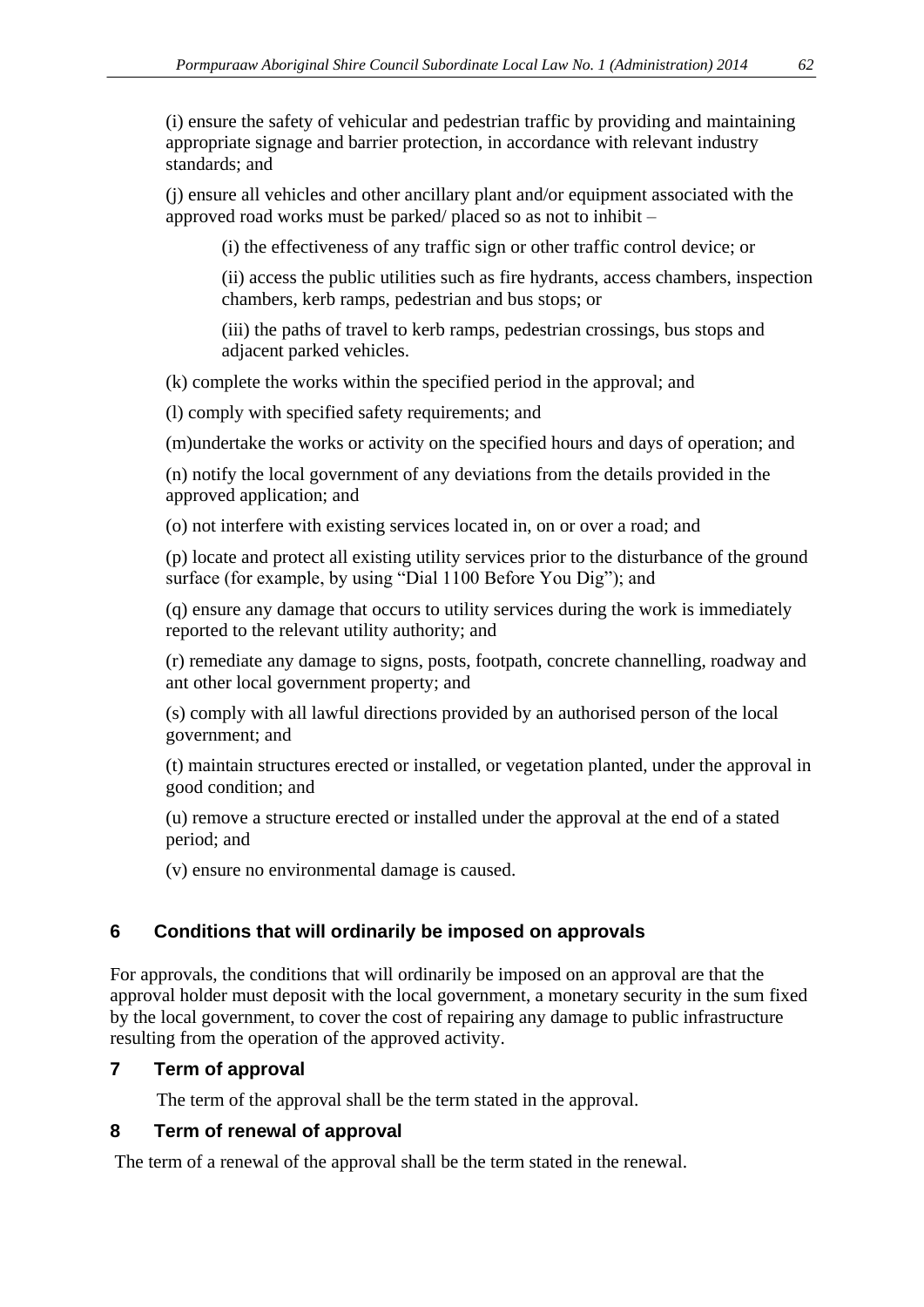(i) ensure the safety of vehicular and pedestrian traffic by providing and maintaining appropriate signage and barrier protection, in accordance with relevant industry standards; and

(j) ensure all vehicles and other ancillary plant and/or equipment associated with the approved road works must be parked/ placed so as not to inhibit –

(i) the effectiveness of any traffic sign or other traffic control device; or

(ii) access the public utilities such as fire hydrants, access chambers, inspection chambers, kerb ramps, pedestrian and bus stops; or

(iii) the paths of travel to kerb ramps, pedestrian crossings, bus stops and adjacent parked vehicles.

(k) complete the works within the specified period in the approval; and

(l) comply with specified safety requirements; and

(m)undertake the works or activity on the specified hours and days of operation; and

(n) notify the local government of any deviations from the details provided in the approved application; and

(o) not interfere with existing services located in, on or over a road; and

(p) locate and protect all existing utility services prior to the disturbance of the ground surface (for example, by using "Dial 1100 Before You Dig"); and

(q) ensure any damage that occurs to utility services during the work is immediately reported to the relevant utility authority; and

(r) remediate any damage to signs, posts, footpath, concrete channelling, roadway and ant other local government property; and

(s) comply with all lawful directions provided by an authorised person of the local government; and

(t) maintain structures erected or installed, or vegetation planted, under the approval in good condition; and

(u) remove a structure erected or installed under the approval at the end of a stated period; and

(v) ensure no environmental damage is caused.

# **6 Conditions that will ordinarily be imposed on approvals**

For approvals, the conditions that will ordinarily be imposed on an approval are that the approval holder must deposit with the local government, a monetary security in the sum fixed by the local government, to cover the cost of repairing any damage to public infrastructure resulting from the operation of the approved activity.

#### **7 Term of approval**

The term of the approval shall be the term stated in the approval.

#### **8 Term of renewal of approval**

The term of a renewal of the approval shall be the term stated in the renewal.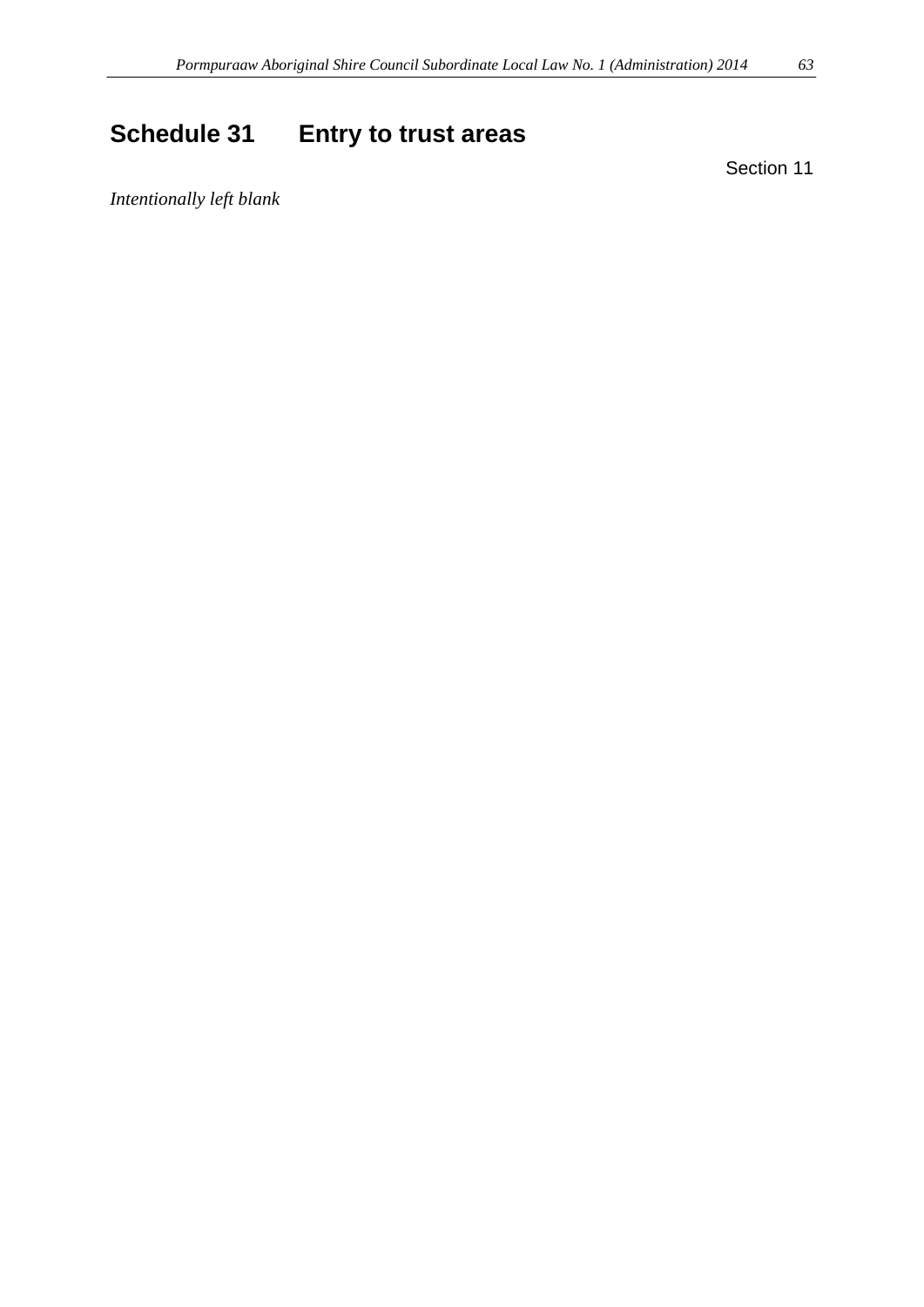# <span id="page-62-0"></span>**Schedule 31 Entry to trust areas**

Section 11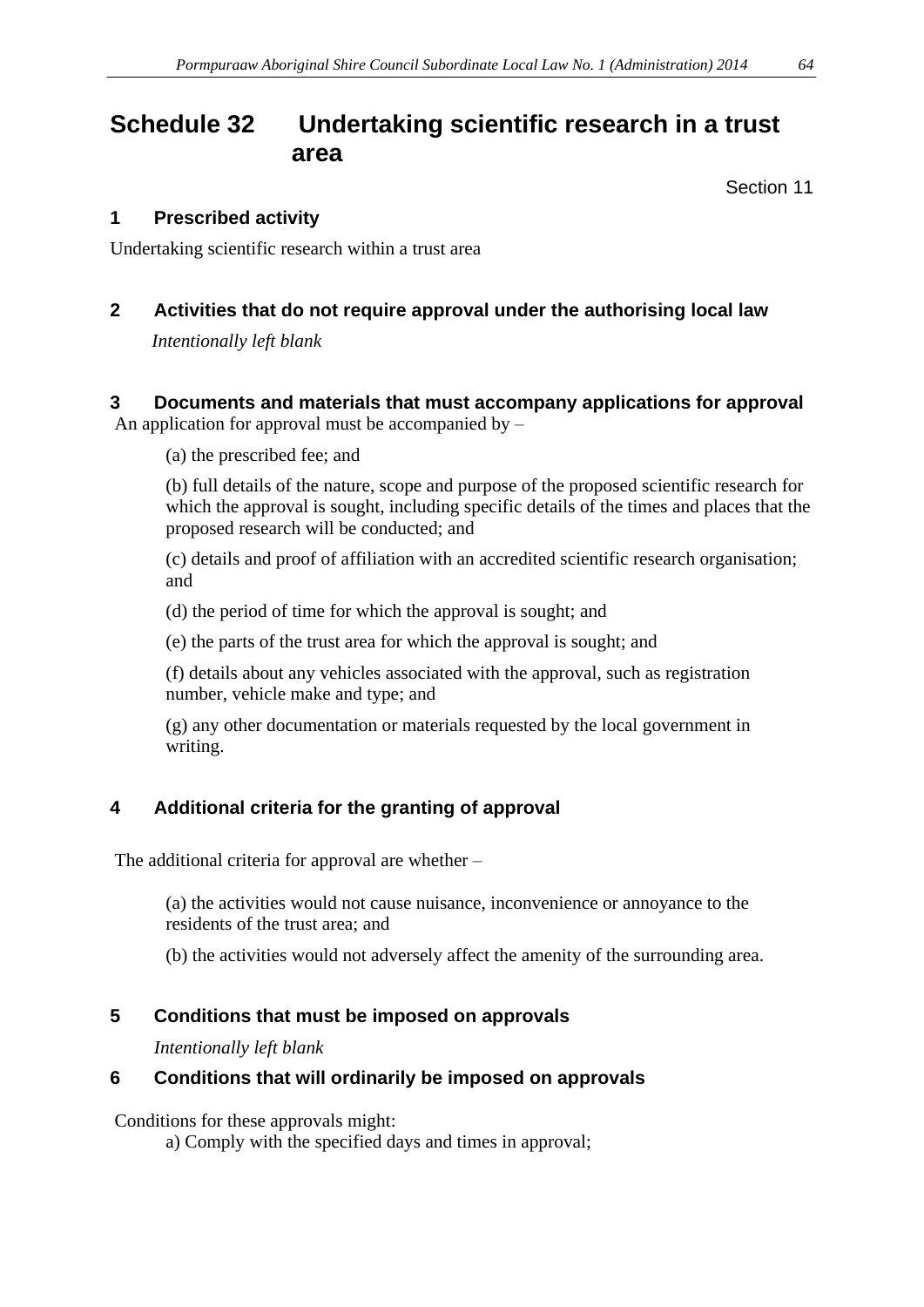# <span id="page-63-0"></span>**Schedule 32 Undertaking scientific research in a trust area**

Section 11

### **1 Prescribed activity**

Undertaking scientific research within a trust area

# **2 Activities that do not require approval under the authorising local law**

*Intentionally left blank*

## **3 Documents and materials that must accompany applications for approval**

An application for approval must be accompanied by  $-$ 

(a) the prescribed fee; and

(b) full details of the nature, scope and purpose of the proposed scientific research for which the approval is sought, including specific details of the times and places that the proposed research will be conducted; and

(c) details and proof of affiliation with an accredited scientific research organisation; and

(d) the period of time for which the approval is sought; and

(e) the parts of the trust area for which the approval is sought; and

(f) details about any vehicles associated with the approval, such as registration number, vehicle make and type; and

(g) any other documentation or materials requested by the local government in writing.

# **4 Additional criteria for the granting of approval**

The additional criteria for approval are whether –

(a) the activities would not cause nuisance, inconvenience or annoyance to the residents of the trust area; and

(b) the activities would not adversely affect the amenity of the surrounding area.

# **5 Conditions that must be imposed on approvals**

*Intentionally left blank*

# **6 Conditions that will ordinarily be imposed on approvals**

Conditions for these approvals might:

a) Comply with the specified days and times in approval;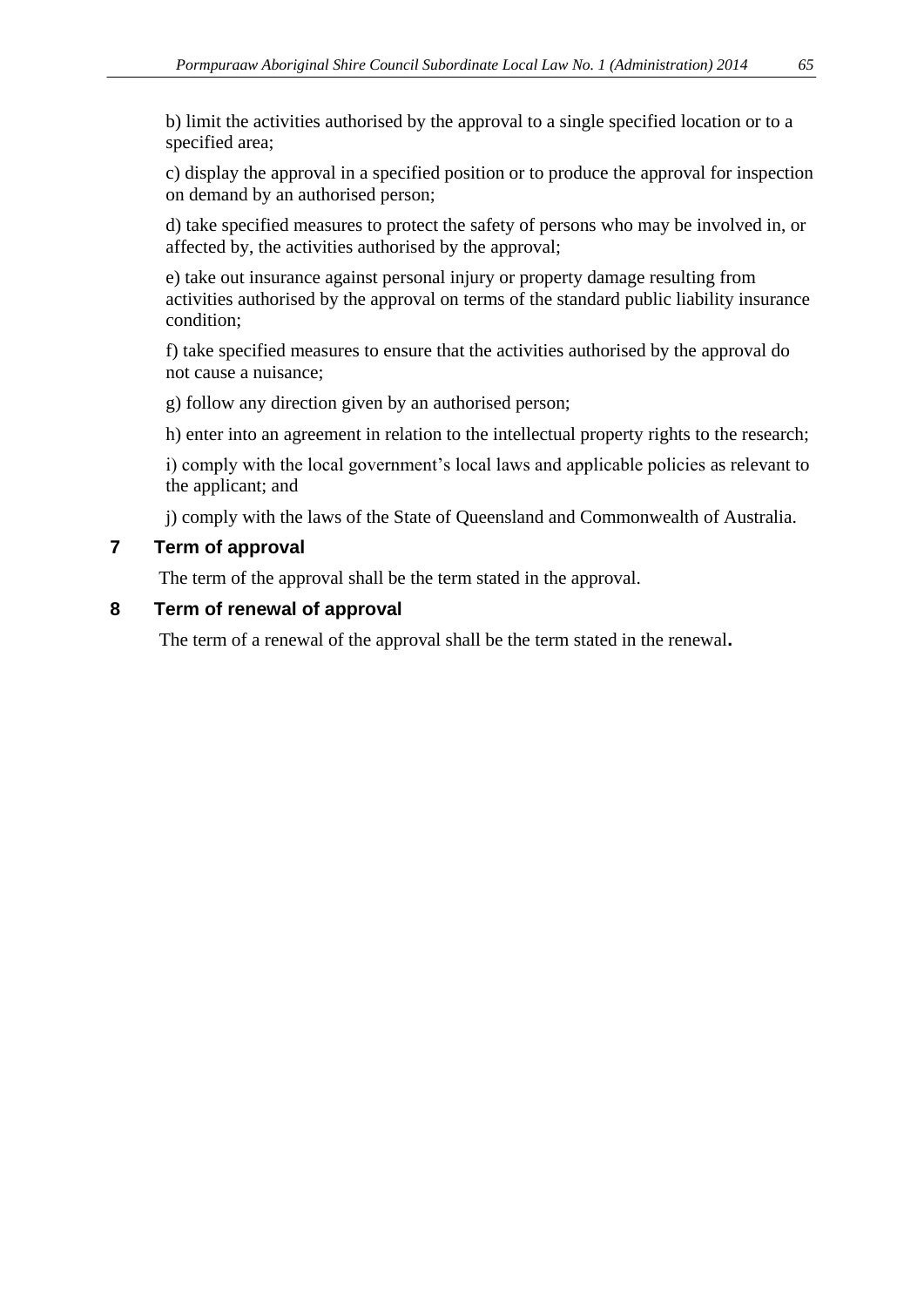b) limit the activities authorised by the approval to a single specified location or to a specified area;

c) display the approval in a specified position or to produce the approval for inspection on demand by an authorised person;

d) take specified measures to protect the safety of persons who may be involved in, or affected by, the activities authorised by the approval;

e) take out insurance against personal injury or property damage resulting from activities authorised by the approval on terms of the standard public liability insurance condition;

f) take specified measures to ensure that the activities authorised by the approval do not cause a nuisance;

g) follow any direction given by an authorised person;

h) enter into an agreement in relation to the intellectual property rights to the research;

i) comply with the local government's local laws and applicable policies as relevant to the applicant; and

j) comply with the laws of the State of Queensland and Commonwealth of Australia.

#### **7 Term of approval**

The term of the approval shall be the term stated in the approval.

#### **8 Term of renewal of approval**

The term of a renewal of the approval shall be the term stated in the renewal**.**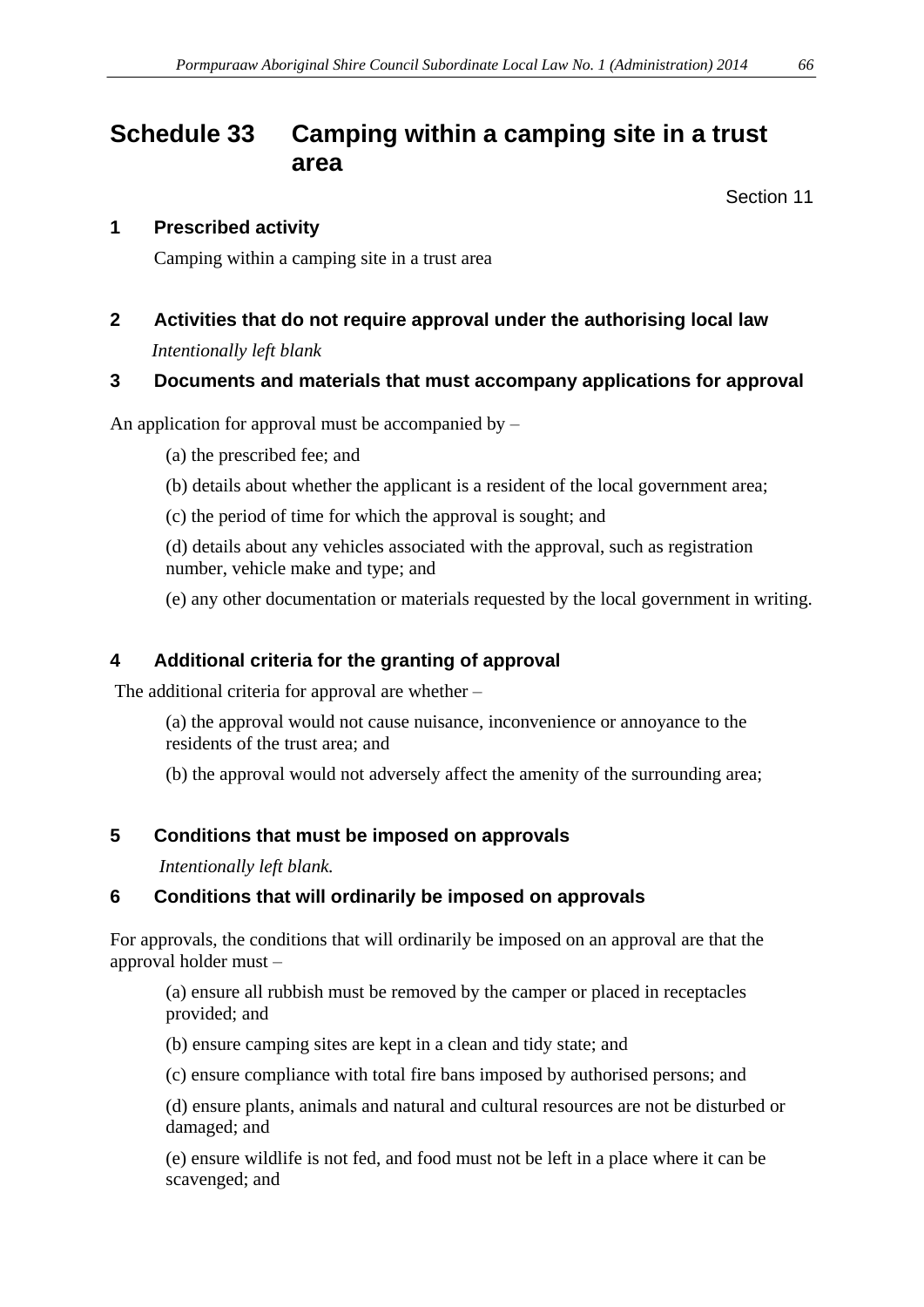# <span id="page-65-0"></span>**Schedule 33 Camping within a camping site in a trust area**

Section 11

#### **1 Prescribed activity**

Camping within a camping site in a trust area

# **2 Activities that do not require approval under the authorising local law**

*Intentionally left blank*

#### **3 Documents and materials that must accompany applications for approval**

An application for approval must be accompanied by  $-$ 

(a) the prescribed fee; and

- (b) details about whether the applicant is a resident of the local government area;
- (c) the period of time for which the approval is sought; and

(d) details about any vehicles associated with the approval, such as registration number, vehicle make and type; and

(e) any other documentation or materials requested by the local government in writing.

## **4 Additional criteria for the granting of approval**

The additional criteria for approval are whether –

(a) the approval would not cause nuisance, inconvenience or annoyance to the residents of the trust area; and

(b) the approval would not adversely affect the amenity of the surrounding area;

#### **5 Conditions that must be imposed on approvals**

*Intentionally left blank.*

#### **6 Conditions that will ordinarily be imposed on approvals**

For approvals, the conditions that will ordinarily be imposed on an approval are that the approval holder must –

(a) ensure all rubbish must be removed by the camper or placed in receptacles provided; and

(b) ensure camping sites are kept in a clean and tidy state; and

(c) ensure compliance with total fire bans imposed by authorised persons; and

(d) ensure plants, animals and natural and cultural resources are not be disturbed or damaged; and

(e) ensure wildlife is not fed, and food must not be left in a place where it can be scavenged; and